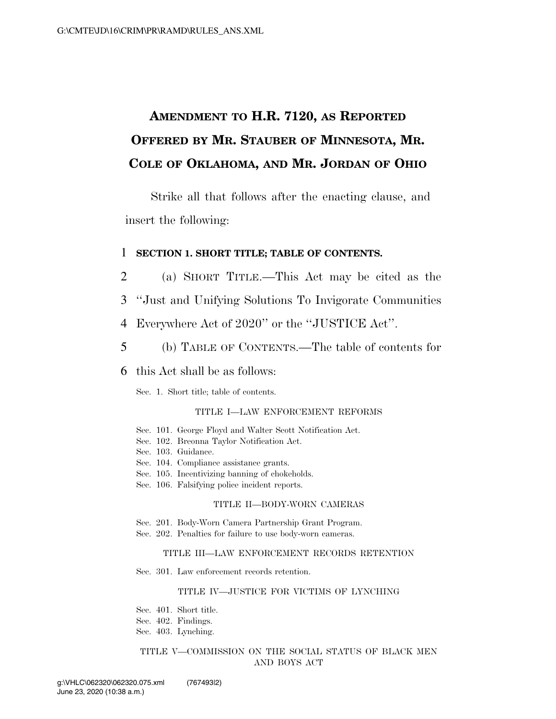# **AMENDMENT TO H.R. 7120, AS REPORTED OFFERED BY MR. STAUBER OF MINNESOTA, MR. COLE OF OKLAHOMA, AND MR. JORDAN OF OHIO**

Strike all that follows after the enacting clause, and insert the following:

### 1 **SECTION 1. SHORT TITLE; TABLE OF CONTENTS.**

- 2 (a) SHORT TITLE.—This Act may be cited as the
- 3 ''Just and Unifying Solutions To Invigorate Communities
- 4 Everywhere Act of 2020'' or the ''JUSTICE Act''.
- 5 (b) TABLE OF CONTENTS.—The table of contents for

## 6 this Act shall be as follows:

Sec. 1. Short title; table of contents.

#### TITLE I—LAW ENFORCEMENT REFORMS

- Sec. 101. George Floyd and Walter Scott Notification Act.
- Sec. 102. Breonna Taylor Notification Act.
- Sec. 103. Guidance.
- Sec. 104. Compliance assistance grants.
- Sec. 105. Incentivizing banning of chokeholds.
- Sec. 106. Falsifying police incident reports.

#### TITLE II—BODY-WORN CAMERAS

- Sec. 201. Body-Worn Camera Partnership Grant Program.
- Sec. 202. Penalties for failure to use body-worn cameras.

#### TITLE III—LAW ENFORCEMENT RECORDS RETENTION

Sec. 301. Law enforcement records retention.

#### TITLE IV—JUSTICE FOR VICTIMS OF LYNCHING

- Sec. 401. Short title.
- Sec. 402. Findings.
- Sec. 403. Lynching.

#### TITLE V—COMMISSION ON THE SOCIAL STATUS OF BLACK MEN AND BOYS ACT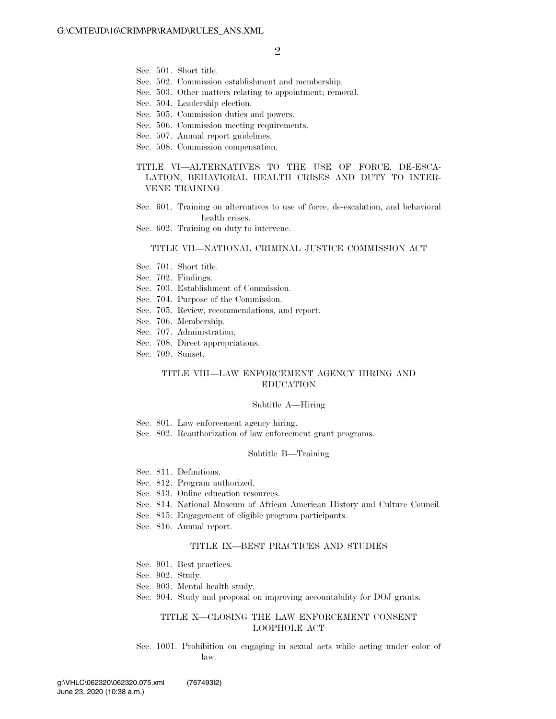- Sec. 501. Short title.
- Sec. 502. Commission establishment and membership.
- Sec. 503. Other matters relating to appointment; removal.
- Sec. 504. Leadership election.
- Sec. 505. Commission duties and powers.
- Sec. 506. Commission meeting requirements.
- Sec. 507. Annual report guidelines.
- Sec. 508. Commission compensation.

#### TITLE VI—ALTERNATIVES TO THE USE OF FORCE, DE-ESCA-LATION, BEHAVIORAL HEALTH CRISES AND DUTY TO INTER-VENE TRAINING

- Sec. 601. Training on alternatives to use of force, de-escalation, and behavioral health crises.
- Sec. 602. Training on duty to intervene.

#### TITLE VII—NATIONAL CRIMINAL JUSTICE COMMISSION ACT

- Sec. 701. Short title.
- Sec. 702. Findings.
- Sec. 703. Establishment of Commission.
- Sec. 704. Purpose of the Commission.
- Sec. 705. Review, recommendations, and report.
- Sec. 706. Membership.
- Sec. 707. Administration.
- Sec. 708. Direct appropriations.
- Sec. 709. Sunset.

#### TITLE VIII—LAW ENFORCEMENT AGENCY HIRING AND EDUCATION

#### Subtitle A—Hiring

- Sec. 801. Law enforcement agency hiring.
- Sec. 802. Reauthorization of law enforcement grant programs.

#### Subtitle B—Training

- Sec. 811. Definitions.
- Sec. 812. Program authorized.
- Sec. 813. Online education resources.
- Sec. 814. National Museum of African American History and Culture Council.
- Sec. 815. Engagement of eligible program participants.
- Sec. 816. Annual report.

#### TITLE IX—BEST PRACTICES AND STUDIES

- Sec. 901. Best practices.
- Sec. 902. Study.
- Sec. 903. Mental health study.
- Sec. 904. Study and proposal on improving accountability for DOJ grants.

#### TITLE X—CLOSING THE LAW ENFORCEMENT CONSENT LOOPHOLE ACT

Sec. 1001. Prohibition on engaging in sexual acts while acting under color of law.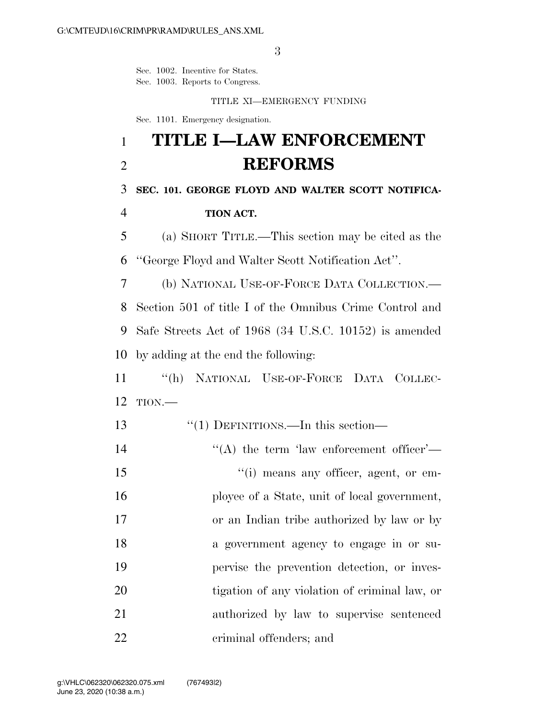Sec. 1002. Incentive for States. Sec. 1003. Reports to Congress.

#### TITLE XI—EMERGENCY FUNDING

Sec. 1101. Emergency designation.

# **TITLE I—LAW ENFORCEMENT REFORMS**

**SEC. 101. GEORGE FLOYD AND WALTER SCOTT NOTIFICA-**

**TION ACT.** 

 (a) SHORT TITLE.—This section may be cited as the ''George Floyd and Walter Scott Notification Act''.

 (b) NATIONAL USE-OF-FORCE DATA COLLECTION.— Section 501 of title I of the Omnibus Crime Control and Safe Streets Act of 1968 (34 U.S.C. 10152) is amended by adding at the end the following:

 ''(h) NATIONAL USE-OF-FORCE DATA COLLEC-TION.—

13 "(1) DEFINITIONS.—In this section—  $\langle A \rangle$  the term 'law enforcement officer'—  $\frac{1}{10}$  means any officer, agent, or em-16 ployee of a State, unit of local government, or an Indian tribe authorized by law or by a government agency to engage in or su- pervise the prevention detection, or inves- tigation of any violation of criminal law, or authorized by law to supervise sentenced criminal offenders; and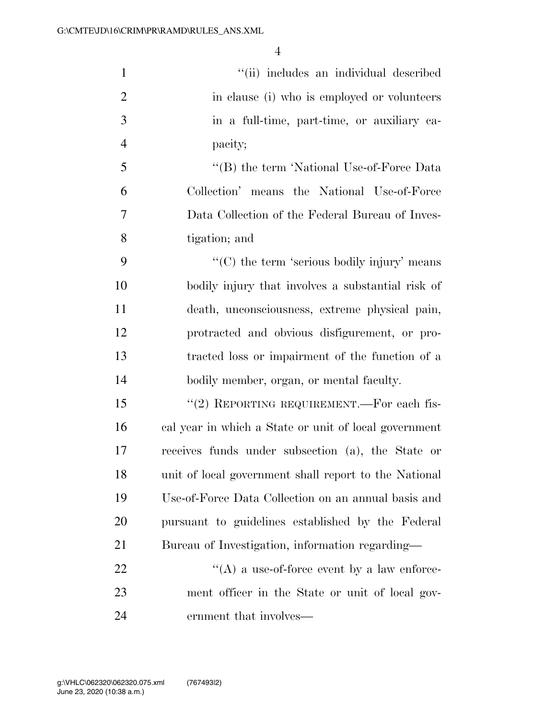| $\mathbf{1}$   | "(ii) includes an individual described                |
|----------------|-------------------------------------------------------|
| $\overline{2}$ | in clause (i) who is employed or volunteers           |
| 3              | in a full-time, part-time, or auxiliary ca-           |
| $\overline{4}$ | pacity;                                               |
| 5              | "(B) the term 'National Use-of-Force Data             |
| 6              | Collection' means the National Use-of-Force           |
| 7              | Data Collection of the Federal Bureau of Inves-       |
| 8              | tigation; and                                         |
| 9              | $\lq\lq$ (C) the term 'serious bodily injury' means   |
| 10             | bodily injury that involves a substantial risk of     |
| 11             | death, unconsciousness, extreme physical pain,        |
| 12             | protracted and obvious disfigurement, or pro-         |
| 13             | tracted loss or impairment of the function of a       |
| 14             | bodily member, organ, or mental faculty.              |
| 15             | "(2) REPORTING REQUIREMENT.—For each fis-             |
| 16             | cal year in which a State or unit of local government |
| 17             | receives funds under subsection (a), the State or     |
| 18             | unit of local government shall report to the National |
| 19             | Use-of-Force Data Collection on an annual basis and   |
| 20             | pursuant to guidelines established by the Federal     |
| 21             | Bureau of Investigation, information regarding-       |
| 22             | $\lq\lq$ a use-of-force event by a law enforce-       |
| 23             | ment officer in the State or unit of local gov-       |
| 24             | ernment that involves—                                |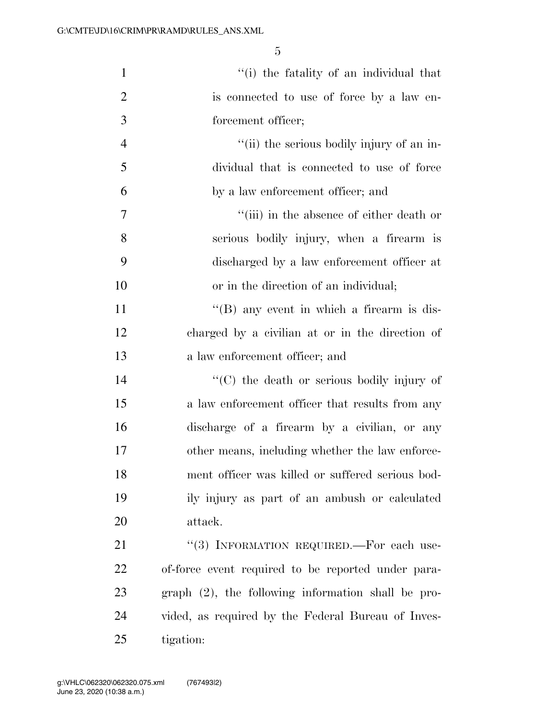| $\mathbf{1}$   | "(i) the fatality of an individual that               |
|----------------|-------------------------------------------------------|
| $\overline{2}$ | is connected to use of force by a law en-             |
| 3              | forcement officer;                                    |
| $\overline{4}$ | "(ii) the serious bodily injury of an in-             |
| 5              | dividual that is connected to use of force            |
| 6              | by a law enforcement officer; and                     |
| 7              | "(iii) in the absence of either death or              |
| 8              | serious bodily injury, when a firearm is              |
| 9              | discharged by a law enforcement officer at            |
| 10             | or in the direction of an individual;                 |
| 11             | $\lq\lq$ (B) any event in which a firearm is dis-     |
| 12             | charged by a civilian at or in the direction of       |
| 13             | a law enforcement officer; and                        |
| 14             | "(C) the death or serious bodily injury of            |
| 15             | a law enforcement officer that results from any       |
| 16             | discharge of a firearm by a civilian, or any          |
| 17             | other means, including whether the law enforce-       |
| 18             | ment officer was killed or suffered serious bod-      |
| 19             | ily injury as part of an ambush or calculated         |
| 20             | attack.                                               |
| 21             | "(3) INFORMATION REQUIRED.—For each use-              |
| 22             | of-force event required to be reported under para-    |
| 23             | $graph (2)$ , the following information shall be pro- |
| 24             | vided, as required by the Federal Bureau of Inves-    |
| 25             | tigation:                                             |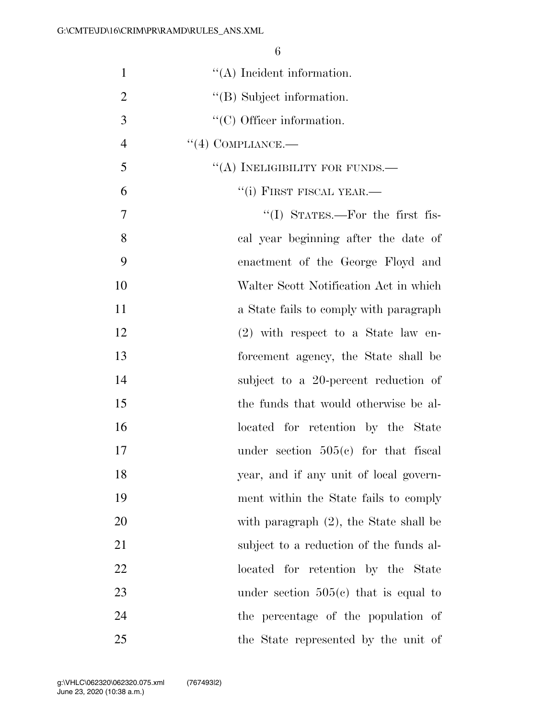| $\mathbf{1}$   | $\lq\lq$ Incident information.            |
|----------------|-------------------------------------------|
| $\overline{2}$ | "(B) Subject information.                 |
| 3              | $\lq\lq$ C) Officer information.          |
| $\overline{4}$ | $\lq(4)$ COMPLIANCE.—                     |
| 5              | "(A) INELIGIBILITY FOR FUNDS.—            |
| 6              | "(i) FIRST FISCAL YEAR.—                  |
| 7              | "(I) STATES.—For the first fis-           |
| 8              | cal year beginning after the date of      |
| 9              | enactment of the George Floyd and         |
| 10             | Walter Scott Notification Act in which    |
| 11             | a State fails to comply with paragraph    |
| 12             | $(2)$ with respect to a State law en-     |
| 13             | forcement agency, the State shall be      |
| 14             | subject to a 20-percent reduction of      |
| 15             | the funds that would otherwise be al-     |
| 16             | located for retention by the State        |
| 17             | under section $505(e)$ for that fiscal    |
| 18             | year, and if any unit of local govern-    |
| 19             | ment within the State fails to comply     |
| 20             | with paragraph $(2)$ , the State shall be |
| 21             | subject to a reduction of the funds al-   |
| 22             | located for retention by the State        |
| 23             | under section $505(e)$ that is equal to   |
| 24             | the percentage of the population of       |
| 25             | the State represented by the unit of      |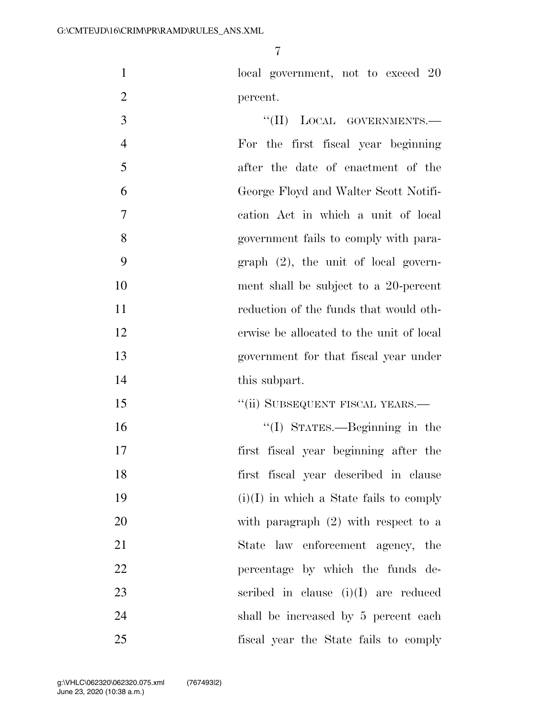1 local government, not to exceed 20 percent.

 $\frac{1}{(II)}$  LOCAL GOVERNMENTS. For the first fiscal year beginning after the date of enactment of the George Floyd and Walter Scott Notifi- cation Act in which a unit of local government fails to comply with para- graph (2), the unit of local govern- ment shall be subject to a 20-percent reduction of the funds that would oth- erwise be allocated to the unit of local government for that fiscal year under 14 this subpart.

15 "(ii) SUBSEQUENT FISCAL YEARS.—

 ''(I) STATES.—Beginning in the first fiscal year beginning after the first fiscal year described in clause  $(i)(I)$  in which a State fails to comply with paragraph (2) with respect to a State law enforcement agency, the percentage by which the funds de- scribed in clause (i)(I) are reduced shall be increased by 5 percent each fiscal year the State fails to comply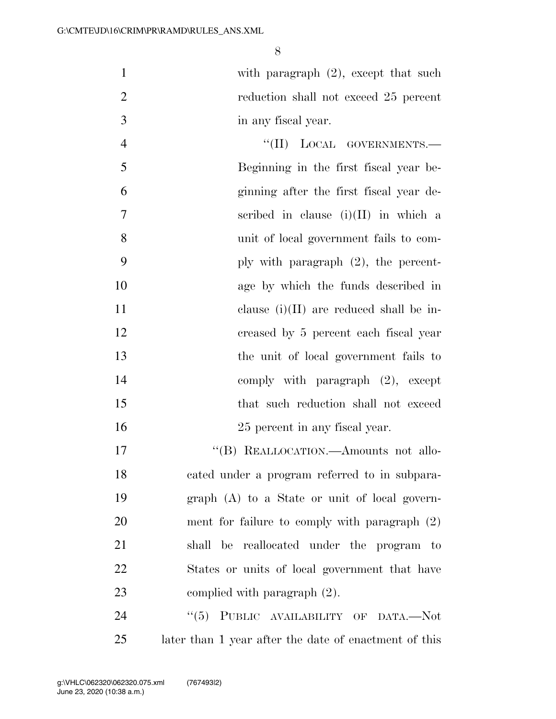1 with paragraph (2), except that such reduction shall not exceed 25 percent in any fiscal year.

4 ''(II) LOCAL GOVERNMENTS. Beginning in the first fiscal year be- ginning after the first fiscal year de- scribed in clause (i)(II) in which a unit of local government fails to com- ply with paragraph (2), the percent- age by which the funds described in 11 clause  $(i)(II)$  are reduced shall be in- creased by 5 percent each fiscal year the unit of local government fails to 14 comply with paragraph  $(2)$ , except that such reduction shall not exceed 16 25 percent in any fiscal year.

17 "'(B) REALLOCATION.—Amounts not allo- cated under a program referred to in subpara- graph (A) to a State or unit of local govern- ment for failure to comply with paragraph (2) shall be reallocated under the program to States or units of local government that have complied with paragraph (2).

24 "(5) PUBLIC AVAILABILITY OF DATA.—Not later than 1 year after the date of enactment of this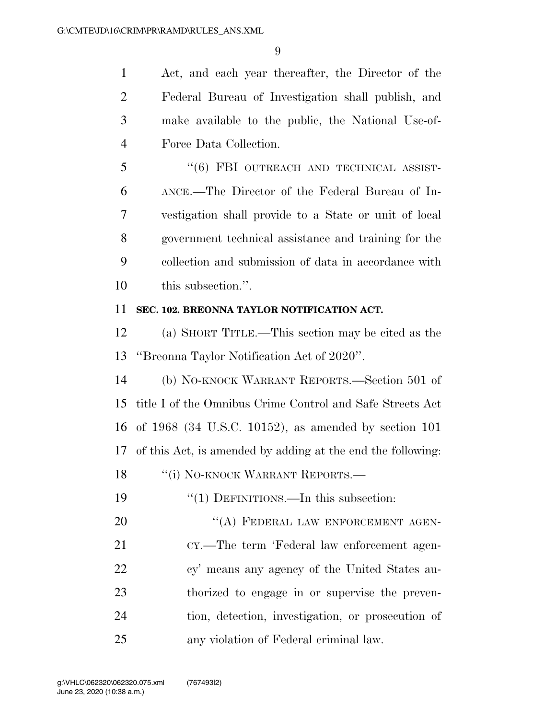Act, and each year thereafter, the Director of the Federal Bureau of Investigation shall publish, and make available to the public, the National Use-of-Force Data Collection.

5 "(6) FBI OUTREACH AND TECHNICAL ASSIST- ANCE.—The Director of the Federal Bureau of In- vestigation shall provide to a State or unit of local government technical assistance and training for the collection and submission of data in accordance with this subsection.''.

## **SEC. 102. BREONNA TAYLOR NOTIFICATION ACT.**

 (a) SHORT TITLE.—This section may be cited as the ''Breonna Taylor Notification Act of 2020''.

 (b) NO-KNOCK WARRANT REPORTS.—Section 501 of title I of the Omnibus Crime Control and Safe Streets Act of 1968 (34 U.S.C. 10152), as amended by section 101 of this Act, is amended by adding at the end the following:

18 "(i) NO-KNOCK WARRANT REPORTS.—

19 "(1) DEFINITIONS.—In this subsection:

20 "(A) FEDERAL LAW ENFORCEMENT AGEN- CY.—The term 'Federal law enforcement agen-22 cy' means any agency of the United States au- thorized to engage in or supervise the preven- tion, detection, investigation, or prosecution of any violation of Federal criminal law.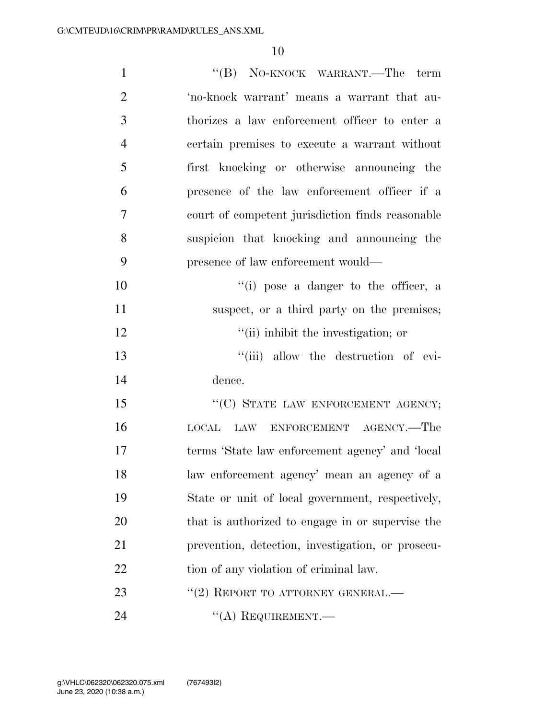| $\mathbf{1}$   | $``$ (B) NO-KNOCK WARRANT.—The term               |
|----------------|---------------------------------------------------|
| $\overline{2}$ | 'no-knock warrant' means a warrant that au-       |
| 3              | thorizes a law enforcement officer to enter a     |
| $\overline{4}$ | certain premises to execute a warrant without     |
| 5              | first knocking or otherwise announcing the        |
| 6              | presence of the law enforcement officer if a      |
| 7              | court of competent jurisdiction finds reasonable  |
| 8              | suspicion that knocking and announcing the        |
| 9              | presence of law enforcement would—                |
| 10             | "(i) pose a danger to the officer, a              |
| 11             | suspect, or a third party on the premises;        |
| 12             | "(ii) inhibit the investigation; or               |
| 13             | "(iii) allow the destruction of evi-              |
| 14             | dence.                                            |
| 15             | "(C) STATE LAW ENFORCEMENT AGENCY;                |
| 16             | LOCAL LAW ENFORCEMENT AGENCY.-The                 |
| 17             | terms 'State law enforcement agency' and 'local   |
| 18             | law enforcement agency' mean an agency of a       |
| 19             | State or unit of local government, respectively,  |
| 20             | that is authorized to engage in or supervise the  |
| 21             | prevention, detection, investigation, or prosecu- |
| 22             | tion of any violation of criminal law.            |
| 23             | "(2) REPORT TO ATTORNEY GENERAL.—                 |
| 24             | "(A) REQUIREMENT.—                                |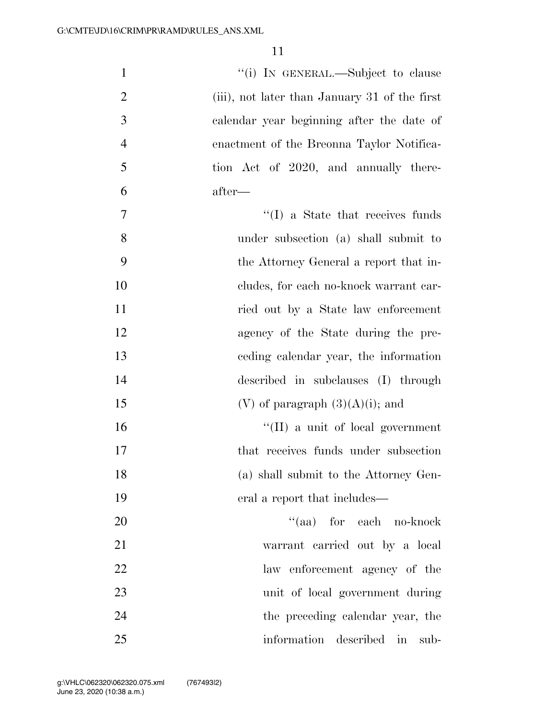| $\mathbf{1}$   | "(i) IN GENERAL.—Subject to clause            |
|----------------|-----------------------------------------------|
| $\overline{2}$ | (iii), not later than January 31 of the first |
| 3              | calendar year beginning after the date of     |
| $\overline{4}$ | enactment of the Breonna Taylor Notifica-     |
| 5              | tion Act of 2020, and annually there-         |
| 6              | $after-$                                      |
| 7              | $\lq\lq$ (I) a State that receives funds      |
| 8              | under subsection (a) shall submit to          |
| 9              | the Attorney General a report that in-        |
| 10             | cludes, for each no-knock warrant car-        |
| 11             | ried out by a State law enforcement           |
| 12             | agency of the State during the pre-           |
| 13             | eeding calendar year, the information         |
| 14             | described in subclauses (I) through           |
| 15             | (V) of paragraph $(3)(A)(i)$ ; and            |
| 16             | $\lq\lq$ (II) a unit of local government      |
| 17             | that receives funds under subsection          |
| 18             | (a) shall submit to the Attorney Gen-         |
| 19             | eral a report that includes—                  |
| 20             | $``(aa)$ for each no-knock                    |
| 21             | warrant carried out by a local                |
| 22             | law enforcement agency of the                 |
| 23             | unit of local government during               |
| 24             | the preceding calendar year, the              |
| 25             | information described in sub-                 |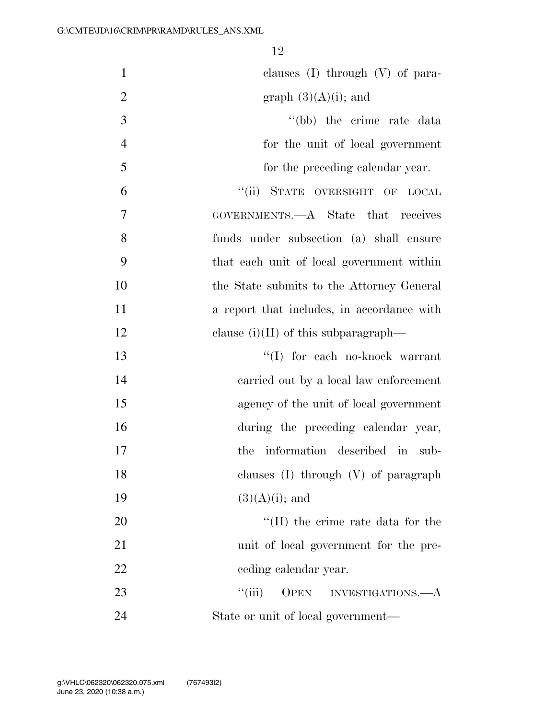| $\mathbf{1}$   | clauses (I) through (V) of para-            |
|----------------|---------------------------------------------|
| $\overline{2}$ | graph $(3)(A)(i)$ ; and                     |
| 3              | "(bb) the crime rate data                   |
| $\overline{4}$ | for the unit of local government            |
| 5              | for the preceding calendar year.            |
| 6              | ``(ii)<br>STATE OVERSIGHT OF LOCAL          |
| $\tau$         | GOVERNMENTS.—A State that receives          |
| 8              | funds under subsection (a) shall ensure     |
| 9              | that each unit of local government within   |
| 10             | the State submits to the Attorney General   |
| 11             | a report that includes, in accordance with  |
| 12             | clause $(i)(II)$ of this subparagraph—      |
| 13             | "(I) for each no-knock warrant              |
| 14             | carried out by a local law enforcement      |
| 15             | agency of the unit of local government      |
| 16             | during the preceding calendar year,         |
| 17             | the information described in sub-           |
| 18             | clauses $(I)$ through $(V)$ of paragraph    |
| 19             | $(3)(A)(i)$ ; and                           |
| 20             | "(II) the crime rate data for the           |
| 21             | unit of local government for the pre-       |
| 22             | ceding calendar year.                       |
| 23             | ``(iii)<br><b>OPEN</b><br>INVESTIGATIONS.—A |
| 24             | State or unit of local government—          |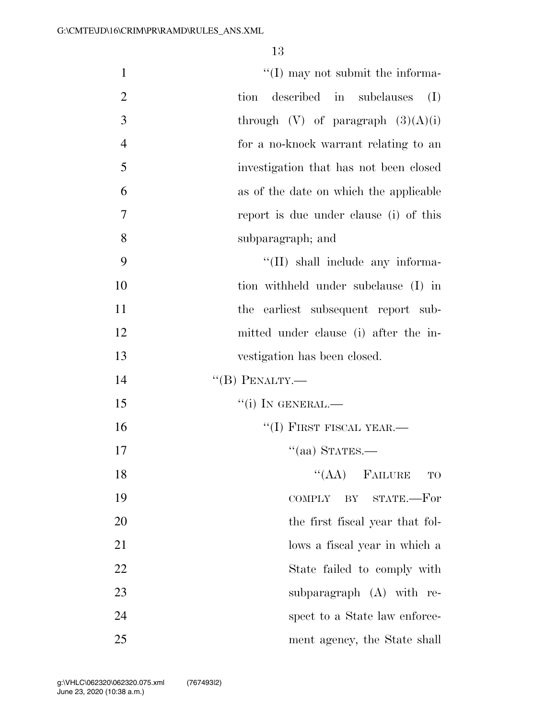| $\mathbf{1}$   | $\lq\lq$ (I) may not submit the informa- |
|----------------|------------------------------------------|
| $\overline{2}$ | tion<br>described in subclauses<br>(I)   |
| 3              | through $(V)$ of paragraph $(3)(A)(i)$   |
| $\overline{4}$ | for a no-knock warrant relating to an    |
| 5              | investigation that has not been closed   |
| 6              | as of the date on which the applicable   |
| 7              | report is due under clause (i) of this   |
| 8              | subparagraph; and                        |
| 9              | $\lq\lq$ (II) shall include any informa- |
| 10             | tion withheld under subclause (I) in     |
| 11             | the earliest subsequent report sub-      |
| 12             | mitted under clause (i) after the in-    |
| 13             | vestigation has been closed.             |
| 14             | $``$ (B) PENALTY.—                       |
| 15             | $``(i)$ IN GENERAL.—                     |
| 16             | $``(I)$ FIRST FISCAL YEAR.—              |
| 17             | $\cdot$ (aa) STATES.—                    |
| 18             | $\lq\lq$ (AA) FAILURE<br>TO              |
| 19             | $STATE$ - $For$<br><b>COMPLY</b><br>BY   |
| 20             | the first fiscal year that fol-          |
| 21             | lows a fiscal year in which a            |
| 22             | State failed to comply with              |
| 23             | subparagraph (A) with re-                |
| 24             | spect to a State law enforce-            |
| 25             | ment agency, the State shall             |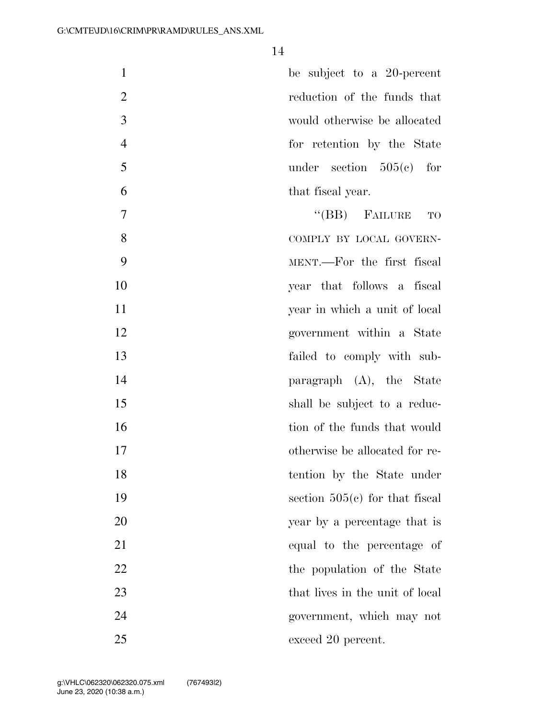| $\mathbf{1}$   | be subject to a 20-percent       |
|----------------|----------------------------------|
| $\overline{2}$ | reduction of the funds that      |
| 3              | would otherwise be allocated     |
| $\overline{4}$ | for retention by the State       |
| 5              | under section $505(e)$ for       |
| 6              | that fiscal year.                |
| 7              | $\lq\lq(BB)$ FAILURE<br>TO       |
| 8              | COMPLY BY LOCAL GOVERN-          |
| 9              | MENT.—For the first fiscal       |
| 10             | year that follows a fiscal       |
| 11             | year in which a unit of local    |
| 12             | government within a State        |
| 13             | failed to comply with sub-       |
| 14             | paragraph $(A)$ , the State      |
| 15             | shall be subject to a reduc-     |
| 16             | tion of the funds that would     |
| 17             | otherwise be allocated for re-   |
| 18             | tention by the State under       |
| 19             | section $505(c)$ for that fiscal |
| 20             | year by a percentage that is     |
| 21             | equal to the percentage of       |
| 22             | the population of the State      |
| 23             | that lives in the unit of local  |
| 24             | government, which may not        |
| 25             | exceed 20 percent.               |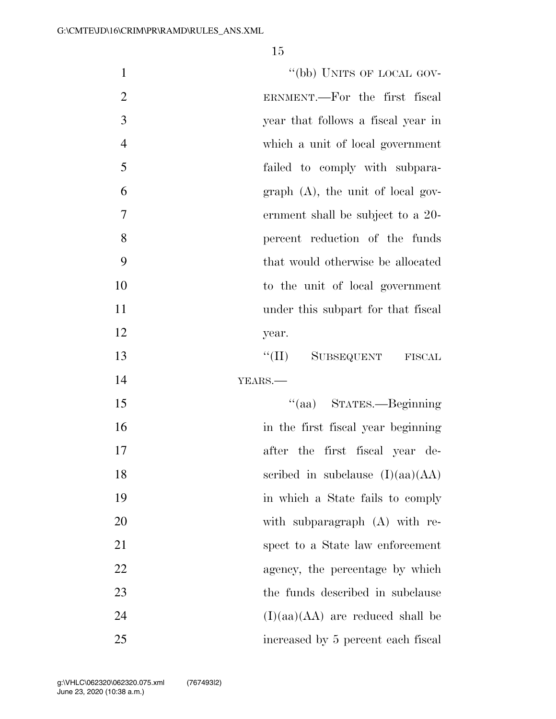| $\mathbf{1}$   | "(bb) UNITS OF LOCAL GOV-           |
|----------------|-------------------------------------|
| $\overline{2}$ | ERNMENT.—For the first fiscal       |
| 3              | year that follows a fiscal year in  |
| $\overline{4}$ | which a unit of local government    |
| 5              | failed to comply with subpara-      |
| 6              | $graph$ (A), the unit of local gov- |
| $\tau$         | ernment shall be subject to a 20-   |
| 8              | percent reduction of the funds      |
| 9              | that would otherwise be allocated   |
| 10             | to the unit of local government     |
| 11             | under this subpart for that fiscal  |
| 12             | year.                               |
| 13             | ``(II)<br>SUBSEQUENT FISCAL         |
| 14             | YEARS.                              |
| 15             | "(aa) STATES.—Beginning             |
| 16             | in the first fiscal year beginning  |
| 17             | after the first fiscal year de-     |
| 18             | scribed in subclause $(I)(aa)(AA)$  |
| 19             | in which a State fails to comply    |
| 20             | with subparagraph (A) with re-      |
| 21             | spect to a State law enforcement    |
| 22             | agency, the percentage by which     |
| 23             | the funds described in subclause    |
| 24             | $(I)(aa)(AA)$ are reduced shall be  |
| 25             | increased by 5 percent each fiscal  |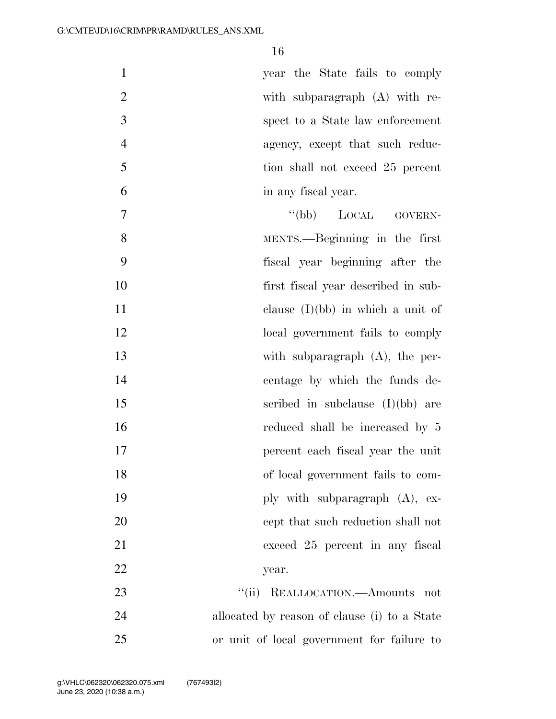| $\mathbf{1}$   | year the State fails to comply      |
|----------------|-------------------------------------|
| $\overline{2}$ | with subparagraph $(A)$ with re-    |
| 3              | spect to a State law enforcement    |
| $\overline{4}$ | agency, except that such reduc-     |
| 5              | tion shall not exceed 25 percent    |
| 6              | in any fiscal year.                 |
| $\overline{7}$ | "(bb) LOCAL GOVERN-                 |
| 8              | MENTS.—Beginning in the first       |
| 9              | fiscal year beginning after the     |
| 10             | first fiscal year described in sub- |
| 11             | clause $(I)(bb)$ in which a unit of |
| 12             | local government fails to comply    |
| 13             | with subparagraph $(A)$ , the per-  |
| 14             | centage by which the funds de-      |
| 15             | scribed in subclause $(I)(bb)$ are  |
| 16             | reduced shall be increased by 5     |
| 17             | percent each fiscal year the unit   |
| 18             | of local government fails to com-   |
| 19             | ply with subparagraph (A), ex-      |
| 20             | cept that such reduction shall not  |
| 21             | exceed 25 percent in any fiscal     |
| 22             | year.                               |
| 23             | ``(ii)<br>REALLOCATION.—Amounts not |

 allocated by reason of clause (i) to a State or unit of local government for failure to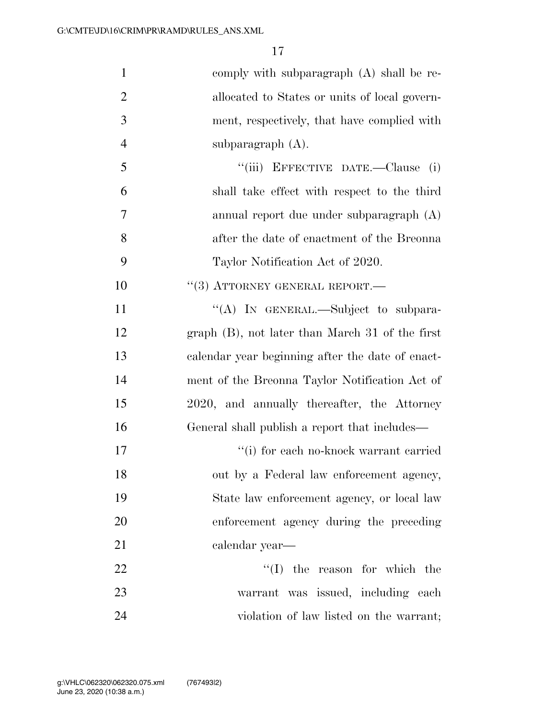| $\mathbf{1}$   | comply with subparagraph (A) shall be re-         |
|----------------|---------------------------------------------------|
| $\overline{2}$ | allocated to States or units of local govern-     |
| 3              | ment, respectively, that have complied with       |
| $\overline{4}$ | subparagraph $(A)$ .                              |
| 5              | "(iii) EFFECTIVE DATE.—Clause (i)                 |
| 6              | shall take effect with respect to the third       |
| 7              | annual report due under subparagraph $(A)$        |
| 8              | after the date of enactment of the Breonna        |
| 9              | Taylor Notification Act of 2020.                  |
| 10             | "(3) ATTORNEY GENERAL REPORT.-                    |
| 11             | "(A) IN GENERAL.—Subject to subpara-              |
| 12             | $graph$ (B), not later than March 31 of the first |
| 13             | calendar year beginning after the date of enact-  |
| 14             | ment of the Breonna Taylor Notification Act of    |
| 15             | 2020, and annually thereafter, the Attorney       |
| 16             | General shall publish a report that includes—     |
| 17             | "(i) for each no-knock warrant carried            |
| 18             | out by a Federal law enforcement agency,          |
| 19             | State law enforcement agency, or local law        |
| 20             | enforcement agency during the preceding           |
| 21             | calendar year—                                    |
| 22             | $\lq\lq$ the reason for which the                 |
| 23             | warrant was issued, including each                |
| 24             | violation of law listed on the warrant;           |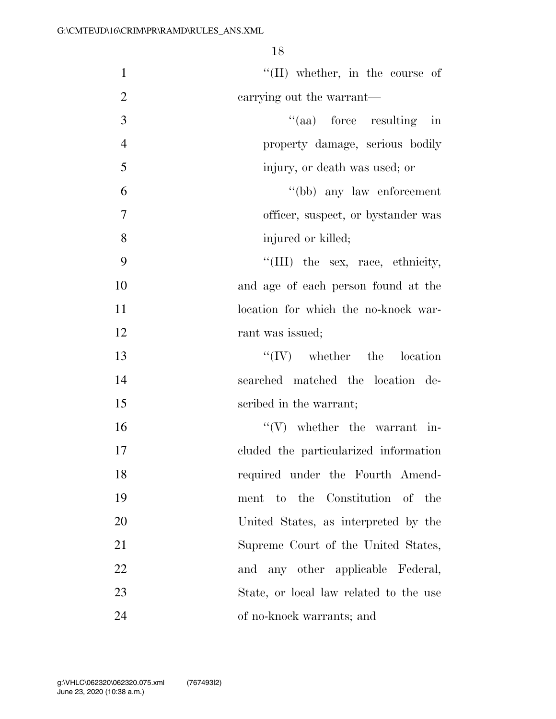| $\mathbf{1}$   | $\lq\lq$ (II) whether, in the course of |
|----------------|-----------------------------------------|
| $\overline{2}$ | carrying out the warrant—               |
| 3              | "(aa) force resulting in                |
| $\overline{4}$ | property damage, serious bodily         |
| 5              | injury, or death was used; or           |
| 6              | "(bb) any law enforcement               |
| $\overline{7}$ | officer, suspect, or bystander was      |
| 8              | injured or killed;                      |
| 9              | "(III) the sex, race, ethnicity,        |
| 10             | and age of each person found at the     |
| 11             | location for which the no-knock war-    |
| 12             | rant was issued;                        |
| 13             | $\lq\lq (IV)$ whether the location      |
| 14             | searched matched the location de-       |
| 15             | scribed in the warrant;                 |
| 16             | $f'(V)$ whether the warrant in-         |
| 17             | cluded the particularized information   |
| 18             | required under the Fourth Amend-        |
| 19             | ment to the Constitution of the         |
| 20             | United States, as interpreted by the    |
| 21             | Supreme Court of the United States,     |
| 22             | and any other applicable Federal,       |
| 23             | State, or local law related to the use  |
| 24             | of no-knock warrants; and               |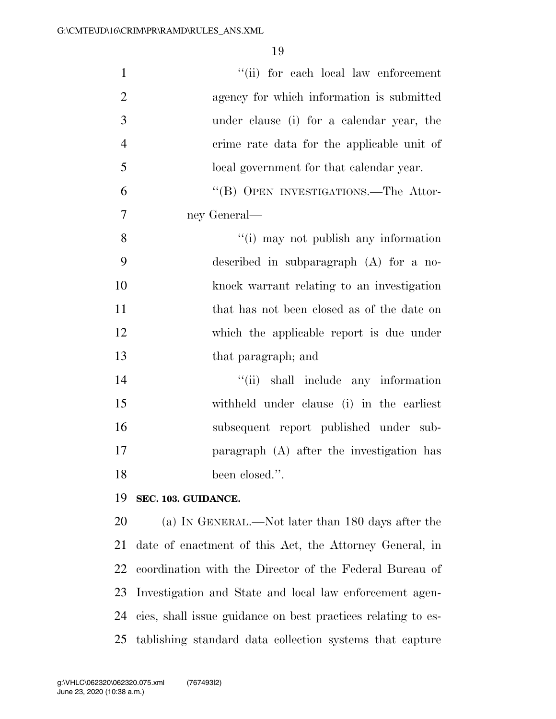| $\mathbf{1}$   | "(ii) for each local law enforcement       |
|----------------|--------------------------------------------|
| $\overline{2}$ | agency for which information is submitted  |
| 3              | under clause (i) for a calendar year, the  |
| $\overline{4}$ | crime rate data for the applicable unit of |
| 5              | local government for that calendar year.   |
| 6              | "(B) OPEN INVESTIGATIONS.—The Attor-       |
| 7              | ney General—                               |
| 8              | "(i) may not publish any information       |
| 9              | described in subparagraph $(A)$ for a no-  |
| 10             | knock warrant relating to an investigation |
| 11             | that has not been closed as of the date on |
| 12             | which the applicable report is due under   |
| 13             | that paragraph; and                        |
| 14             | "(ii) shall include any information        |
| 15             | withheld under clause (i) in the earliest  |
| 16             | subsequent report published under sub-     |
| 17             | paragraph (A) after the investigation has  |
| 18             | been closed.".                             |
|                | $10 \times 200 \times 200$                 |

### **SEC. 103. GUIDANCE.**

 (a) IN GENERAL.—Not later than 180 days after the date of enactment of this Act, the Attorney General, in coordination with the Director of the Federal Bureau of Investigation and State and local law enforcement agen- cies, shall issue guidance on best practices relating to es-tablishing standard data collection systems that capture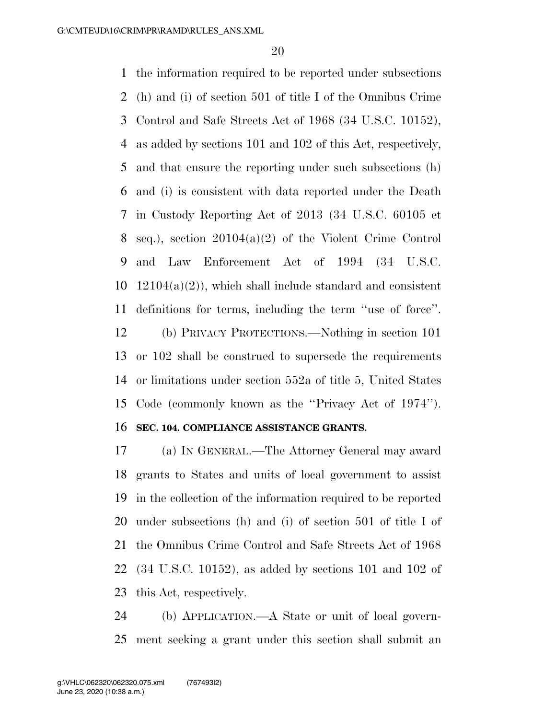the information required to be reported under subsections (h) and (i) of section 501 of title I of the Omnibus Crime Control and Safe Streets Act of 1968 (34 U.S.C. 10152), as added by sections 101 and 102 of this Act, respectively, and that ensure the reporting under such subsections (h) and (i) is consistent with data reported under the Death in Custody Reporting Act of 2013 (34 U.S.C. 60105 et seq.), section 20104(a)(2) of the Violent Crime Control and Law Enforcement Act of 1994 (34 U.S.C.  $10\quad 12104(a)(2)$ , which shall include standard and consistent definitions for terms, including the term ''use of force''. (b) PRIVACY PROTECTIONS.—Nothing in section 101 or 102 shall be construed to supersede the requirements or limitations under section 552a of title 5, United States Code (commonly known as the ''Privacy Act of 1974'').

## **SEC. 104. COMPLIANCE ASSISTANCE GRANTS.**

 (a) IN GENERAL.—The Attorney General may award grants to States and units of local government to assist in the collection of the information required to be reported under subsections (h) and (i) of section 501 of title I of the Omnibus Crime Control and Safe Streets Act of 1968 (34 U.S.C. 10152), as added by sections 101 and 102 of this Act, respectively.

 (b) APPLICATION.—A State or unit of local govern-ment seeking a grant under this section shall submit an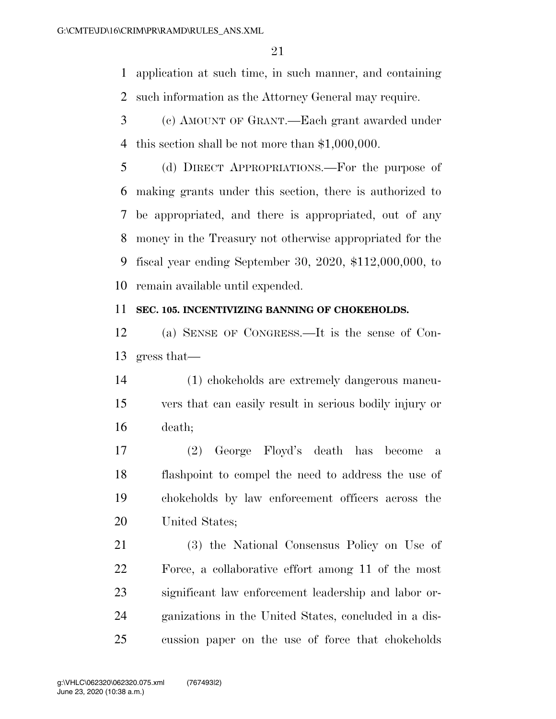application at such time, in such manner, and containing such information as the Attorney General may require.

 (c) AMOUNT OF GRANT.—Each grant awarded under this section shall be not more than \$1,000,000.

 (d) DIRECT APPROPRIATIONS.—For the purpose of making grants under this section, there is authorized to be appropriated, and there is appropriated, out of any money in the Treasury not otherwise appropriated for the fiscal year ending September 30, 2020, \$112,000,000, to remain available until expended.

## **SEC. 105. INCENTIVIZING BANNING OF CHOKEHOLDS.**

 (a) SENSE OF CONGRESS.—It is the sense of Con-gress that—

 (1) chokeholds are extremely dangerous maneu- vers that can easily result in serious bodily injury or death;

 (2) George Floyd's death has become a flashpoint to compel the need to address the use of chokeholds by law enforcement officers across the United States;

 (3) the National Consensus Policy on Use of Force, a collaborative effort among 11 of the most significant law enforcement leadership and labor or- ganizations in the United States, concluded in a dis-cussion paper on the use of force that chokeholds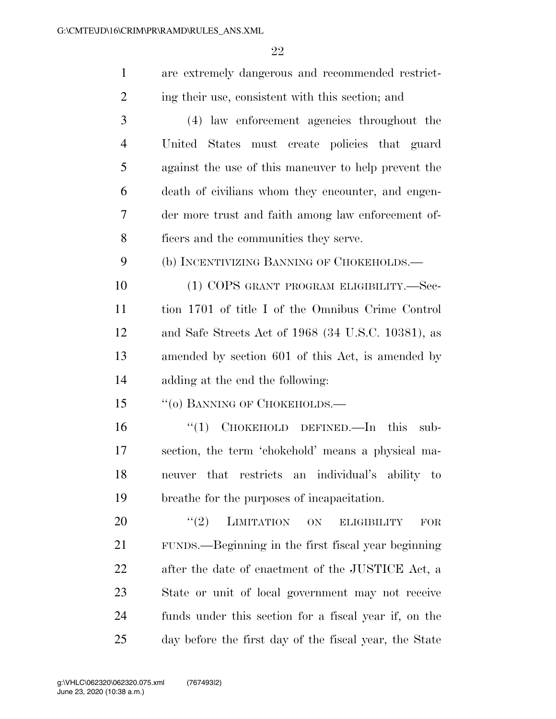| $\mathbf{1}$   | are extremely dangerous and recommended restrict-      |
|----------------|--------------------------------------------------------|
| $\overline{2}$ | ing their use, consistent with this section; and       |
| 3              | (4) law enforcement agencies throughout the            |
| 4              | United States must create policies that guard          |
| 5              | against the use of this maneuver to help prevent the   |
| 6              | death of civilians whom they encounter, and engen-     |
| 7              | der more trust and faith among law enforcement of-     |
| 8              | ficers and the communities they serve.                 |
| 9              | (b) INCENTIVIZING BANNING OF CHOKEHOLDS.—              |
| 10             | (1) COPS GRANT PROGRAM ELIGIBILITY.—Sec-               |
| 11             | tion 1701 of title I of the Omnibus Crime Control      |
| 12             | and Safe Streets Act of 1968 (34 U.S.C. 10381), as     |
| 13             | amended by section 601 of this Act, is amended by      |
| 14             | adding at the end the following:                       |
| 15             | $``$ (0) BANNING OF CHOKEHOLDS.—                       |
| 16             | "(1) CHOKEHOLD DEFINED.—In this<br>sub-                |
| 17             | section, the term 'chokehold' means a physical ma-     |
| 18             | that restricts an individual's ability to<br>neuver    |
| 19             | breathe for the purposes of incapacitation.            |
| 20             | (2)<br>LIMITATION<br>ON<br><b>ELIGIBILITY</b><br>FOR   |
| 21             | FUNDS.—Beginning in the first fiscal year beginning    |
| <u>22</u>      | after the date of enactment of the JUSTICE Act, a      |
| 23             | State or unit of local government may not receive      |
| 24             | funds under this section for a fiscal year if, on the  |
| 25             | day before the first day of the fiscal year, the State |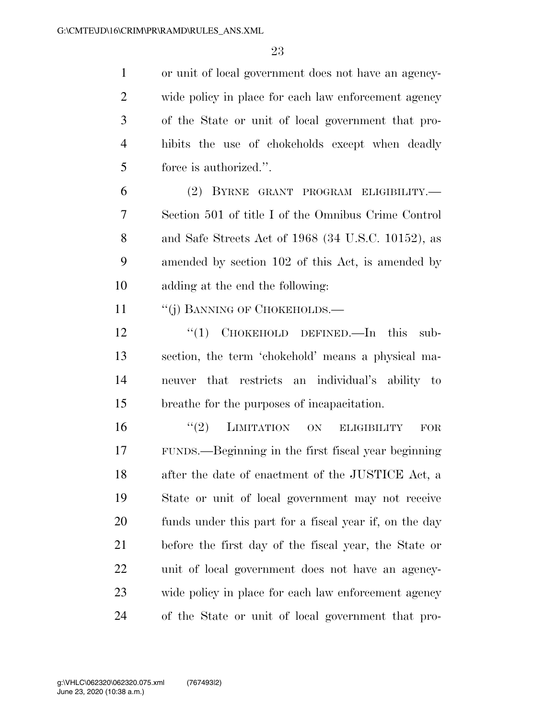or unit of local government does not have an agency- wide policy in place for each law enforcement agency of the State or unit of local government that pro- hibits the use of chokeholds except when deadly force is authorized.''.

 (2) BYRNE GRANT PROGRAM ELIGIBILITY.— Section 501 of title I of the Omnibus Crime Control and Safe Streets Act of 1968 (34 U.S.C. 10152), as amended by section 102 of this Act, is amended by adding at the end the following:

11 "(j) BANNING OF CHOKEHOLDS.—

12 "(1) CHOKEHOLD DEFINED.—In this sub- section, the term 'chokehold' means a physical ma- neuver that restricts an individual's ability to breathe for the purposes of incapacitation.

 $(2)$  LIMITATION ON ELIGIBILITY FOR FUNDS.—Beginning in the first fiscal year beginning after the date of enactment of the JUSTICE Act, a State or unit of local government may not receive funds under this part for a fiscal year if, on the day before the first day of the fiscal year, the State or unit of local government does not have an agency- wide policy in place for each law enforcement agency of the State or unit of local government that pro-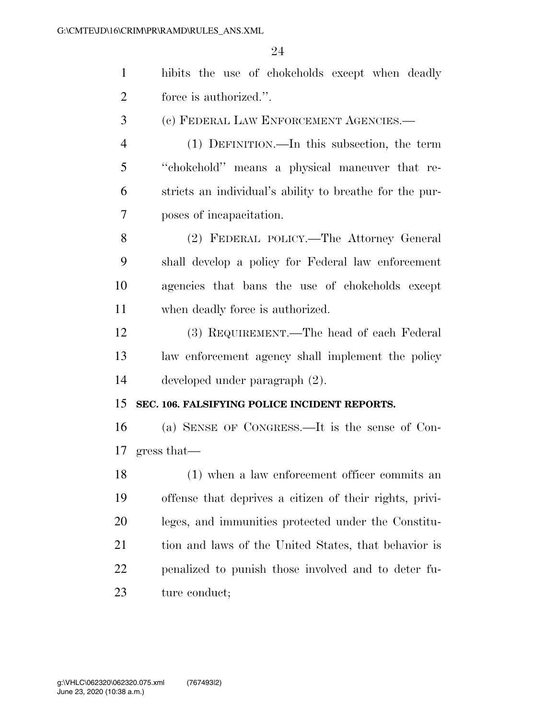| $\mathbf{1}$   | hibits the use of chokeholds except when deadly          |
|----------------|----------------------------------------------------------|
| $\overline{2}$ | force is authorized.".                                   |
| 3              | (c) FEDERAL LAW ENFORCEMENT AGENCIES.-                   |
| $\overline{4}$ | (1) DEFINITION.—In this subsection, the term             |
| 5              | "chokehold" means a physical maneuver that re-           |
| 6              | stricts an individual's ability to breather for the pur- |
| $\overline{7}$ | poses of incapacitation.                                 |
| 8              | (2) FEDERAL POLICY.—The Attorney General                 |
| 9              | shall develop a policy for Federal law enforcement       |
| 10             | agencies that bans the use of chokeholds except          |
| 11             | when deadly force is authorized.                         |
| 12             | (3) REQUIREMENT.—The head of each Federal                |
| 13             | law enforcement agency shall implement the policy        |
| 14             | developed under paragraph (2).                           |
| 15             |                                                          |
|                | SEC. 106. FALSIFYING POLICE INCIDENT REPORTS.            |
| 16             | (a) SENSE OF CONGRESS.—It is the sense of Con-           |
| 17             | gress that—                                              |
| 18             | (1) when a law enforcement officer commits an            |
| 19             | offense that deprives a citizen of their rights, privi-  |
| 20             | leges, and immunities protected under the Constitu-      |
| 21             | tion and laws of the United States, that behavior is     |
| 22             | penalized to punish those involved and to deter fu-      |
| 23             | ture conduct;                                            |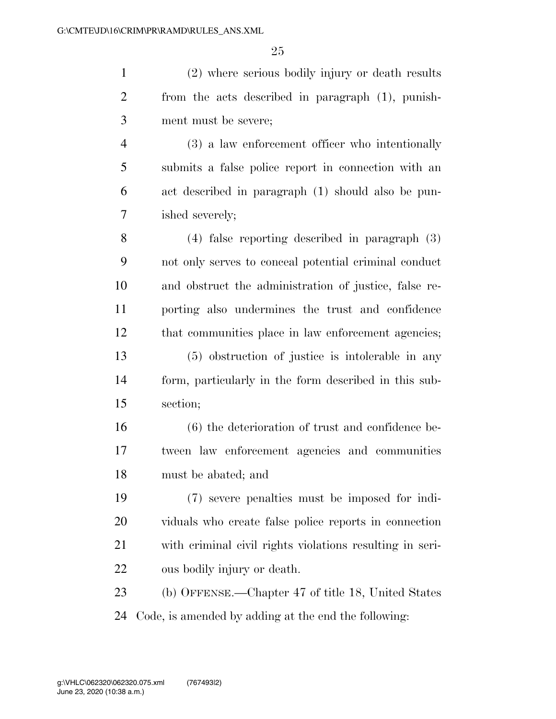(2) where serious bodily injury or death results from the acts described in paragraph (1), punish-ment must be severe;

 (3) a law enforcement officer who intentionally submits a false police report in connection with an act described in paragraph (1) should also be pun-ished severely;

 (4) false reporting described in paragraph (3) not only serves to conceal potential criminal conduct and obstruct the administration of justice, false re- porting also undermines the trust and confidence 12 that communities place in law enforcement agencies; (5) obstruction of justice is intolerable in any form, particularly in the form described in this sub-section;

 (6) the deterioration of trust and confidence be- tween law enforcement agencies and communities must be abated; and

 (7) severe penalties must be imposed for indi- viduals who create false police reports in connection with criminal civil rights violations resulting in seri-ous bodily injury or death.

 (b) OFFENSE.—Chapter 47 of title 18, United States Code, is amended by adding at the end the following: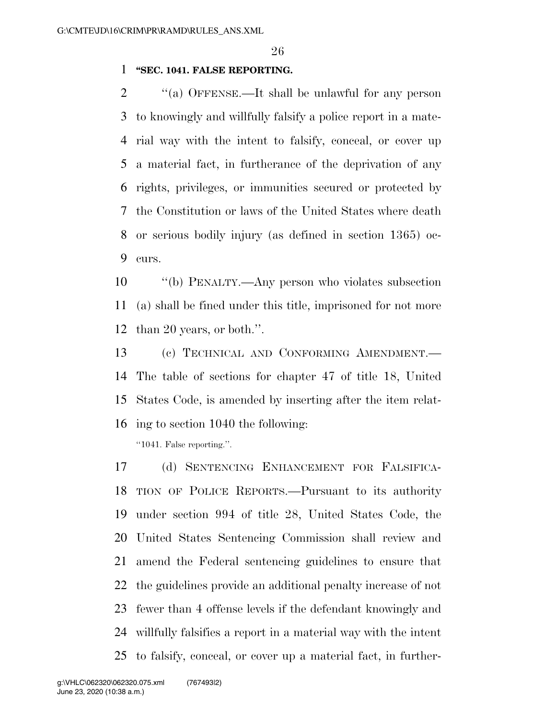## **''SEC. 1041. FALSE REPORTING.**

 ''(a) OFFENSE.—It shall be unlawful for any person to knowingly and willfully falsify a police report in a mate- rial way with the intent to falsify, conceal, or cover up a material fact, in furtherance of the deprivation of any rights, privileges, or immunities secured or protected by the Constitution or laws of the United States where death or serious bodily injury (as defined in section 1365) oc-curs.

 ''(b) PENALTY.—Any person who violates subsection (a) shall be fined under this title, imprisoned for not more than 20 years, or both.''.

 (c) TECHNICAL AND CONFORMING AMENDMENT.— The table of sections for chapter 47 of title 18, United States Code, is amended by inserting after the item relat-ing to section 1040 the following:

''1041. False reporting.''.

 (d) SENTENCING ENHANCEMENT FOR FALSIFICA- TION OF POLICE REPORTS.—Pursuant to its authority under section 994 of title 28, United States Code, the United States Sentencing Commission shall review and amend the Federal sentencing guidelines to ensure that the guidelines provide an additional penalty increase of not fewer than 4 offense levels if the defendant knowingly and willfully falsifies a report in a material way with the intent to falsify, conceal, or cover up a material fact, in further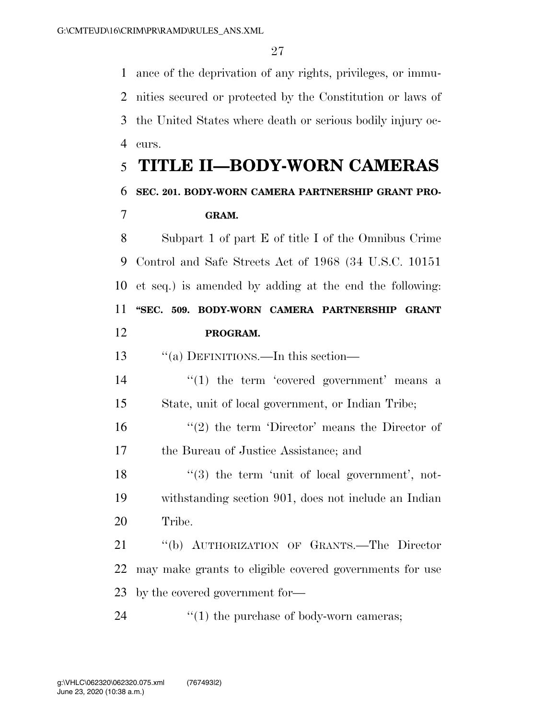ance of the deprivation of any rights, privileges, or immu- nities secured or protected by the Constitution or laws of the United States where death or serious bodily injury oc-curs.

## **TITLE II—BODY-WORN CAMERAS**

## **SEC. 201. BODY-WORN CAMERA PARTNERSHIP GRANT PRO-GRAM.**

 Subpart 1 of part E of title I of the Omnibus Crime Control and Safe Streets Act of 1968 (34 U.S.C. 10151 et seq.) is amended by adding at the end the following: **''SEC. 509. BODY-WORN CAMERA PARTNERSHIP GRANT PROGRAM.** 

''(a) DEFINITIONS.—In this section—

 $\frac{14}{11}$  <sup>''</sup>(1) the term 'covered government' means a State, unit of local government, or Indian Tribe;

16 ''(2) the term 'Director' means the Director of the Bureau of Justice Assistance; and

 "(3) the term 'unit of local government', not- withstanding section 901, does not include an Indian Tribe.

 ''(b) AUTHORIZATION OF GRANTS.—The Director may make grants to eligible covered governments for use by the covered government for—

24  $\cdot$  (1) the purchase of body-worn cameras;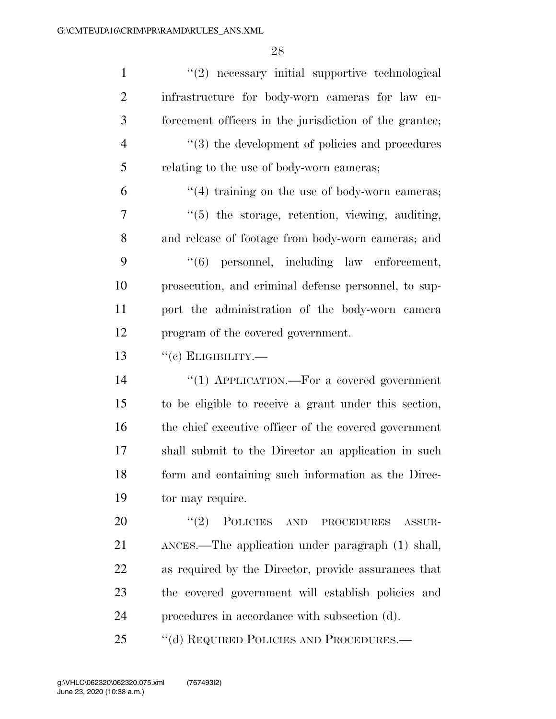| $\mathbf{1}$   | "(2) necessary initial supportive technological        |
|----------------|--------------------------------------------------------|
| $\overline{2}$ | infrastructure for body-worn cameras for law en-       |
| 3              | forcement officers in the jurisdiction of the grantee; |
| $\overline{4}$ | $\cdot$ (3) the development of policies and procedures |
| 5              | relating to the use of body-worn cameras;              |
| 6              | $\lq(4)$ training on the use of body-worn cameras;     |
| 7              | "(5) the storage, retention, viewing, auditing,        |
| 8              | and release of footage from body-worn cameras; and     |
| 9              | $\lq(6)$ personnel, including law enforcement,         |
| 10             | prosecution, and criminal defense personnel, to sup-   |
| 11             | port the administration of the body-worn camera        |
| 12             | program of the covered government.                     |
| 13             | $``(c)$ ELIGIBILITY.—                                  |
| 14             | "(1) APPLICATION.—For a covered government             |
| 15             | to be eligible to receive a grant under this section,  |
| 16             | the chief executive officer of the covered government  |
| 17             | shall submit to the Director an application in such    |
| 18             | form and containing such information as the Direc-     |
| 19             | tor may require.                                       |
| 20             | "(2) POLICIES AND PROCEDURES<br>ASSUR-                 |
| 21             | ANCES.—The application under paragraph (1) shall,      |
| 22             | as required by the Director, provide assurances that   |
| 23             | the covered government will establish policies and     |
| 24             | procedures in accordance with subsection (d).          |
| 25             | "(d) REQUIRED POLICIES AND PROCEDURES.—                |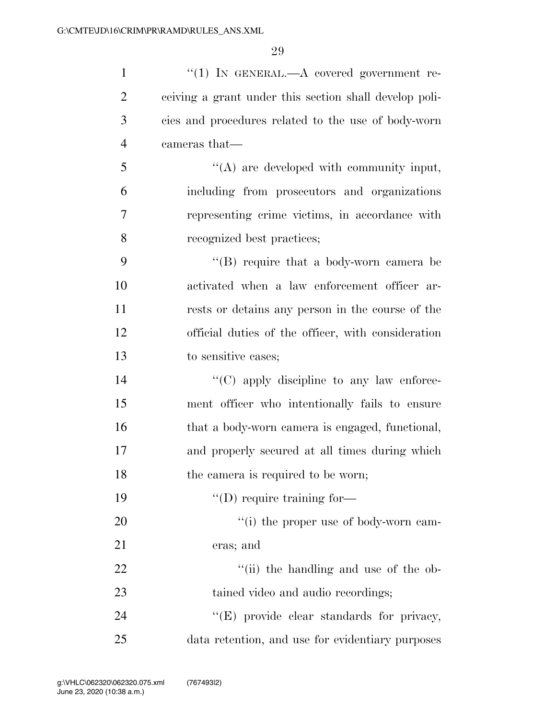| $\mathbf{1}$   | "(1) IN GENERAL.—A covered government re-              |
|----------------|--------------------------------------------------------|
| $\overline{2}$ | ceiving a grant under this section shall develop poli- |
| 3              | cies and procedures related to the use of body-worn    |
| $\overline{4}$ | cameras that—                                          |
| 5              | $\lq\lq$ are developed with community input,           |
| 6              | including from prosecutors and organizations           |
| $\overline{7}$ | representing crime victims, in accordance with         |
| 8              | recognized best practices;                             |
| 9              | "(B) require that a body-worn camera be                |
| 10             | activated when a law enforcement officer ar-           |
| 11             | rests or detains any person in the course of the       |
| 12             | official duties of the officer, with consideration     |
| 13             | to sensitive cases;                                    |
| 14             | $\lq\lq$ (C) apply discipline to any law enforce-      |
| 15             | ment officer who intentionally fails to ensure         |
| 16             | that a body-worn camera is engaged, functional,        |
| 17             | and properly secured at all times during which         |
| 18             | the camera is required to be worn;                     |
| 19             | $\lq\lq$ (D) require training for-                     |
| 20             | "(i) the proper use of body-worn cam-                  |
| 21             | eras; and                                              |
| 22             | "(ii) the handling and use of the ob-                  |
| 23             | tained video and audio recordings;                     |
| 24             | "(E) provide clear standards for privacy,              |
| 25             | data retention, and use for evidentiary purposes       |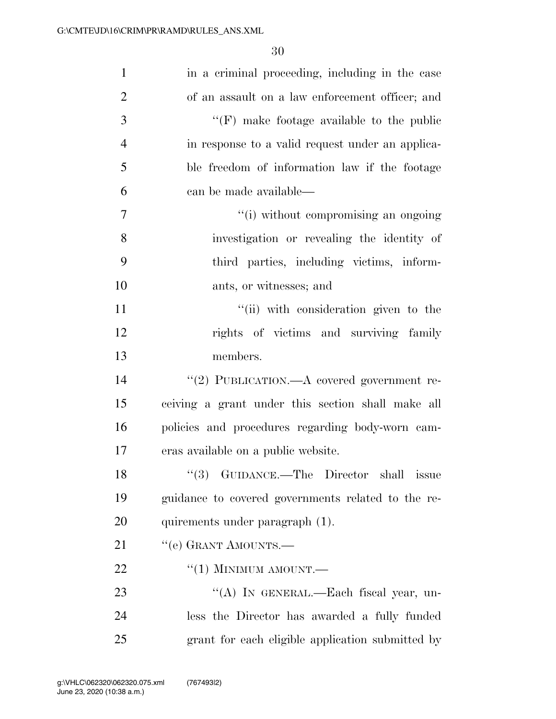| $\mathbf{1}$   | in a criminal proceeding, including in the case    |
|----------------|----------------------------------------------------|
| $\overline{2}$ | of an assault on a law enforcement officer; and    |
| 3              | $\lq\lq(F)$ make footage available to the public   |
| $\overline{4}$ | in response to a valid request under an applica-   |
| 5              | ble freedom of information law if the footage      |
| 6              | can be made available—                             |
| 7              | "(i) without compromising an ongoing               |
| 8              | investigation or revealing the identity of         |
| 9              | third parties, including victims, inform-          |
| 10             | ants, or witnesses; and                            |
| 11             | "(ii) with consideration given to the              |
| 12             | rights of victims and surviving family             |
| 13             | members.                                           |
| 14             | "(2) PUBLICATION.—A covered government re-         |
| 15             | ceiving a grant under this section shall make all  |
| 16             | policies and procedures regarding body-worn cam-   |
| 17             | eras available on a public website.                |
| 18             | "(3) GUIDANCE.—The Director shall<br>issue         |
| 19             | guidance to covered governments related to the re- |
| 20             | quirements under paragraph (1).                    |
| 21             | "(e) GRANT AMOUNTS.—                               |
| 22             | $``(1)$ MINIMUM AMOUNT.—                           |
| $23\,$         | "(A) IN GENERAL.—Each fiscal year, un-             |
| 24             | less the Director has awarded a fully funded       |
| 25             | grant for each eligible application submitted by   |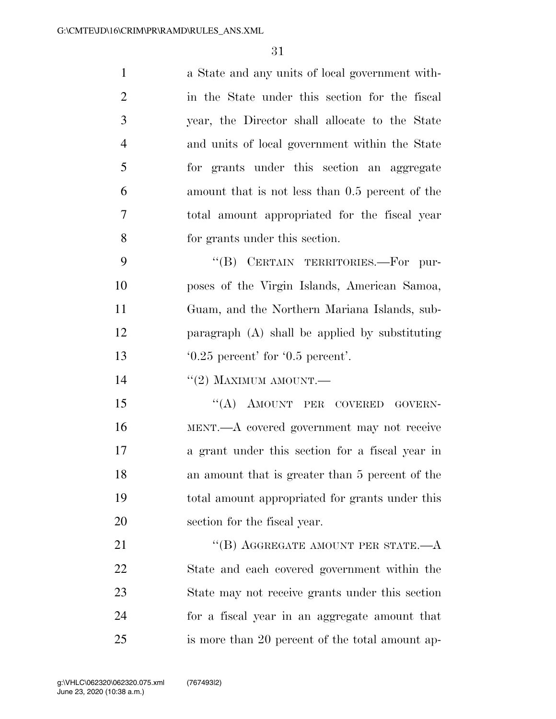| $\mathbf{1}$   | a State and any units of local government with- |
|----------------|-------------------------------------------------|
| $\overline{2}$ | in the State under this section for the fiscal  |
| 3              | year, the Director shall allocate to the State  |
| $\overline{4}$ | and units of local government within the State  |
| 5              | for grants under this section an aggregate      |
| 6              | amount that is not less than 0.5 percent of the |
| $\tau$         | total amount appropriated for the fiscal year   |
| 8              | for grants under this section.                  |
| 9              | "(B) CERTAIN TERRITORIES.—For pur-              |
|                |                                                 |

 poses of the Virgin Islands, American Samoa, Guam, and the Northern Mariana Islands, sub- paragraph (A) shall be applied by substituting '0.25 percent' for '0.5 percent'.

14  $((2)$  MAXIMUM AMOUNT.

15 "(A) AMOUNT PER COVERED GOVERN- MENT.—A covered government may not receive a grant under this section for a fiscal year in an amount that is greater than 5 percent of the total amount appropriated for grants under this section for the fiscal year.

21 "(B) AGGREGATE AMOUNT PER STATE.—A State and each covered government within the State may not receive grants under this section for a fiscal year in an aggregate amount that is more than 20 percent of the total amount ap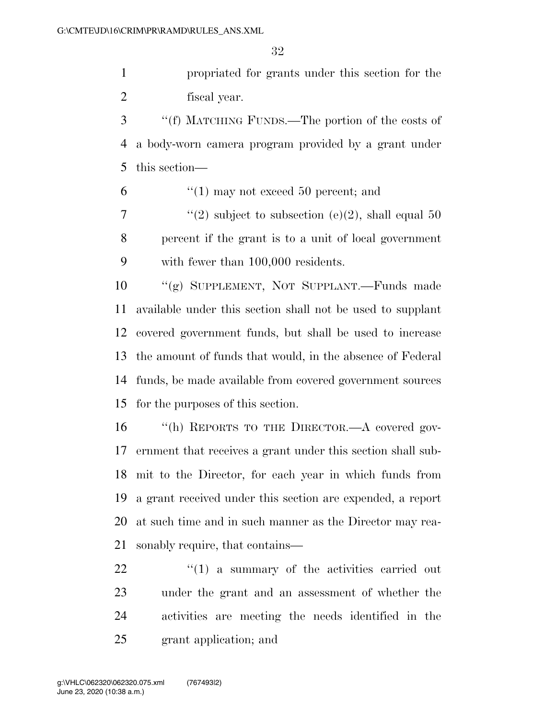propriated for grants under this section for the fiscal year.

 ''(f) MATCHING FUNDS.—The portion of the costs of a body-worn camera program provided by a grant under this section—

''(1) may not exceed 50 percent; and

7  $\frac{4}{2}$  subject to subsection (e)(2), shall equal 50 percent if the grant is to a unit of local government with fewer than 100,000 residents.

 ''(g) SUPPLEMENT, NOT SUPPLANT.—Funds made available under this section shall not be used to supplant covered government funds, but shall be used to increase the amount of funds that would, in the absence of Federal funds, be made available from covered government sources for the purposes of this section.

 ''(h) REPORTS TO THE DIRECTOR.—A covered gov- ernment that receives a grant under this section shall sub- mit to the Director, for each year in which funds from a grant received under this section are expended, a report at such time and in such manner as the Director may rea-sonably require, that contains—

  $(1)$  a summary of the activities carried out under the grant and an assessment of whether the activities are meeting the needs identified in the grant application; and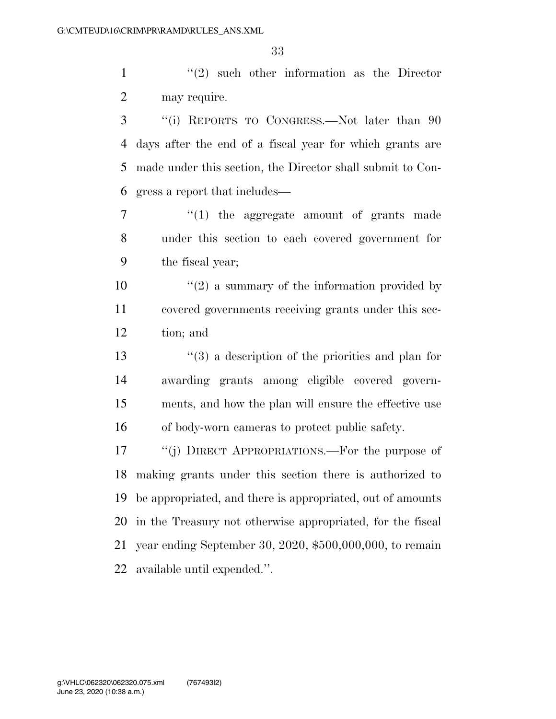$\mathcal{L}(2)$  such other information as the Director may require.

 ''(i) REPORTS TO CONGRESS.—Not later than 90 days after the end of a fiscal year for which grants are made under this section, the Director shall submit to Con-gress a report that includes—

7 ''(1) the aggregate amount of grants made under this section to each covered government for the fiscal year;

 ''(2) a summary of the information provided by covered governments receiving grants under this sec-tion; and

 ''(3) a description of the priorities and plan for awarding grants among eligible covered govern- ments, and how the plan will ensure the effective use of body-worn cameras to protect public safety.

 ''(j) DIRECT APPROPRIATIONS.—For the purpose of making grants under this section there is authorized to be appropriated, and there is appropriated, out of amounts in the Treasury not otherwise appropriated, for the fiscal year ending September 30, 2020, \$500,000,000, to remain available until expended.''.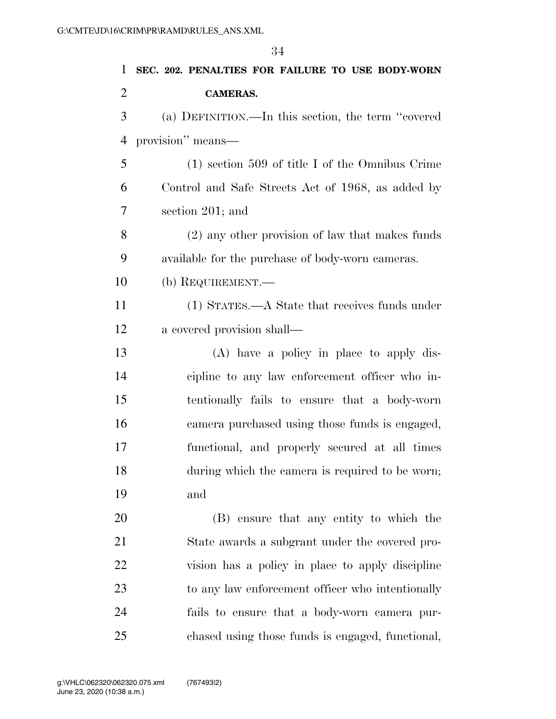| $\mathbf{1}$   | SEC. 202. PENALTIES FOR FAILURE TO USE BODY-WORN   |
|----------------|----------------------------------------------------|
| $\overline{2}$ | <b>CAMERAS.</b>                                    |
| 3              | (a) DEFINITION.—In this section, the term "covered |
| 4              | provision" means—                                  |
| 5              | $(1)$ section 509 of title I of the Omnibus Crime  |
| 6              | Control and Safe Streets Act of 1968, as added by  |
| 7              | section 201; and                                   |
| 8              | (2) any other provision of law that makes funds    |
| 9              | available for the purchase of body-worn cameras.   |
| 10             | (b) REQUIREMENT.—                                  |
| 11             | $(1)$ STATES.—A State that receives funds under    |
| 12             | a covered provision shall-                         |
| 13             | (A) have a policy in place to apply dis-           |
| 14             | cipline to any law enforcement officer who in-     |
| 15             | tentionally fails to ensure that a body-worn       |
| 16             | camera purchased using those funds is engaged,     |
| 17             | functional, and properly secured at all times      |
| 18             | during which the camera is required to be worn;    |
| 19             | and                                                |
| 20             | (B) ensure that any entity to which the            |
| 21             | State awards a subgrant under the covered pro-     |
| 22             | vision has a policy in place to apply discipline   |
| 23             | to any law enforcement officer who intentionally   |
| 24             | fails to ensure that a body-worn camera pur-       |
| 25             | chased using those funds is engaged, functional,   |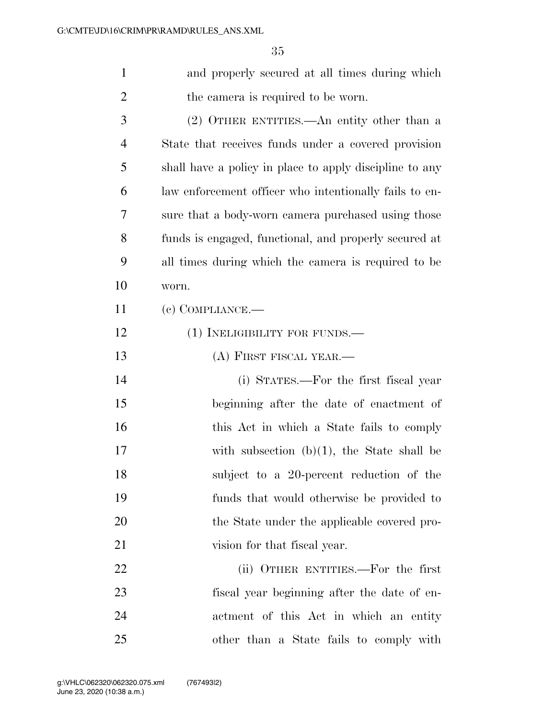and properly secured at all times during which 2 the camera is required to be worn. (2) OTHER ENTITIES.—An entity other than a State that receives funds under a covered provision

 shall have a policy in place to apply discipline to any law enforcement officer who intentionally fails to en- sure that a body-worn camera purchased using those funds is engaged, functional, and properly secured at all times during which the camera is required to be worn.

(c) COMPLIANCE.—

- 12 (1) INELIGIBILITY FOR FUNDS.—
- 13 (A) FIRST FISCAL YEAR.—

 (i) STATES.—For the first fiscal year beginning after the date of enactment of 16 this Act in which a State fails to comply with subsection (b)(1), the State shall be subject to a 20-percent reduction of the funds that would otherwise be provided to 20 the State under the applicable covered pro-21 vision for that fiscal year.

22 (ii) OTHER ENTITIES.—For the first fiscal year beginning after the date of en- actment of this Act in which an entity other than a State fails to comply with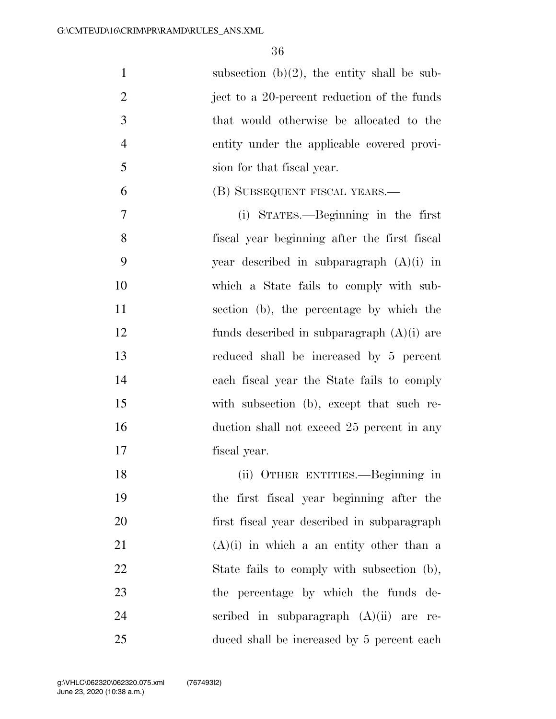1 subsection  $(b)(2)$ , the entity shall be sub-2 ject to a 20-percent reduction of the funds that would otherwise be allocated to the entity under the applicable covered provi-sion for that fiscal year.

## (B) SUBSEQUENT FISCAL YEARS.—

 (i) STATES.—Beginning in the first fiscal year beginning after the first fiscal year described in subparagraph (A)(i) in which a State fails to comply with sub- section (b), the percentage by which the funds described in subparagraph (A)(i) are reduced shall be increased by 5 percent each fiscal year the State fails to comply with subsection (b), except that such re-16 duction shall not exceed 25 percent in any fiscal year.

 (ii) OTHER ENTITIES.—Beginning in the first fiscal year beginning after the first fiscal year described in subparagraph  $(A)(i)$  in which a an entity other than a 22 State fails to comply with subsection (b), the percentage by which the funds de- scribed in subparagraph (A)(ii) are re-duced shall be increased by 5 percent each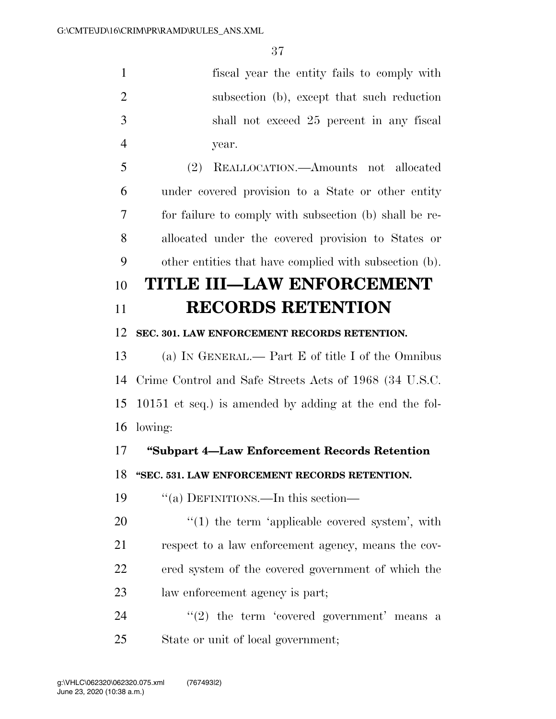| $\mathbf{1}$   | fiscal year the entity fails to comply with               |
|----------------|-----------------------------------------------------------|
| $\overline{2}$ | subsection (b), except that such reduction                |
| 3              | shall not exceed 25 percent in any fiscal                 |
| $\overline{4}$ | year.                                                     |
| 5              | REALLOCATION.—Amounts not allocated<br>(2)                |
| 6              | under covered provision to a State or other entity        |
| 7              | for failure to comply with subsection (b) shall be re-    |
| 8              | allocated under the covered provision to States or        |
| 9              | other entities that have complied with subsection (b).    |
| 10             | <b>TITLE III-LAW ENFORCEMENT</b>                          |
| 11             | <b>RECORDS RETENTION</b>                                  |
| 12             | SEC. 301. LAW ENFORCEMENT RECORDS RETENTION.              |
| 13             | (a) IN GENERAL.— Part E of title I of the Omnibus         |
| 14             | Crime Control and Safe Streets Acts of 1968 (34 U.S.C.    |
| 15             | $10151$ et seq.) is amended by adding at the end the fol- |
| 16             | lowing:                                                   |
| 17             | "Subpart 4-Law Enforcement Records Retention              |
| 18             | "SEC. 531. LAW ENFORCEMENT RECORDS RETENTION.             |
| 19             | "(a) DEFINITIONS.—In this section—                        |
| 20             | $\lq(1)$ the term 'applicable covered system', with       |
| 21             | respect to a law enforcement agency, means the cov-       |
| 22             | ered system of the covered government of which the        |
| 23             | law enforcement agency is part;                           |
| 24             | $(2)$ the term 'covered government' means a               |
| 25             | State or unit of local government;                        |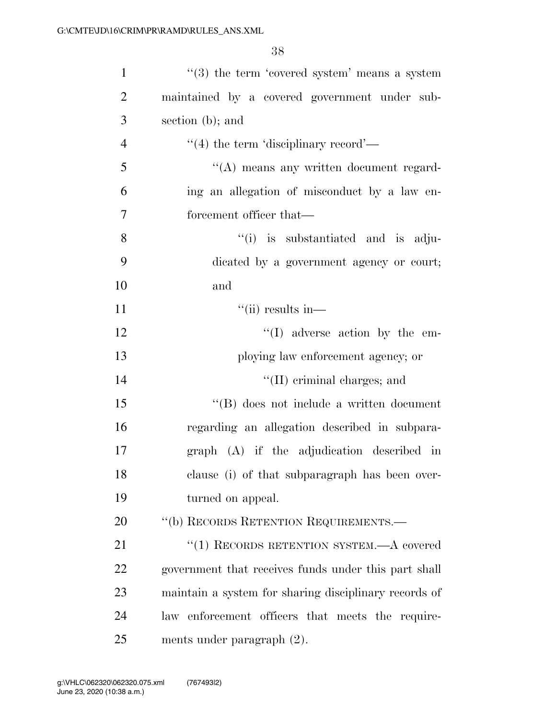| $\mathbf{1}$   | $\lq(3)$ the term 'covered system' means a system     |
|----------------|-------------------------------------------------------|
| $\overline{2}$ | maintained by a covered government under sub-         |
| 3              | section (b); and                                      |
| $\overline{4}$ | $\cdot$ (4) the term 'disciplinary record'—           |
| 5              | "(A) means any written document regard-               |
| 6              | ing an allegation of misconduct by a law en-          |
| $\tau$         | forcement officer that—                               |
| 8              | "(i) is substantiated and is adju-                    |
| 9              | dicated by a government agency or court;              |
| 10             | and                                                   |
| 11             | $``$ (ii) results in—                                 |
| 12             | $\lq\lq$ adverse action by the em-                    |
| 13             | ploying law enforcement agency; or                    |
| 14             | $\lq\lq$ (II) criminal charges; and                   |
| 15             | "(B) does not include a written document              |
| 16             | regarding an allegation described in subpara-         |
| 17             | graph (A) if the adjudication described in            |
| 18             | clause (i) of that subparagraph has been over-        |
| 19             | turned on appeal.                                     |
| 20             | "(b) RECORDS RETENTION REQUIREMENTS.—                 |
| 21             | "(1) RECORDS RETENTION SYSTEM.—A covered              |
| 22             | government that receives funds under this part shall  |
| 23             | maintain a system for sharing disciplinary records of |
| 24             | law enforcement officers that meets the require-      |
| 25             | ments under paragraph $(2)$ .                         |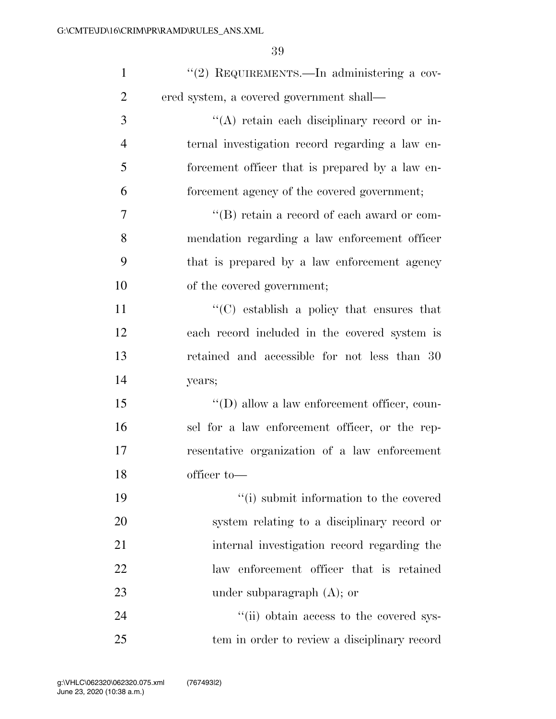| $\mathbf{1}$   | "(2) REQUIREMENTS.—In administering a cov-          |
|----------------|-----------------------------------------------------|
| $\overline{2}$ | ered system, a covered government shall—            |
| 3              | $\lq\lq$ retain each disciplinary record or in-     |
| $\overline{4}$ | ternal investigation record regarding a law en-     |
| 5              | forcement officer that is prepared by a law en-     |
| 6              | forcement agency of the covered government;         |
| 7              | $\lq\lq$ retain a record of each award or com-      |
| 8              | mendation regarding a law enforcement officer       |
| 9              | that is prepared by a law enforcement agency        |
| 10             | of the covered government;                          |
| 11             | $\cdot$ (C) establish a policy that ensures that    |
| 12             | each record included in the covered system is       |
| 13             | retained and accessible for not less than 30        |
| 14             | years;                                              |
| 15             | $\lq\lq$ (D) allow a law enforcement officer, coun- |
| 16             | sel for a law enforcement officer, or the rep-      |
| 17             | resentative organization of a law enforcement       |
| 18             | officer to-                                         |
| 19             | "(i) submit information to the covered              |
| 20             | system relating to a disciplinary record or         |
| 21             | internal investigation record regarding the         |
| 22             | law enforcement officer that is retained            |
| 23             | under subparagraph $(A)$ ; or                       |
| 24             | "(ii) obtain access to the covered sys-             |
| 25             | tem in order to review a disciplinary record        |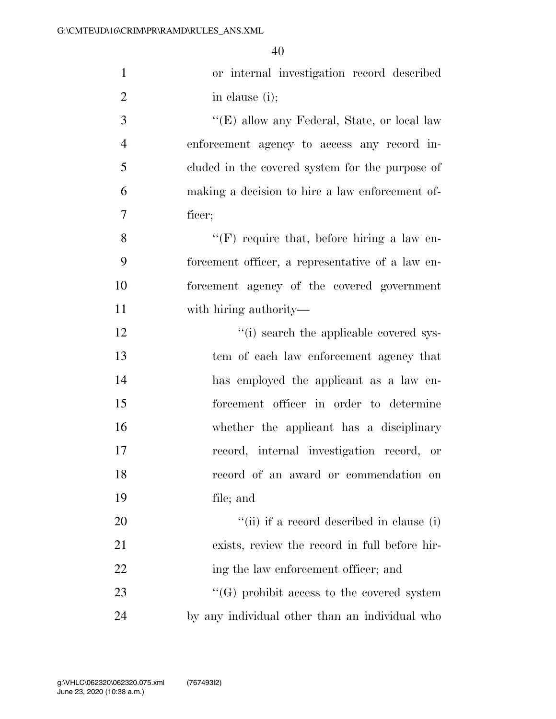| $\mathbf{1}$   | or internal investigation record described        |
|----------------|---------------------------------------------------|
| $\overline{2}$ | in clause (i);                                    |
| 3              | "(E) allow any Federal, State, or local law       |
| $\overline{4}$ | enforcement agency to access any record in-       |
| 5              | cluded in the covered system for the purpose of   |
| 6              | making a decision to hire a law enforcement of-   |
| 7              | ficer;                                            |
| 8              | "(F) require that, before hiring a law en-        |
| 9              | forcement officer, a representative of a law en-  |
| 10             | forcement agency of the covered government        |
| 11             | with hiring authority—                            |
| 12             | "(i) search the applicable covered sys-           |
| 13             | tem of each law enforcement agency that           |
| 14             | has employed the applicant as a law en-           |
| 15             | forcement officer in order to determine           |
| 16             | whether the applicant has a disciplinary          |
| 17             | record, internal investigation record, or         |
| 18             | record of an award or commendation on             |
| 19             | file; and                                         |
| 20             | "(ii) if a record described in clause (i)         |
| 21             | exists, review the record in full before hir-     |
| 22             | ing the law enforcement officer; and              |
| 23             | $\lq\lq(G)$ prohibit access to the covered system |
| 24             | by any individual other than an individual who    |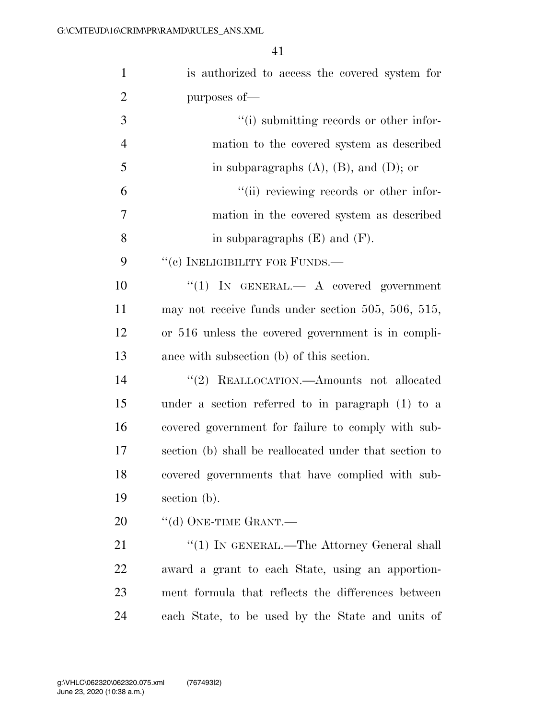| $\mathbf{1}$   | is authorized to access the covered system for          |
|----------------|---------------------------------------------------------|
| $\overline{2}$ | purposes of-                                            |
| 3              | "(i) submitting records or other infor-                 |
| $\overline{4}$ | mation to the covered system as described               |
| 5              | in subparagraphs $(A)$ , $(B)$ , and $(D)$ ; or         |
| 6              | "(ii) reviewing records or other infor-                 |
| $\tau$         | mation in the covered system as described               |
| 8              | in subparagraphs $(E)$ and $(F)$ .                      |
| 9              | "(c) INELIGIBILITY FOR FUNDS.—                          |
| 10             | "(1) IN GENERAL. $\longrightarrow$ A covered government |
| 11             | may not receive funds under section 505, 506, 515,      |
| 12             | or 516 unless the covered government is in compli-      |
| 13             | ance with subsection (b) of this section.               |
| 14             | $``(2)$ REALLOCATION.—Amounts not allocated             |
| 15             | under a section referred to in paragraph (1) to a       |
| 16             | covered government for failure to comply with sub-      |
| 17             | section (b) shall be reallocated under that section to  |
| 18             | covered governments that have complied with sub-        |
| 19             | section (b).                                            |
| 20             | $``$ (d) ONE-TIME GRANT.—                               |
| 21             | "(1) IN GENERAL.—The Attorney General shall             |
| 22             | award a grant to each State, using an apportion-        |
| 23             | ment formula that reflects the differences between      |
| 24             | each State, to be used by the State and units of        |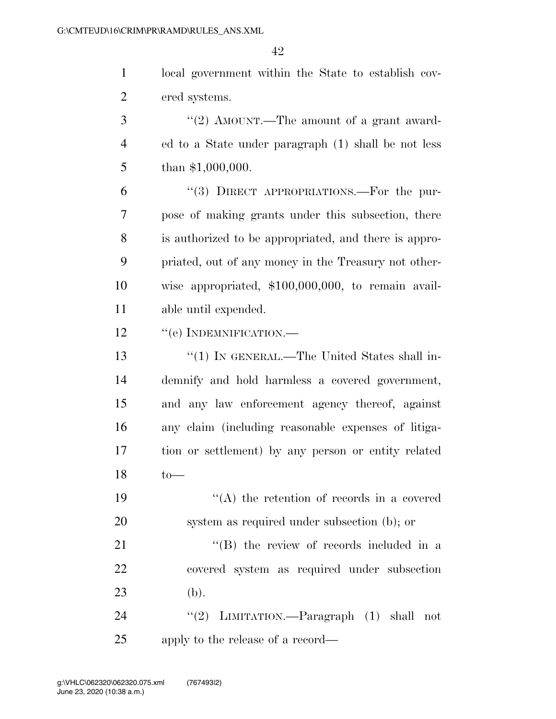local government within the State to establish cov-ered systems.

3 "(2) AMOUNT.—The amount of a grant award- ed to a State under paragraph (1) shall be not less 5 than \$1,000,000.

6 "(3) DIRECT APPROPRIATIONS.—For the pur- pose of making grants under this subsection, there is authorized to be appropriated, and there is appro- priated, out of any money in the Treasury not other- wise appropriated, \$100,000,000, to remain avail-able until expended.

12 " (e) INDEMNIFICATION.—

13 "(1) IN GENERAL.—The United States shall in- demnify and hold harmless a covered government, and any law enforcement agency thereof, against any claim (including reasonable expenses of litiga- tion or settlement) by any person or entity related to—

 ''(A) the retention of records in a covered system as required under subsection (b); or

21 ''(B) the review of records included in a covered system as required under subsection 23 (b).

24 "(2) LIMITATION.—Paragraph (1) shall not apply to the release of a record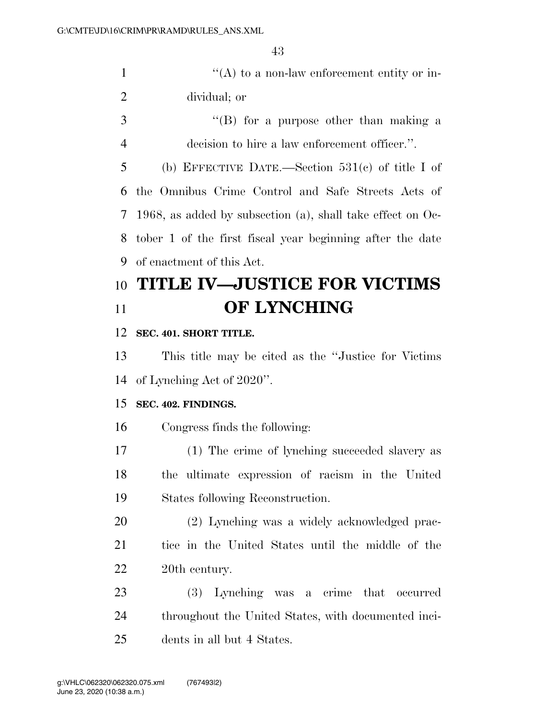$'(\mathbf{A})$  to a non-law enforcement entity or in-dividual; or

3 ''(B) for a purpose other than making a decision to hire a law enforcement officer.''.

 (b) EFFECTIVE DATE.—Section 531(c) of title I of the Omnibus Crime Control and Safe Streets Acts of 1968, as added by subsection (a), shall take effect on Oc- tober 1 of the first fiscal year beginning after the date of enactment of this Act.

# **TITLE IV—JUSTICE FOR VICTIMS OF LYNCHING**

# **SEC. 401. SHORT TITLE.**

 This title may be cited as the ''Justice for Victims of Lynching Act of 2020''.

# **SEC. 402. FINDINGS.**

Congress finds the following:

 (1) The crime of lynching succeeded slavery as the ultimate expression of racism in the United States following Reconstruction.

 (2) Lynching was a widely acknowledged prac- tice in the United States until the middle of the 20th century.

 (3) Lynching was a crime that occurred throughout the United States, with documented inci-dents in all but 4 States.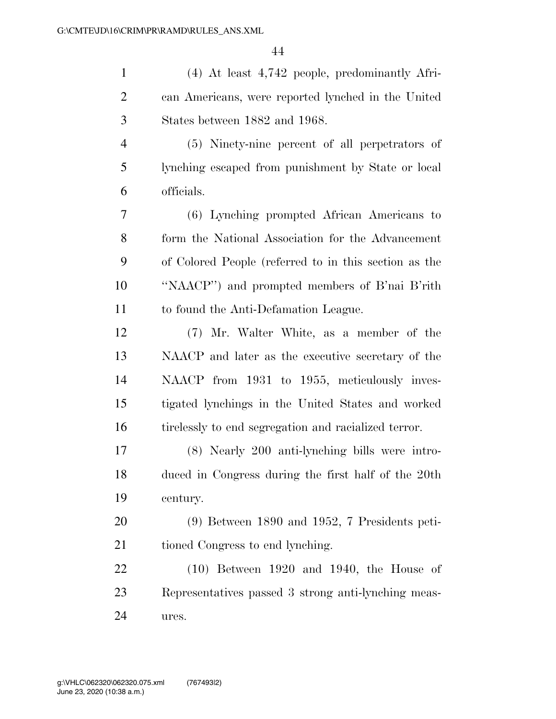(4) At least 4,742 people, predominantly Afri- can Americans, were reported lynched in the United States between 1882 and 1968. (5) Ninety-nine percent of all perpetrators of lynching escaped from punishment by State or local officials. (6) Lynching prompted African Americans to form the National Association for the Advancement of Colored People (referred to in this section as the ''NAACP'') and prompted members of B'nai B'rith to found the Anti-Defamation League. (7) Mr. Walter White, as a member of the NAACP and later as the executive secretary of the NAACP from 1931 to 1955, meticulously inves- tigated lynchings in the United States and worked tirelessly to end segregation and racialized terror. (8) Nearly 200 anti-lynching bills were intro- duced in Congress during the first half of the 20th century. (9) Between 1890 and 1952, 7 Presidents peti-21 tioned Congress to end lynching. (10) Between 1920 and 1940, the House of Representatives passed 3 strong anti-lynching meas-ures.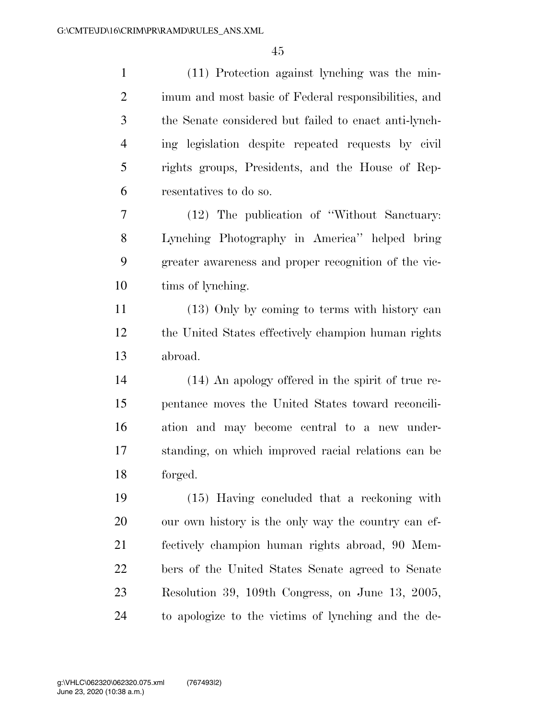| $\mathbf{1}$   | (11) Protection against lynching was the min-         |
|----------------|-------------------------------------------------------|
| $\overline{2}$ | imum and most basic of Federal responsibilities, and  |
| 3              | the Senate considered but failed to enact anti-lynch- |
| $\overline{4}$ | ing legislation despite repeated requests by civil    |
| 5              | rights groups, Presidents, and the House of Rep-      |
| 6              | resentatives to do so.                                |
| 7              | (12) The publication of "Without Sanctuary:           |
| 8              | Lynching Photography in America" helped bring         |
| 9              | greater awareness and proper recognition of the vic-  |
| 10             | times of lynching.                                    |
| 11             | (13) Only by coming to terms with history can         |
| 12             | the United States effectively champion human rights   |
| 13             | abroad.                                               |
| 14             | (14) An apology offered in the spirit of true re-     |
| 15             | pentance moves the United States toward reconcili-    |
| 16             | ation and may become central to a new under-          |
| 17             | standing, on which improved racial relations can be   |
| 18             | forged.                                               |
| 19             | (15) Having concluded that a reckoning with           |
| 20             | our own history is the only way the country can ef-   |
| 21             | fectively champion human rights abroad, 90 Mem-       |
| 22             | bers of the United States Senate agreed to Senate     |
| 23             | Resolution 39, 109th Congress, on June 13, 2005,      |
| 24             | to apologize to the victims of lynching and the de-   |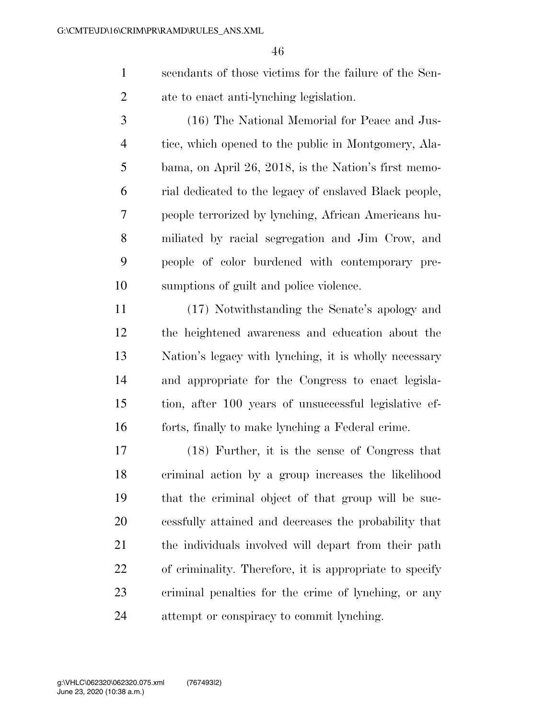scendants of those victims for the failure of the Sen-ate to enact anti-lynching legislation.

 (16) The National Memorial for Peace and Jus- tice, which opened to the public in Montgomery, Ala- bama, on April 26, 2018, is the Nation's first memo- rial dedicated to the legacy of enslaved Black people, people terrorized by lynching, African Americans hu- miliated by racial segregation and Jim Crow, and people of color burdened with contemporary pre-sumptions of guilt and police violence.

 (17) Notwithstanding the Senate's apology and the heightened awareness and education about the Nation's legacy with lynching, it is wholly necessary and appropriate for the Congress to enact legisla- tion, after 100 years of unsuccessful legislative ef-forts, finally to make lynching a Federal crime.

 (18) Further, it is the sense of Congress that criminal action by a group increases the likelihood that the criminal object of that group will be suc- cessfully attained and decreases the probability that the individuals involved will depart from their path of criminality. Therefore, it is appropriate to specify criminal penalties for the crime of lynching, or any attempt or conspiracy to commit lynching.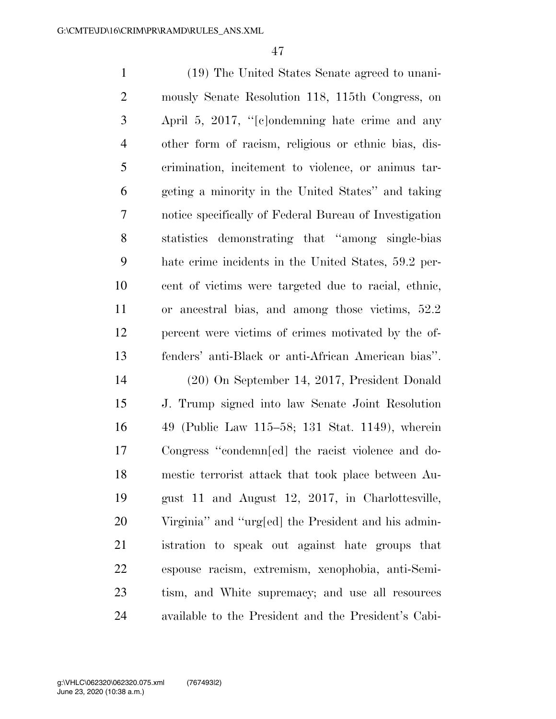(19) The United States Senate agreed to unani- mously Senate Resolution 118, 115th Congress, on April 5, 2017, ''[c]ondemning hate crime and any other form of racism, religious or ethnic bias, dis- crimination, incitement to violence, or animus tar- geting a minority in the United States'' and taking notice specifically of Federal Bureau of Investigation statistics demonstrating that ''among single-bias hate crime incidents in the United States, 59.2 per- cent of victims were targeted due to racial, ethnic, or ancestral bias, and among those victims, 52.2 percent were victims of crimes motivated by the of- fenders' anti-Black or anti-African American bias''. (20) On September 14, 2017, President Donald J. Trump signed into law Senate Joint Resolution 49 (Public Law 115–58; 131 Stat. 1149), wherein Congress ''condemn[ed] the racist violence and do- mestic terrorist attack that took place between Au- gust 11 and August 12, 2017, in Charlottesville, Virginia'' and ''urg[ed] the President and his admin- istration to speak out against hate groups that espouse racism, extremism, xenophobia, anti-Semi- tism, and White supremacy; and use all resources available to the President and the President's Cabi-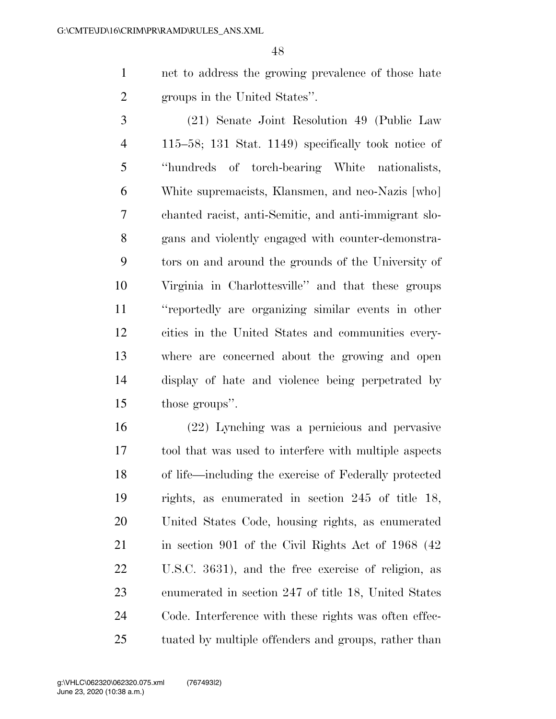net to address the growing prevalence of those hate groups in the United States''.

 (21) Senate Joint Resolution 49 (Public Law 115–58; 131 Stat. 1149) specifically took notice of ''hundreds of torch-bearing White nationalists, White supremacists, Klansmen, and neo-Nazis [who] chanted racist, anti-Semitic, and anti-immigrant slo- gans and violently engaged with counter-demonstra- tors on and around the grounds of the University of Virginia in Charlottesville'' and that these groups ''reportedly are organizing similar events in other cities in the United States and communities every- where are concerned about the growing and open display of hate and violence being perpetrated by those groups''.

 (22) Lynching was a pernicious and pervasive tool that was used to interfere with multiple aspects of life—including the exercise of Federally protected rights, as enumerated in section 245 of title 18, United States Code, housing rights, as enumerated 21 in section 901 of the Civil Rights Act of 1968 (42) U.S.C. 3631), and the free exercise of religion, as enumerated in section 247 of title 18, United States Code. Interference with these rights was often effec-tuated by multiple offenders and groups, rather than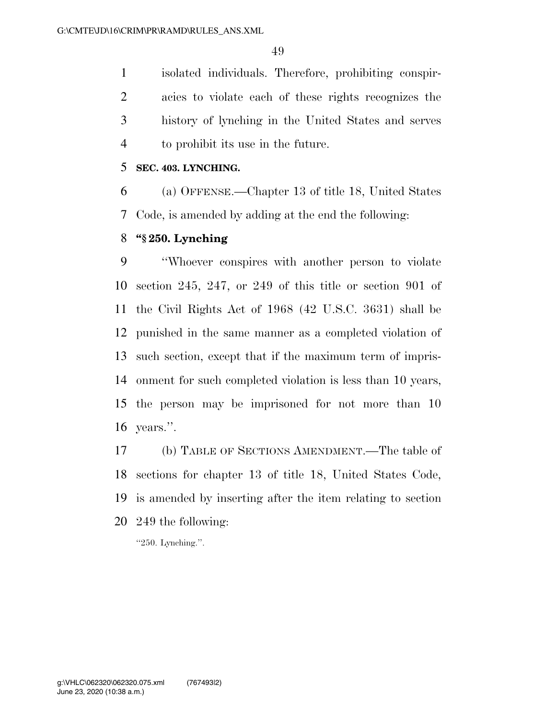isolated individuals. Therefore, prohibiting conspir- acies to violate each of these rights recognizes the history of lynching in the United States and serves to prohibit its use in the future.

# **SEC. 403. LYNCHING.**

 (a) OFFENSE.—Chapter 13 of title 18, United States Code, is amended by adding at the end the following:

# **''§ 250. Lynching**

 ''Whoever conspires with another person to violate section 245, 247, or 249 of this title or section 901 of the Civil Rights Act of 1968 (42 U.S.C. 3631) shall be punished in the same manner as a completed violation of such section, except that if the maximum term of impris- onment for such completed violation is less than 10 years, the person may be imprisoned for not more than 10 years.''.

 (b) TABLE OF SECTIONS AMENDMENT.—The table of sections for chapter 13 of title 18, United States Code, is amended by inserting after the item relating to section 249 the following:

''250. Lynching.''.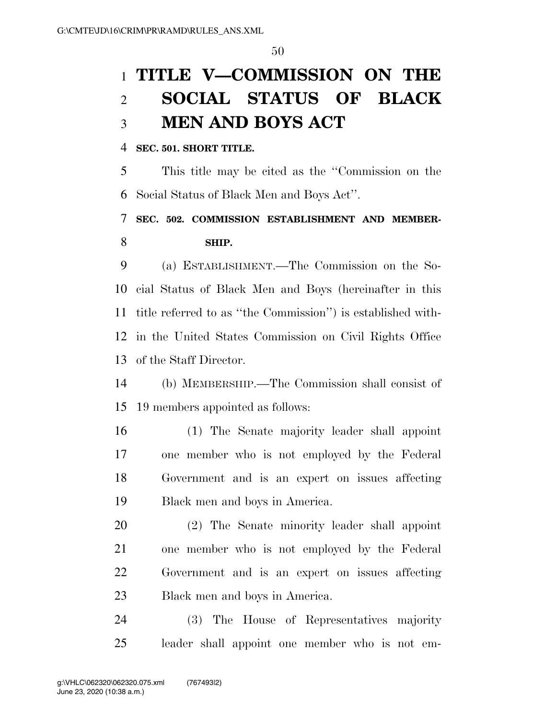# **TITLE V—COMMISSION ON THE SOCIAL STATUS OF BLACK MEN AND BOYS ACT**

### **SEC. 501. SHORT TITLE.**

 This title may be cited as the ''Commission on the Social Status of Black Men and Boys Act''.

# **SEC. 502. COMMISSION ESTABLISHMENT AND MEMBER-SHIP.**

 (a) ESTABLISHMENT.—The Commission on the So- cial Status of Black Men and Boys (hereinafter in this title referred to as ''the Commission'') is established with- in the United States Commission on Civil Rights Office of the Staff Director.

 (b) MEMBERSHIP.—The Commission shall consist of 19 members appointed as follows:

 (1) The Senate majority leader shall appoint one member who is not employed by the Federal Government and is an expert on issues affecting Black men and boys in America.

 (2) The Senate minority leader shall appoint one member who is not employed by the Federal Government and is an expert on issues affecting Black men and boys in America.

 (3) The House of Representatives majority leader shall appoint one member who is not em-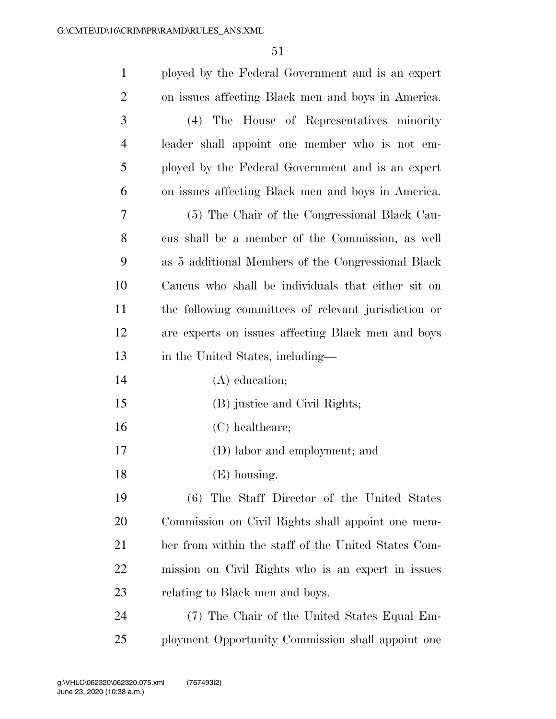| $\mathbf{1}$   | ployed by the Federal Government and is an expert    |
|----------------|------------------------------------------------------|
| $\overline{2}$ | on issues affecting Black men and boys in America.   |
| 3              | (4) The House of Representatives minority            |
| $\overline{4}$ | leader shall appoint one member who is not em-       |
| 5              | ployed by the Federal Government and is an expert    |
| 6              | on issues affecting Black men and boys in America.   |
| 7              | (5) The Chair of the Congressional Black Cau-        |
| 8              | cus shall be a member of the Commission, as well     |
| 9              | as 5 additional Members of the Congressional Black   |
| 10             | Caucus who shall be individuals that either sit on   |
| 11             | the following committees of relevant jurisdiction or |
| 12             | are experts on issues affecting Black men and boys   |
| 13             | in the United States, including—                     |
| 14             | (A) education;                                       |
| 15             | (B) justice and Civil Rights;                        |
| 16             | (C) healthcare;                                      |
| 17             | (D) labor and employment; and                        |
| 18             | (E) housing.                                         |
| 19             | (6) The Staff Director of the United States          |
| 20             | Commission on Civil Rights shall appoint one mem-    |
| 21             | ber from within the staff of the United States Com-  |
| 22             | mission on Civil Rights who is an expert in issues   |
| 23             | relating to Black men and boys.                      |
| 24             | (7) The Chair of the United States Equal Em-         |
| 25             | ployment Opportunity Commission shall appoint one    |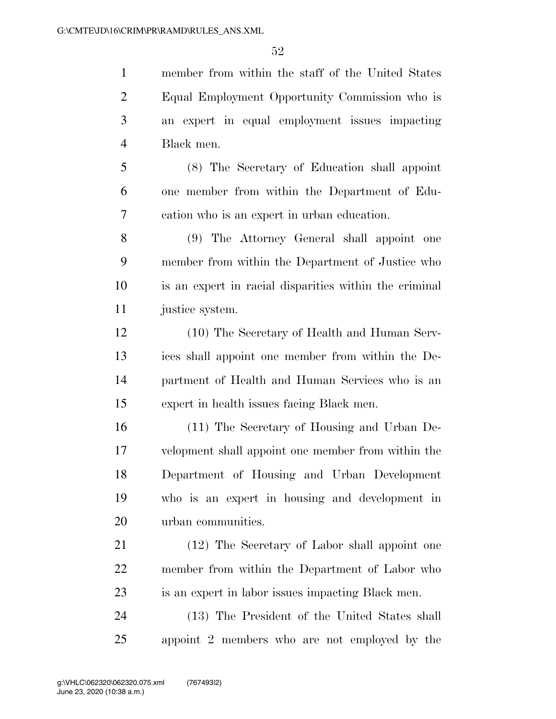member from within the staff of the United States Equal Employment Opportunity Commission who is an expert in equal employment issues impacting Black men.

 (8) The Secretary of Education shall appoint one member from within the Department of Edu-cation who is an expert in urban education.

 (9) The Attorney General shall appoint one member from within the Department of Justice who is an expert in racial disparities within the criminal justice system.

 (10) The Secretary of Health and Human Serv- ices shall appoint one member from within the De- partment of Health and Human Services who is an expert in health issues facing Black men.

 (11) The Secretary of Housing and Urban De- velopment shall appoint one member from within the Department of Housing and Urban Development who is an expert in housing and development in urban communities.

 (12) The Secretary of Labor shall appoint one member from within the Department of Labor who is an expert in labor issues impacting Black men.

 (13) The President of the United States shall appoint 2 members who are not employed by the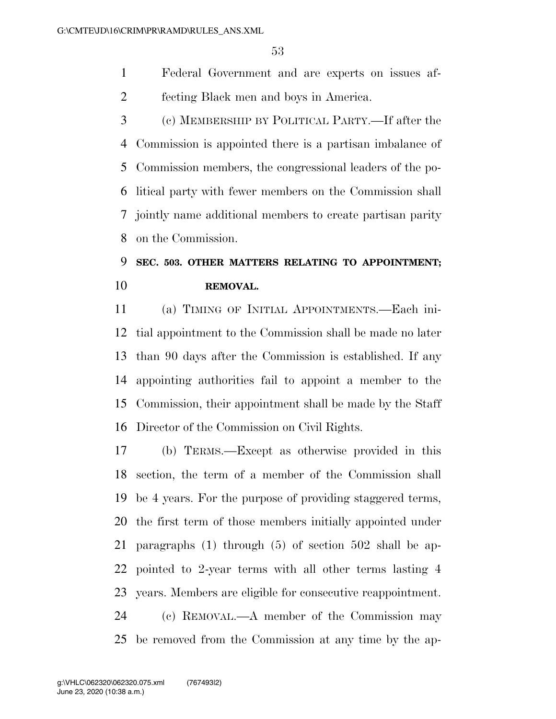- Federal Government and are experts on issues af-fecting Black men and boys in America.
- (c) MEMBERSHIP BY POLITICAL PARTY.—If after the Commission is appointed there is a partisan imbalance of Commission members, the congressional leaders of the po- litical party with fewer members on the Commission shall jointly name additional members to create partisan parity on the Commission.

# **SEC. 503. OTHER MATTERS RELATING TO APPOINTMENT; REMOVAL.**

 (a) TIMING OF INITIAL APPOINTMENTS.—Each ini- tial appointment to the Commission shall be made no later than 90 days after the Commission is established. If any appointing authorities fail to appoint a member to the Commission, their appointment shall be made by the Staff Director of the Commission on Civil Rights.

 (b) TERMS.—Except as otherwise provided in this section, the term of a member of the Commission shall be 4 years. For the purpose of providing staggered terms, the first term of those members initially appointed under paragraphs (1) through (5) of section 502 shall be ap- pointed to 2-year terms with all other terms lasting 4 years. Members are eligible for consecutive reappointment. (c) REMOVAL.—A member of the Commission may

be removed from the Commission at any time by the ap-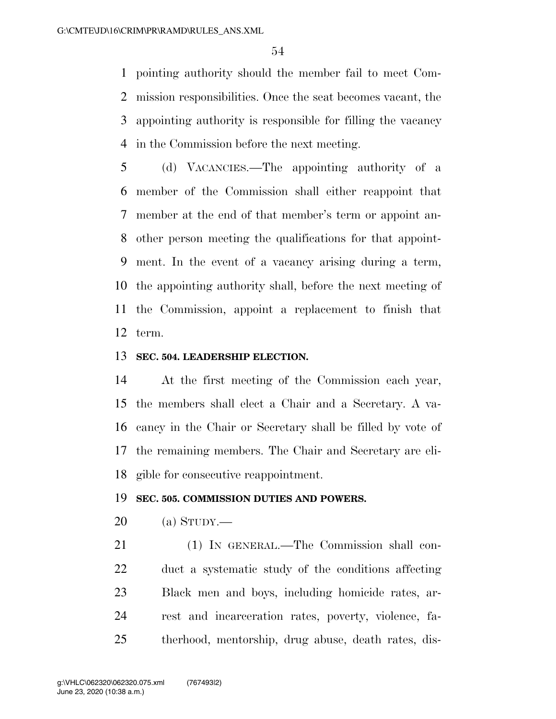pointing authority should the member fail to meet Com- mission responsibilities. Once the seat becomes vacant, the appointing authority is responsible for filling the vacancy in the Commission before the next meeting.

 (d) VACANCIES.—The appointing authority of a member of the Commission shall either reappoint that member at the end of that member's term or appoint an- other person meeting the qualifications for that appoint- ment. In the event of a vacancy arising during a term, the appointing authority shall, before the next meeting of the Commission, appoint a replacement to finish that term.

#### **SEC. 504. LEADERSHIP ELECTION.**

 At the first meeting of the Commission each year, the members shall elect a Chair and a Secretary. A va- cancy in the Chair or Secretary shall be filled by vote of the remaining members. The Chair and Secretary are eli-gible for consecutive reappointment.

#### **SEC. 505. COMMISSION DUTIES AND POWERS.**

(a) STUDY.—

 (1) IN GENERAL.—The Commission shall con- duct a systematic study of the conditions affecting Black men and boys, including homicide rates, ar- rest and incarceration rates, poverty, violence, fa-therhood, mentorship, drug abuse, death rates, dis-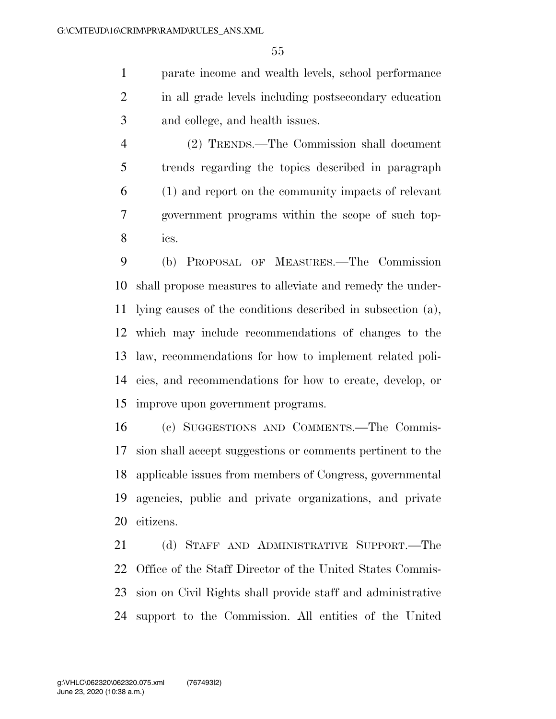parate income and wealth levels, school performance in all grade levels including postsecondary education and college, and health issues.

 (2) TRENDS.—The Commission shall document trends regarding the topics described in paragraph (1) and report on the community impacts of relevant government programs within the scope of such top-ics.

 (b) PROPOSAL OF MEASURES.—The Commission shall propose measures to alleviate and remedy the under- lying causes of the conditions described in subsection (a), which may include recommendations of changes to the law, recommendations for how to implement related poli- cies, and recommendations for how to create, develop, or improve upon government programs.

 (c) SUGGESTIONS AND COMMENTS.—The Commis- sion shall accept suggestions or comments pertinent to the applicable issues from members of Congress, governmental agencies, public and private organizations, and private citizens.

 (d) STAFF AND ADMINISTRATIVE SUPPORT.—The Office of the Staff Director of the United States Commis- sion on Civil Rights shall provide staff and administrative support to the Commission. All entities of the United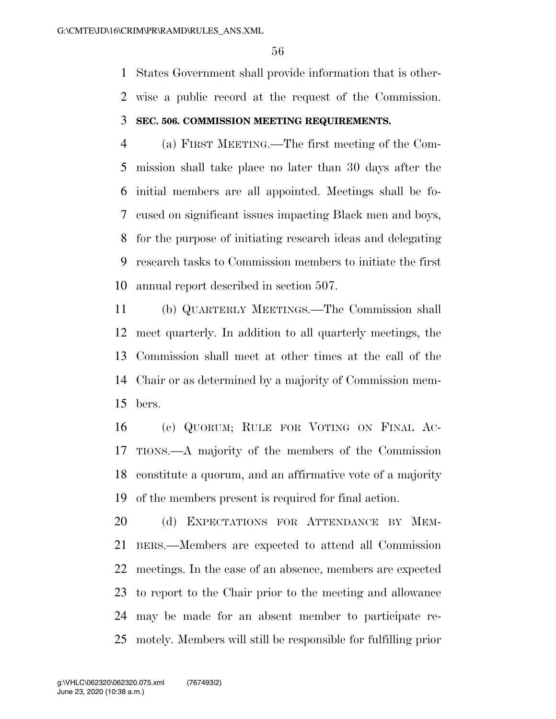States Government shall provide information that is other-wise a public record at the request of the Commission.

#### **SEC. 506. COMMISSION MEETING REQUIREMENTS.**

 (a) FIRST MEETING.—The first meeting of the Com- mission shall take place no later than 30 days after the initial members are all appointed. Meetings shall be fo- cused on significant issues impacting Black men and boys, for the purpose of initiating research ideas and delegating research tasks to Commission members to initiate the first annual report described in section 507.

 (b) QUARTERLY MEETINGS.—The Commission shall meet quarterly. In addition to all quarterly meetings, the Commission shall meet at other times at the call of the Chair or as determined by a majority of Commission mem-bers.

 (c) QUORUM; RULE FOR VOTING ON FINAL AC- TIONS.—A majority of the members of the Commission constitute a quorum, and an affirmative vote of a majority of the members present is required for final action.

20 (d) EXPECTATIONS FOR ATTENDANCE BY MEM- BERS.—Members are expected to attend all Commission meetings. In the case of an absence, members are expected to report to the Chair prior to the meeting and allowance may be made for an absent member to participate re-motely. Members will still be responsible for fulfilling prior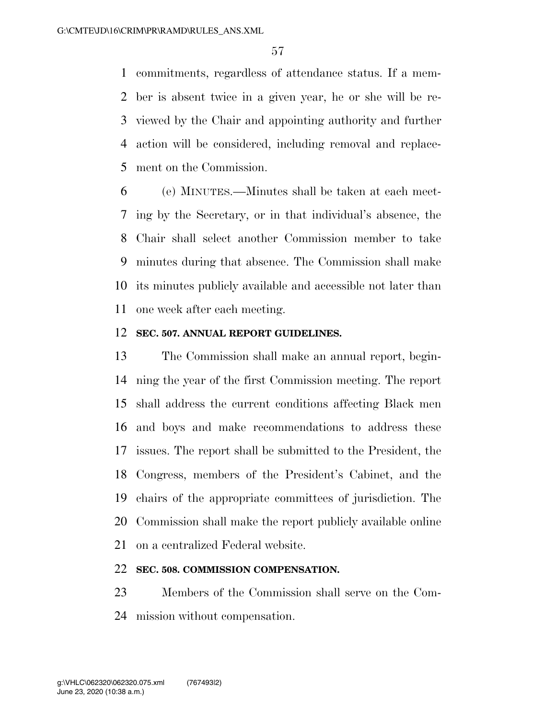commitments, regardless of attendance status. If a mem- ber is absent twice in a given year, he or she will be re- viewed by the Chair and appointing authority and further action will be considered, including removal and replace-ment on the Commission.

 (e) MINUTES.—Minutes shall be taken at each meet- ing by the Secretary, or in that individual's absence, the Chair shall select another Commission member to take minutes during that absence. The Commission shall make its minutes publicly available and accessible not later than one week after each meeting.

#### **SEC. 507. ANNUAL REPORT GUIDELINES.**

 The Commission shall make an annual report, begin- ning the year of the first Commission meeting. The report shall address the current conditions affecting Black men and boys and make recommendations to address these issues. The report shall be submitted to the President, the Congress, members of the President's Cabinet, and the chairs of the appropriate committees of jurisdiction. The Commission shall make the report publicly available online on a centralized Federal website.

# **SEC. 508. COMMISSION COMPENSATION.**

 Members of the Commission shall serve on the Com-mission without compensation.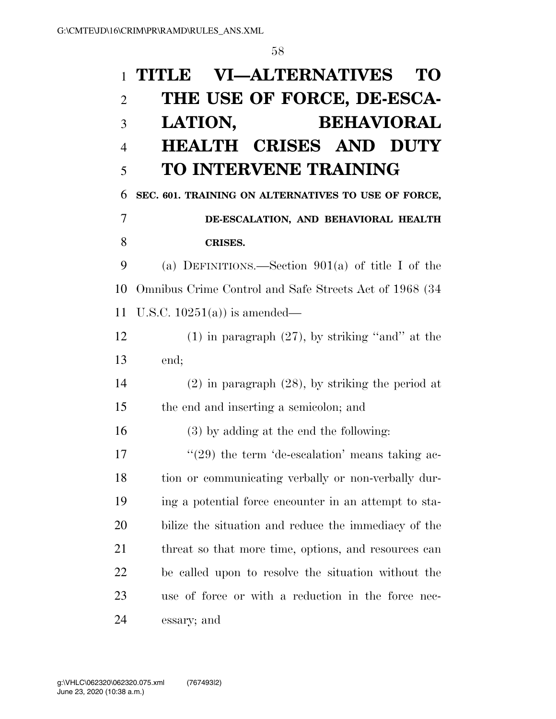| $\mathbf{1}$   | <b>VI-ALTERNATIVES</b><br>TITLE<br>TO                  |
|----------------|--------------------------------------------------------|
| $\overline{2}$ | THE USE OF FORCE, DE-ESCA-                             |
| 3              | <b>BEHAVIORAL</b><br><b>LATION,</b>                    |
| $\overline{4}$ | <b>HEALTH CRISES AND DUTY</b>                          |
| 5              | <b>TO INTERVENE TRAINING</b>                           |
| 6              | SEC. 601. TRAINING ON ALTERNATIVES TO USE OF FORCE,    |
| 7              | DE-ESCALATION, AND BEHAVIORAL HEALTH                   |
| 8              | <b>CRISES.</b>                                         |
| 9              | (a) DEFINITIONS.—Section $901(a)$ of title I of the    |
| 10             | Omnibus Crime Control and Safe Streets Act of 1968 (34 |
| 11             | U.S.C. $10251(a)$ is amended—                          |
| 12             | $(1)$ in paragraph $(27)$ , by striking "and" at the   |
| 13             | end;                                                   |
| 14             | $(2)$ in paragraph $(28)$ , by striking the period at  |
| 15             | the end and inserting a semicolon; and                 |
| 16             | (3) by adding at the end the following:                |
| 17             | $(29)$ the term 'de-escalation' means taking ac-       |
| 18             | tion or communicating verbally or non-verbally dur-    |
| 19             | ing a potential force encounter in an attempt to sta-  |
| 20             | bilize the situation and reduce the immediacy of the   |
| 21             | threat so that more time, options, and resources can   |
| 22             | be called upon to resolve the situation without the    |
| 23             | use of force or with a reduction in the force nec-     |
| 24             | essary; and                                            |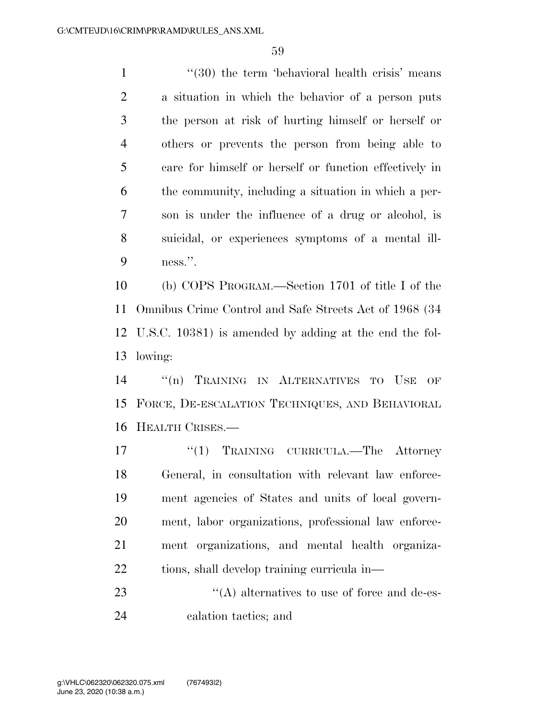1 ''(30) the term 'behavioral health crisis' means a situation in which the behavior of a person puts the person at risk of hurting himself or herself or others or prevents the person from being able to care for himself or herself or function effectively in the community, including a situation in which a per- son is under the influence of a drug or alcohol, is suicidal, or experiences symptoms of a mental ill-ness.''.

 (b) COPS PROGRAM.—Section 1701 of title I of the Omnibus Crime Control and Safe Streets Act of 1968 (34 U.S.C. 10381) is amended by adding at the end the fol-lowing:

 ''(n) TRAINING IN ALTERNATIVES TO USE OF FORCE, DE-ESCALATION TECHNIQUES, AND BEHAVIORAL HEALTH CRISES.—

17 ''(1) TRAINING CURRICULA.—The Attorney General, in consultation with relevant law enforce- ment agencies of States and units of local govern- ment, labor organizations, professional law enforce- ment organizations, and mental health organiza-tions, shall develop training curricula in—

23  $\langle (A)$  alternatives to use of force and de-es-calation tactics; and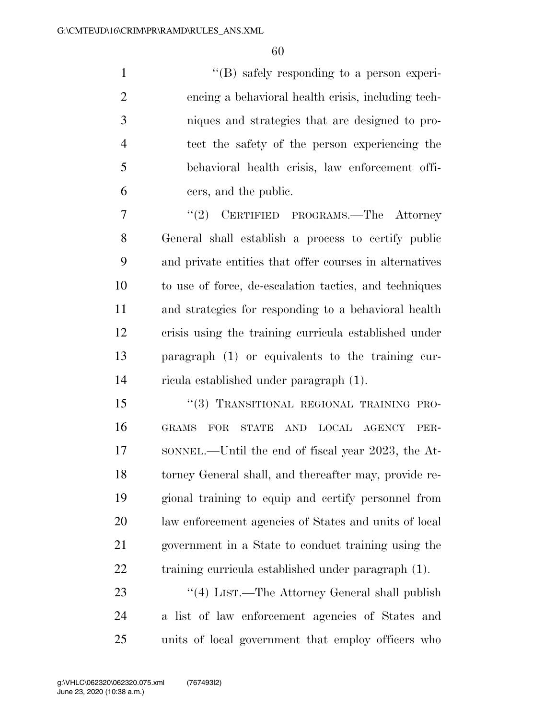1 ''(B) safely responding to a person experi- encing a behavioral health crisis, including tech- niques and strategies that are designed to pro- tect the safety of the person experiencing the behavioral health crisis, law enforcement offi-cers, and the public.

 ''(2) CERTIFIED PROGRAMS.—The Attorney General shall establish a process to certify public and private entities that offer courses in alternatives to use of force, de-escalation tactics, and techniques and strategies for responding to a behavioral health crisis using the training curricula established under paragraph (1) or equivalents to the training cur-ricula established under paragraph (1).

15 "(3) TRANSITIONAL REGIONAL TRAINING PRO- GRAMS FOR STATE AND LOCAL AGENCY PER- SONNEL.—Until the end of fiscal year 2023, the At- torney General shall, and thereafter may, provide re- gional training to equip and certify personnel from law enforcement agencies of States and units of local government in a State to conduct training using the training curricula established under paragraph (1).

23 "(4) LIST.—The Attorney General shall publish a list of law enforcement agencies of States and units of local government that employ officers who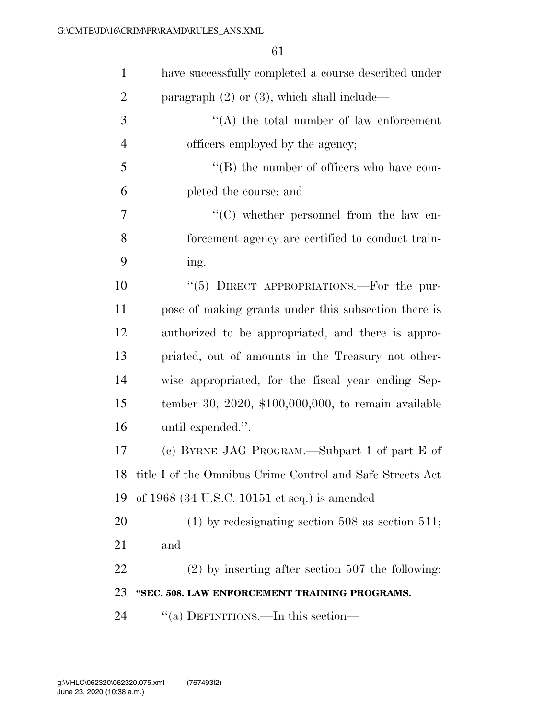| $\mathbf{1}$   | have successfully completed a course described under      |
|----------------|-----------------------------------------------------------|
| $\overline{2}$ | paragraph $(2)$ or $(3)$ , which shall include—           |
| 3              | $\lq\lq$ the total number of law enforcement              |
| $\overline{4}$ | officers employed by the agency;                          |
| 5              | $\lq\lq (B)$ the number of officers who have com-         |
| 6              | pleted the course; and                                    |
| 7              | $\lq\lq$ whether personnel from the law en-               |
| 8              | forcement agency are certified to conduct train-          |
| 9              | ing.                                                      |
| 10             | " $(5)$ DIRECT APPROPRIATIONS.—For the pur-               |
| 11             | pose of making grants under this subsection there is      |
| 12             | authorized to be appropriated, and there is appro-        |
| 13             | priated, out of amounts in the Treasury not other-        |
| 14             | wise appropriated, for the fiscal year ending Sep-        |
| 15             | tember 30, 2020, $$100,000,000$ , to remain available     |
| 16             | until expended.".                                         |
| 17             | (c) BYRNE JAG PROGRAM.—Subpart 1 of part E of             |
| 18             | title I of the Omnibus Crime Control and Safe Streets Act |
| 19             | of $1968$ (34 U.S.C. 10151 et seq.) is amended—           |
| 20             | $(1)$ by redesignating section 508 as section 511;        |
| 21             | and                                                       |
| 22             | $(2)$ by inserting after section 507 the following:       |
| 23             | "SEC. 508. LAW ENFORCEMENT TRAINING PROGRAMS.             |
| 24             | "(a) DEFINITIONS.—In this section—                        |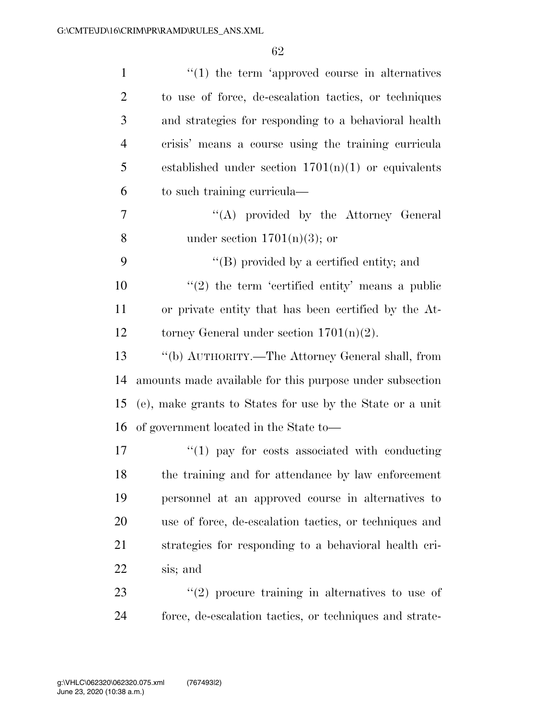| $\mathbf{1}$   | $\lq(1)$ the term 'approved course in alternatives        |
|----------------|-----------------------------------------------------------|
| $\overline{2}$ | to use of force, de-escalation tactics, or techniques     |
| 3              | and strategies for responding to a behavioral health      |
| $\overline{4}$ | crisis' means a course using the training curricula       |
| 5              | established under section $1701(n)(1)$ or equivalents     |
| 6              | to such training curricula—                               |
| 7              | "(A) provided by the Attorney General                     |
| 8              | under section $1701(n)(3)$ ; or                           |
| 9              | $\lq\lq (B)$ provided by a certified entity; and          |
| 10             | $\lq(2)$ the term 'certified entity' means a public       |
| 11             | or private entity that has been certified by the At-      |
| 12             | torney General under section $1701(n)(2)$ .               |
| 13             | "(b) AUTHORITY.—The Attorney General shall, from          |
| 14             | amounts made available for this purpose under subsection  |
| 15             | (e), make grants to States for use by the State or a unit |
| 16             | of government located in the State to-                    |
| 17             | $\lq(1)$ pay for costs associated with conducting         |
| 18             | the training and for attendance by law enforcement        |
| 19             | personnel at an approved course in alternatives to        |
| 20             | use of force, de-escalation tactics, or techniques and    |
| 21             | strategies for responding to a behavioral health cri-     |
| 22             | sis; and                                                  |
| 23             | $(2)$ procure training in alternatives to use of          |
| 24             | force, de-escalation tactics, or techniques and strate-   |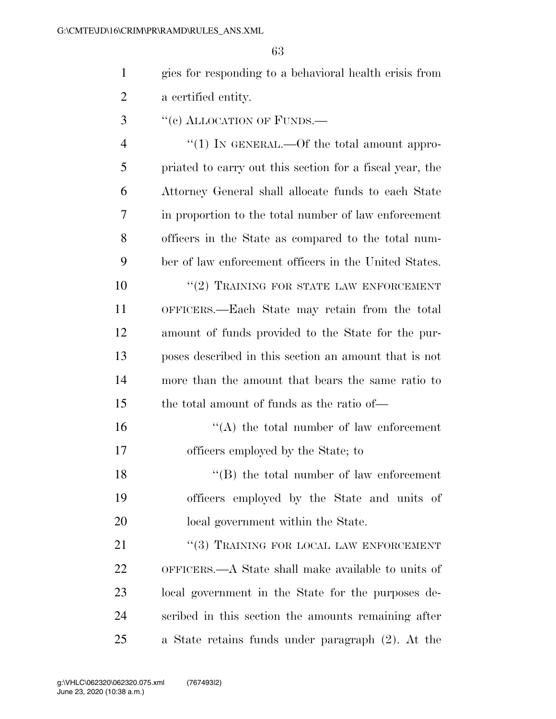- gies for responding to a behavioral health crisis from a certified entity.
- ''(c) ALLOCATION OF FUNDS.—

4 "(1) IN GENERAL.—Of the total amount appro- priated to carry out this section for a fiscal year, the Attorney General shall allocate funds to each State in proportion to the total number of law enforcement officers in the State as compared to the total num-ber of law enforcement officers in the United States.

10 <sup>"</sup>(2) TRAINING FOR STATE LAW ENFORCEMENT OFFICERS.—Each State may retain from the total amount of funds provided to the State for the pur- poses described in this section an amount that is not more than the amount that bears the same ratio to the total amount of funds as the ratio of—

16  $"$ (A) the total number of law enforcement officers employed by the State; to

18 ''(B) the total number of law enforcement officers employed by the State and units of local government within the State.

21 "(3) TRAINING FOR LOCAL LAW ENFORCEMENT OFFICERS.—A State shall make available to units of local government in the State for the purposes de- scribed in this section the amounts remaining after a State retains funds under paragraph (2). At the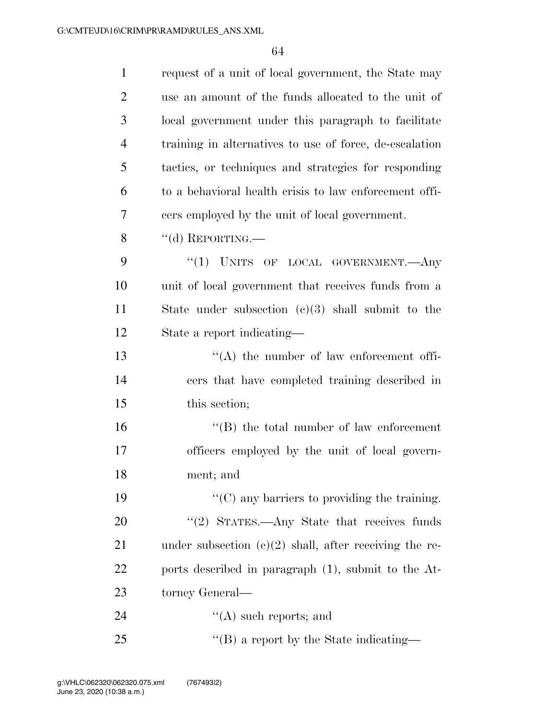| $\mathbf{1}$   | request of a unit of local government, the State may     |
|----------------|----------------------------------------------------------|
| $\overline{2}$ | use an amount of the funds allocated to the unit of      |
| 3              | local government under this paragraph to facilitate      |
| $\overline{4}$ | training in alternatives to use of force, de-escalation  |
| 5              | tactics, or techniques and strategies for responding     |
| 6              | to a behavioral health crisis to law enforcement offi-   |
| 7              | cers employed by the unit of local government.           |
| 8              | "(d) REPORTING.—                                         |
| 9              | "(1) UNITS OF LOCAL GOVERNMENT.—Any                      |
| 10             | unit of local government that receives funds from a      |
| 11             | State under subsection $(c)(3)$ shall submit to the      |
| 12             | State a report indicating—                               |
| 13             | $\lq\lq$ the number of law enforcement offi-             |
| 14             | cers that have completed training described in           |
| 15             | this section;                                            |
| 16             | $\lq\lq$ the total number of law enforcement             |
| 17             | officers employed by the unit of local govern-           |
| 18             | ment; and                                                |
| 19             | "(C) any barriers to providing the training.             |
| 20             | "(2) STATES.—Any State that receives funds               |
| 21             | under subsection $(c)(2)$ shall, after receiving the re- |
| 22             | ports described in paragraph (1), submit to the At-      |
| 23             | torney General—                                          |
| 24             | $\lq\lq$ such reports; and                               |
| 25             | $\lq\lq$ a report by the State indicating—               |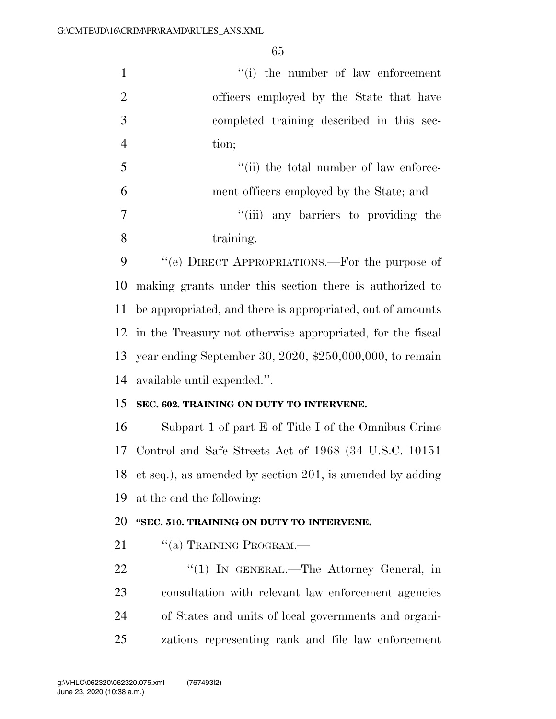| $\mathbf{1}$   | "(i) the number of law enforcement                         |
|----------------|------------------------------------------------------------|
| $\mathbf{2}$   | officers employed by the State that have                   |
| 3              | completed training described in this sec-                  |
| $\overline{4}$ | tion;                                                      |
| 5              | "(ii) the total number of law enforce-                     |
| 6              | ment officers employed by the State; and                   |
| $\tau$         | "(iii) any barriers to providing the                       |
| 8              | training.                                                  |
| 9              | "(e) DIRECT APPROPRIATIONS.—For the purpose of             |
| 10             | making grants under this section there is authorized to    |
| 11             | be appropriated, and there is appropriated, out of amounts |
| 12             | in the Treasury not otherwise appropriated, for the fiscal |
| 13             | year ending September 30, 2020, $$250,000,000$ , to remain |
| 14             | available until expended.".                                |
| 15             | SEC. 602. TRAINING ON DUTY TO INTERVENE.                   |
| 16             | Subpart 1 of part E of Title I of the Omnibus Crime        |
| 17             | Control and Safe Streets Act of 1968 (34 U.S.C. 10151)     |
| 18             | et seq.), as amended by section 201, is amended by adding  |
| 19             | at the end the following:                                  |
| 20             | "SEC. 510. TRAINING ON DUTY TO INTERVENE.                  |
| 21             | "(a) TRAINING PROGRAM.—                                    |
| 22             | "(1) IN GENERAL.—The Attorney General, in                  |
| 23             | consultation with relevant law enforcement agencies        |
| 24             | of States and units of local governments and organi-       |
| 25             | zations representing rank and file law enforcement         |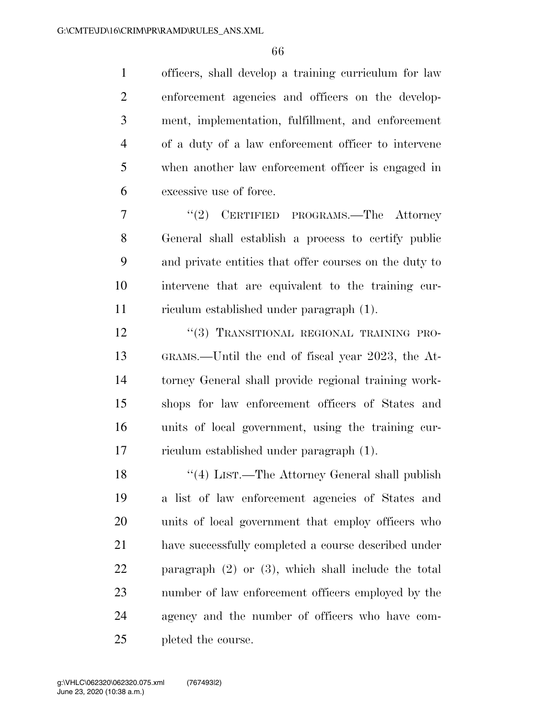officers, shall develop a training curriculum for law enforcement agencies and officers on the develop- ment, implementation, fulfillment, and enforcement of a duty of a law enforcement officer to intervene when another law enforcement officer is engaged in excessive use of force.

7 "(2) CERTIFIED PROGRAMS.—The Attorney General shall establish a process to certify public and private entities that offer courses on the duty to intervene that are equivalent to the training cur-riculum established under paragraph (1).

12 "(3) TRANSITIONAL REGIONAL TRAINING PRO- GRAMS.—Until the end of fiscal year 2023, the At- torney General shall provide regional training work- shops for law enforcement officers of States and units of local government, using the training cur-riculum established under paragraph (1).

18 ''(4) LIST.—The Attorney General shall publish a list of law enforcement agencies of States and units of local government that employ officers who have successfully completed a course described under paragraph (2) or (3), which shall include the total number of law enforcement officers employed by the agency and the number of officers who have com-pleted the course.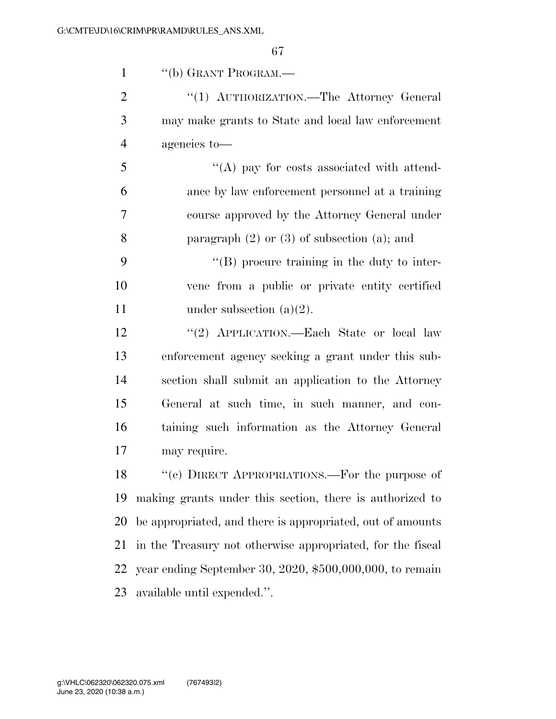| "(b) GRANT PROGRAM.—                                       |
|------------------------------------------------------------|
| "(1) AUTHORIZATION.—The Attorney General                   |
| may make grants to State and local law enforcement         |
| agencies to-                                               |
| $\lq\lq$ (A) pay for costs associated with attend-         |
| ance by law enforcement personnel at a training            |
| course approved by the Attorney General under              |
| paragraph $(2)$ or $(3)$ of subsection $(a)$ ; and         |
| $\lq\lq (B)$ procure training in the duty to inter-        |
| vene from a public or private entity certified             |
| under subsection $(a)(2)$ .                                |
| "(2) APPLICATION.—Each State or local law                  |
| enforcement agency seeking a grant under this sub-         |
| section shall submit an application to the Attorney        |
| General at such time, in such manner, and con-             |
| taining such information as the Attorney General           |
| may require.                                               |
| "(c) DIRECT APPROPRIATIONS.—For the purpose of             |
| making grants under this section, there is authorized to   |
| be appropriated, and there is appropriated, out of amounts |
| in the Treasury not otherwise appropriated, for the fiscal |
| year ending September 30, 2020, $$500,000,000$ , to remain |
| available until expended.".                                |
|                                                            |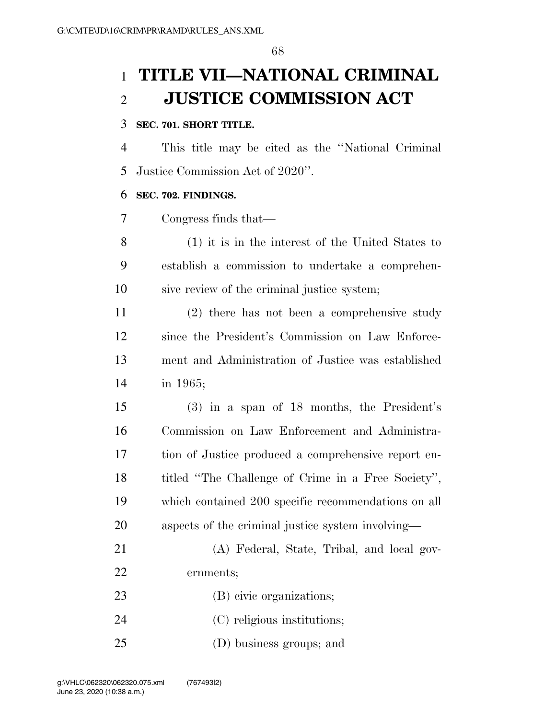# **TITLE VII—NATIONAL CRIMINAL JUSTICE COMMISSION ACT**

### **SEC. 701. SHORT TITLE.**

 This title may be cited as the ''National Criminal Justice Commission Act of 2020''.

# **SEC. 702. FINDINGS.**

Congress finds that—

 (1) it is in the interest of the United States to establish a commission to undertake a comprehen-sive review of the criminal justice system;

 (2) there has not been a comprehensive study since the President's Commission on Law Enforce- ment and Administration of Justice was established in 1965;

 (3) in a span of 18 months, the President's Commission on Law Enforcement and Administra- tion of Justice produced a comprehensive report en- titled ''The Challenge of Crime in a Free Society'', which contained 200 specific recommendations on all aspects of the criminal justice system involving—

 (A) Federal, State, Tribal, and local gov-ernments;

- (B) civic organizations;
- (C) religious institutions;
- (D) business groups; and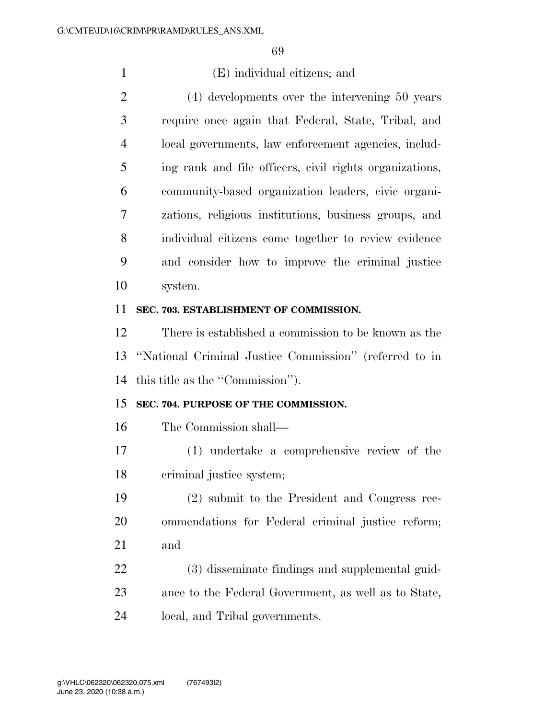# (E) individual citizens; and

 (4) developments over the intervening 50 years require once again that Federal, State, Tribal, and local governments, law enforcement agencies, includ- ing rank and file officers, civil rights organizations, community-based organization leaders, civic organi- zations, religious institutions, business groups, and individual citizens come together to review evidence and consider how to improve the criminal justice system.

### **SEC. 703. ESTABLISHMENT OF COMMISSION.**

 There is established a commission to be known as the ''National Criminal Justice Commission'' (referred to in this title as the ''Commission'').

# **SEC. 704. PURPOSE OF THE COMMISSION.**

- The Commission shall—
- (1) undertake a comprehensive review of the criminal justice system;
- (2) submit to the President and Congress rec- ommendations for Federal criminal justice reform; and

 (3) disseminate findings and supplemental guid- ance to the Federal Government, as well as to State, local, and Tribal governments.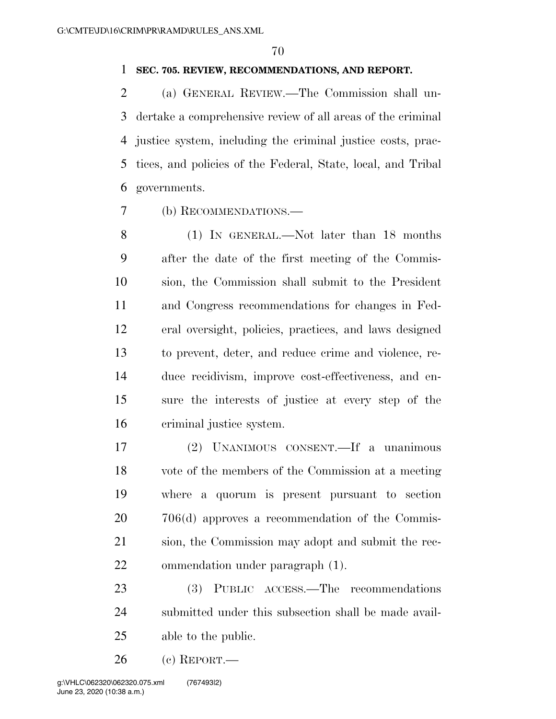# **SEC. 705. REVIEW, RECOMMENDATIONS, AND REPORT.**

 (a) GENERAL REVIEW.—The Commission shall un- dertake a comprehensive review of all areas of the criminal justice system, including the criminal justice costs, prac- tices, and policies of the Federal, State, local, and Tribal governments.

(b) RECOMMENDATIONS.—

 (1) IN GENERAL.—Not later than 18 months after the date of the first meeting of the Commis- sion, the Commission shall submit to the President and Congress recommendations for changes in Fed- eral oversight, policies, practices, and laws designed to prevent, deter, and reduce crime and violence, re- duce recidivism, improve cost-effectiveness, and en- sure the interests of justice at every step of the criminal justice system.

 (2) UNANIMOUS CONSENT.—If a unanimous vote of the members of the Commission at a meeting where a quorum is present pursuant to section 706(d) approves a recommendation of the Commis- sion, the Commission may adopt and submit the rec-ommendation under paragraph (1).

 (3) PUBLIC ACCESS.—The recommendations submitted under this subsection shall be made avail-able to the public.

(c) REPORT.—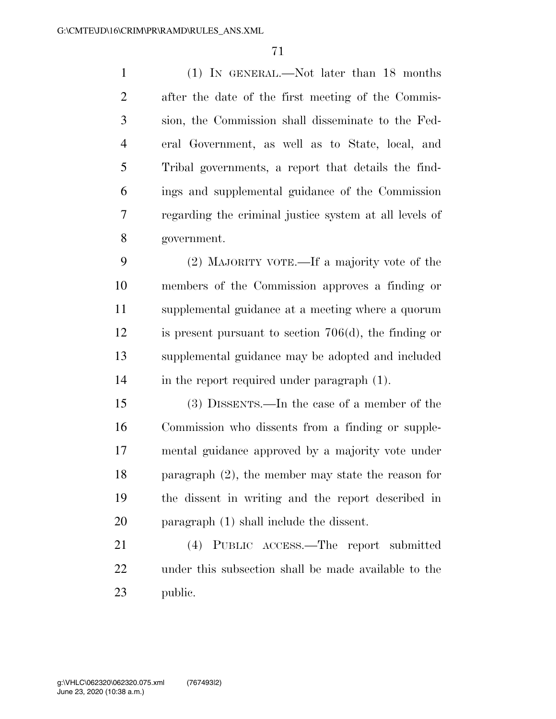(1) IN GENERAL.—Not later than 18 months after the date of the first meeting of the Commis- sion, the Commission shall disseminate to the Fed- eral Government, as well as to State, local, and Tribal governments, a report that details the find- ings and supplemental guidance of the Commission regarding the criminal justice system at all levels of government.

 (2) MAJORITY VOTE.—If a majority vote of the members of the Commission approves a finding or supplemental guidance at a meeting where a quorum is present pursuant to section 706(d), the finding or supplemental guidance may be adopted and included in the report required under paragraph (1).

 (3) DISSENTS.—In the case of a member of the Commission who dissents from a finding or supple- mental guidance approved by a majority vote under paragraph (2), the member may state the reason for the dissent in writing and the report described in paragraph (1) shall include the dissent.

 (4) PUBLIC ACCESS.—The report submitted under this subsection shall be made available to the public.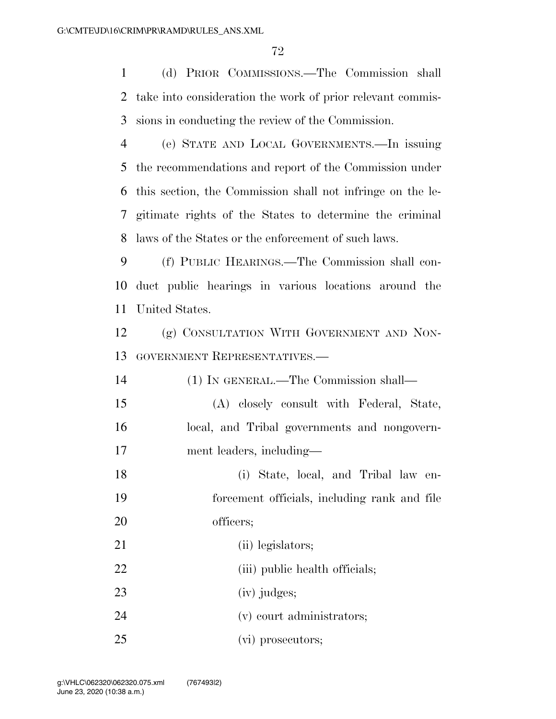(d) PRIOR COMMISSIONS.—The Commission shall take into consideration the work of prior relevant commis-sions in conducting the review of the Commission.

 (e) STATE AND LOCAL GOVERNMENTS.—In issuing the recommendations and report of the Commission under this section, the Commission shall not infringe on the le- gitimate rights of the States to determine the criminal laws of the States or the enforcement of such laws.

 (f) PUBLIC HEARINGS.—The Commission shall con- duct public hearings in various locations around the United States.

12 (g) CONSULTATION WITH GOVERNMENT AND NON-GOVERNMENT REPRESENTATIVES.—

| 14 | (1) IN GENERAL.—The Commission shall—        |
|----|----------------------------------------------|
| 15 | (A) closely consult with Federal, State,     |
| 16 | local, and Tribal governments and nongovern- |
| 17 | ment leaders, including—                     |
| 18 | (i) State, local, and Tribal law en-         |
| 19 | forcement officials, including rank and file |
| 20 | officers;                                    |
| 21 | (ii) legislators;                            |
|    |                                              |

- 22 (iii) public health officials;
- (iv) judges;
- (v) court administrators;
- 25 (vi) prosecutors;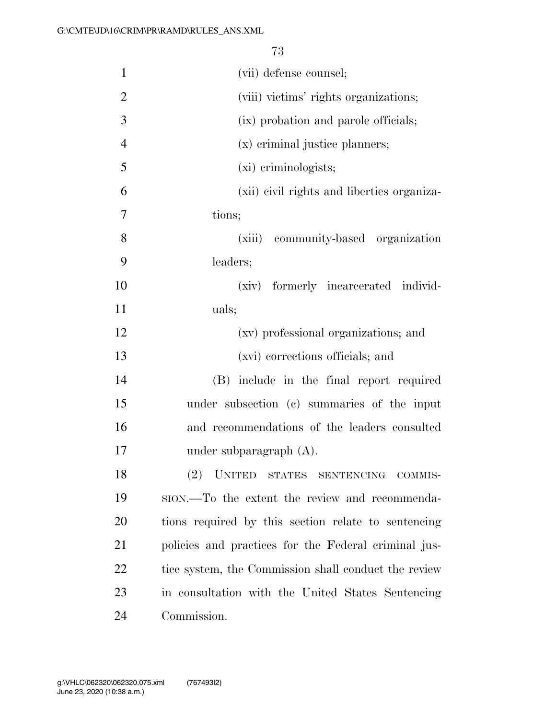| $\mathbf{1}$   | (vii) defense counsel;                               |
|----------------|------------------------------------------------------|
| $\overline{2}$ | (viii) victims' rights organizations;                |
| 3              | (ix) probation and parole officials;                 |
| $\overline{4}$ | (x) criminal justice planners;                       |
| 5              | (xi) criminologists;                                 |
| 6              | (xii) civil rights and liberties organiza-           |
| 7              | tions;                                               |
| 8              | (xiii) community-based organization                  |
| 9              | leaders;                                             |
| 10             | (xiv) formerly incarcerated individ-                 |
| 11             | uals;                                                |
| 12             | (xv) professional organizations; and                 |
| 13             | (xvi) corrections officials; and                     |
| 14             | (B) include in the final report required             |
| 15             | under subsection (c) summaries of the input          |
| 16             | and recommendations of the leaders consulted         |
| 17             | under subparagraph $(A)$ .                           |
| 18             | (2) UNITED STATES SENTENCING COMMIS-                 |
| 19             | ston.—To the extent the review and recommenda-       |
| 20             | tions required by this section relate to sentencing  |
| 21             | policies and practices for the Federal criminal jus- |
| 22             | tice system, the Commission shall conduct the review |
| 23             | in consultation with the United States Sentencing    |
| 24             | Commission.                                          |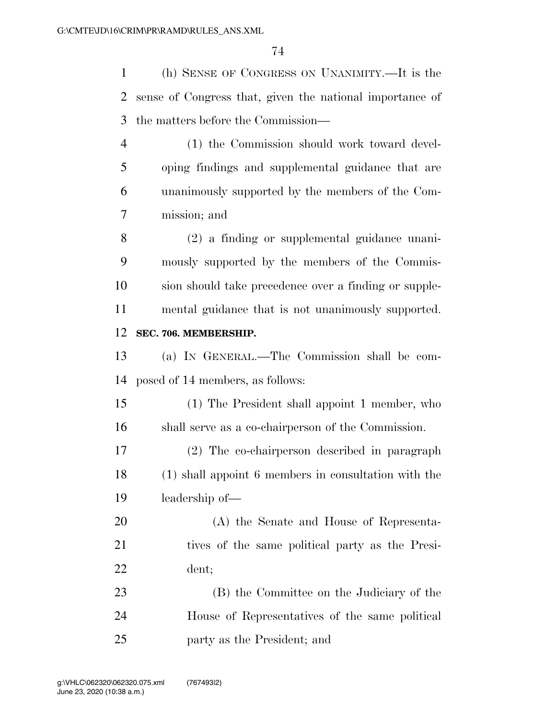(h) SENSE OF CONGRESS ON UNANIMITY.—It is the sense of Congress that, given the national importance of the matters before the Commission—

 (1) the Commission should work toward devel- oping findings and supplemental guidance that are unanimously supported by the members of the Com-mission; and

 (2) a finding or supplemental guidance unani- mously supported by the members of the Commis- sion should take precedence over a finding or supple- mental guidance that is not unanimously supported. **SEC. 706. MEMBERSHIP.** 

 (a) IN GENERAL.—The Commission shall be com-posed of 14 members, as follows:

 (1) The President shall appoint 1 member, who shall serve as a co-chairperson of the Commission.

 (2) The co-chairperson described in paragraph (1) shall appoint 6 members in consultation with the leadership of—

 (A) the Senate and House of Representa- tives of the same political party as the Presi-dent;

 (B) the Committee on the Judiciary of the House of Representatives of the same political party as the President; and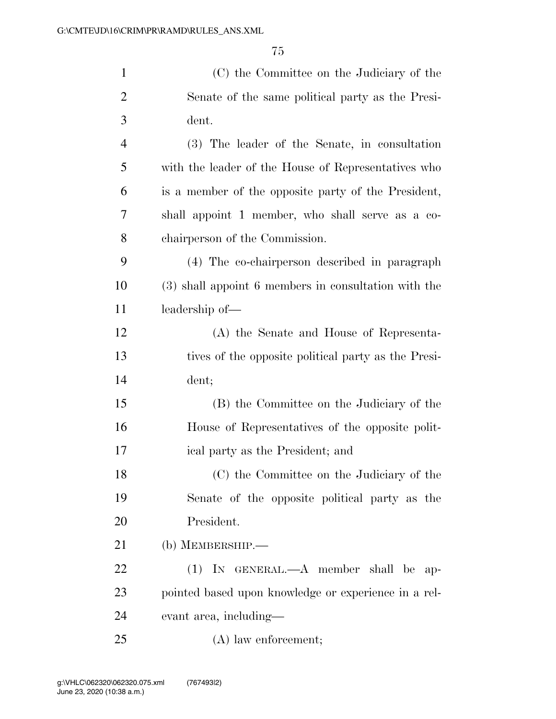| $\mathbf{1}$   | (C) the Committee on the Judiciary of the            |
|----------------|------------------------------------------------------|
| $\overline{2}$ | Senate of the same political party as the Presi-     |
| 3              | dent.                                                |
| $\overline{4}$ | (3) The leader of the Senate, in consultation        |
| 5              | with the leader of the House of Representatives who  |
| 6              | is a member of the opposite party of the President,  |
| 7              | shall appoint 1 member, who shall serve as a co-     |
| 8              | chairperson of the Commission.                       |
| 9              | (4) The co-chairperson described in paragraph        |
| 10             | (3) shall appoint 6 members in consultation with the |
| 11             | leadership of—                                       |
| 12             | (A) the Senate and House of Representa-              |
| 13             | tives of the opposite political party as the Presi-  |
| 14             | dent;                                                |
| 15             | (B) the Committee on the Judiciary of the            |
| 16             | House of Representatives of the opposite polit-      |
| 17             | ical party as the President; and                     |
| 18             | (C) the Committee on the Judiciary of the            |
| 19             | Senate of the opposite political party as the        |
| 20             | President.                                           |
| 21             | (b) MEMBERSHIP.-                                     |
| 22             | $(1)$ IN GENERAL.— $A$ member shall be<br>ap-        |
| 23             | pointed based upon knowledge or experience in a rel- |
| 24             | evant area, including—                               |
| 25             | $(A)$ law enforcement;                               |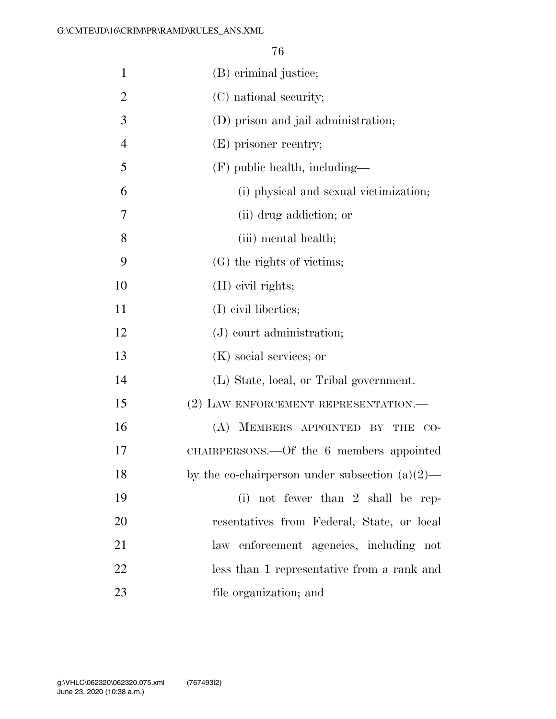| $\mathbf{1}$   | (B) criminal justice;                             |
|----------------|---------------------------------------------------|
| $\overline{2}$ | (C) national security;                            |
| 3              | (D) prison and jail administration;               |
| $\overline{4}$ | $(E)$ prisoner reentry;                           |
| 5              | $(F)$ public health, including—                   |
| 6              | (i) physical and sexual victimization;            |
| 7              | (ii) drug addiction; or                           |
| 8              | (iii) mental health;                              |
| 9              | (G) the rights of victims;                        |
| 10             | $(H)$ civil rights;                               |
| 11             | (I) civil liberties;                              |
| 12             | $(J)$ court administration;                       |
| 13             | (K) social services; or                           |
| 14             | (L) State, local, or Tribal government.           |
| 15             | (2) LAW ENFORCEMENT REPRESENTATION.               |
| 16             | (A) MEMBERS APPOINTED BY<br><b>THE</b><br>$CO-$   |
| 17             | CHAIRPERSONS.—Of the 6 members appointed          |
| 18             | by the co-chairperson under subsection $(a)(2)$ — |
| 19             | (i) not fewer than $2$ shall be rep-              |
| 20             | resentatives from Federal, State, or local        |
| 21             | law enforcement agencies, including not           |
| 22             | less than 1 representative from a rank and        |
| 23             | file organization; and                            |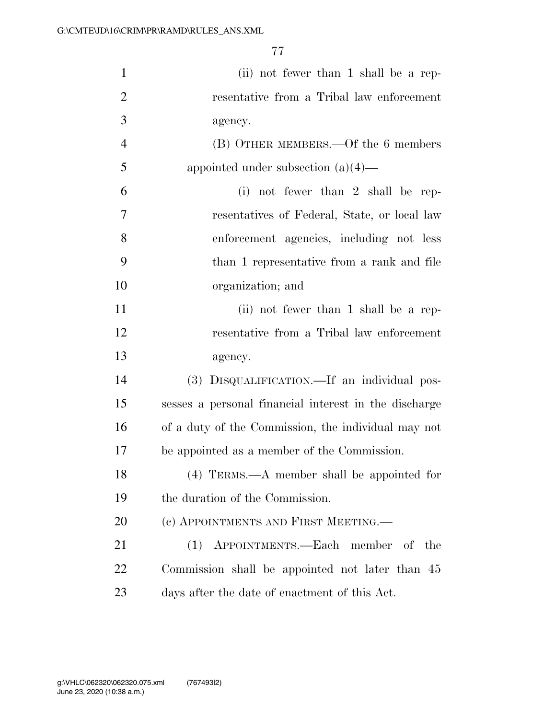| $\mathbf{1}$   | (ii) not fewer than 1 shall be a rep-                 |
|----------------|-------------------------------------------------------|
| $\overline{2}$ | resentative from a Tribal law enforcement             |
| 3              | agency.                                               |
| $\overline{4}$ | (B) OTHER MEMBERS.—Of the 6 members                   |
| 5              | appointed under subsection $(a)(4)$ —                 |
| 6              | (i) not fewer than 2 shall be rep-                    |
| $\overline{7}$ | resentatives of Federal, State, or local law          |
| 8              | enforcement agencies, including not less              |
| 9              | than 1 representative from a rank and file            |
| 10             | organization; and                                     |
| 11             | (ii) not fewer than 1 shall be a rep-                 |
| 12             | resentative from a Tribal law enforcement             |
| 13             | agency.                                               |
| 14             | DISQUALIFICATION. If an individual pos-<br>(3)        |
| 15             | sesses a personal financial interest in the discharge |
| 16             | of a duty of the Commission, the individual may not   |
| 17             | be appointed as a member of the Commission.           |
| 18             | (4) TERMS.—A member shall be appointed for            |
| 19             | the duration of the Commission.                       |
| 20             | (c) APPOINTMENTS AND FIRST MEETING.                   |
| 21             | (1) APPOINTMENTS.—Each member of the                  |
| 22             | Commission shall be appointed not later than 45       |
| 23             | days after the date of enactment of this Act.         |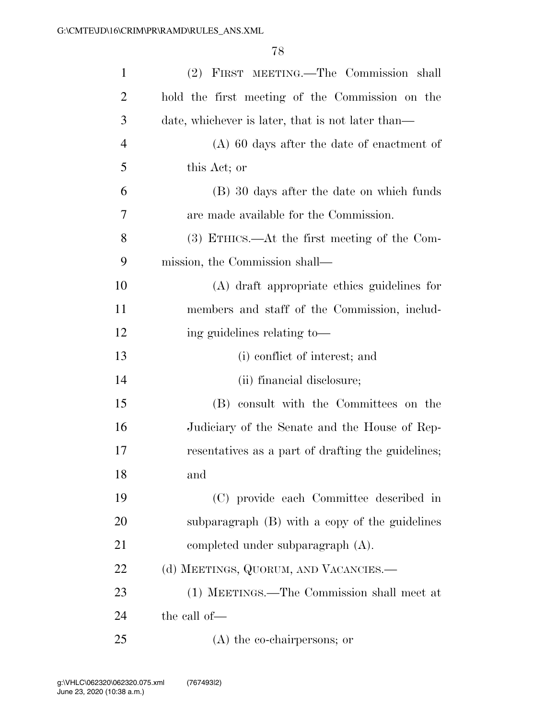| $\mathbf{1}$   | (2) FIRST MEETING.—The Commission shall            |
|----------------|----------------------------------------------------|
| $\overline{2}$ | hold the first meeting of the Commission on the    |
| 3              | date, whichever is later, that is not later than—  |
| $\overline{4}$ | $(A)$ 60 days after the date of enactment of       |
| 5              | this Act; or                                       |
| 6              | (B) 30 days after the date on which funds          |
| 7              | are made available for the Commission.             |
| 8              | (3) ETHICS.—At the first meeting of the Com-       |
| 9              | mission, the Commission shall—                     |
| 10             | (A) draft appropriate ethics guidelines for        |
| 11             | members and staff of the Commission, includ-       |
| 12             | ing guidelines relating to-                        |
| 13             | (i) conflict of interest; and                      |
| 14             | (ii) financial disclosure;                         |
| 15             | (B) consult with the Committees on the             |
| 16             | Judiciary of the Senate and the House of Rep-      |
| 17             | resentatives as a part of drafting the guidelines; |
| 18             | and                                                |
| 19             | (C) provide each Committee described in            |
| 20             | subparagraph (B) with a copy of the guidelines     |
| 21             | completed under subparagraph $(A)$ .               |
| 22             | (d) MEETINGS, QUORUM, AND VACANCIES.-              |
| 23             | (1) MEETINGS.—The Commission shall meet at         |
| 24             | the call of—                                       |
| 25             | $(A)$ the co-chairpersons; or                      |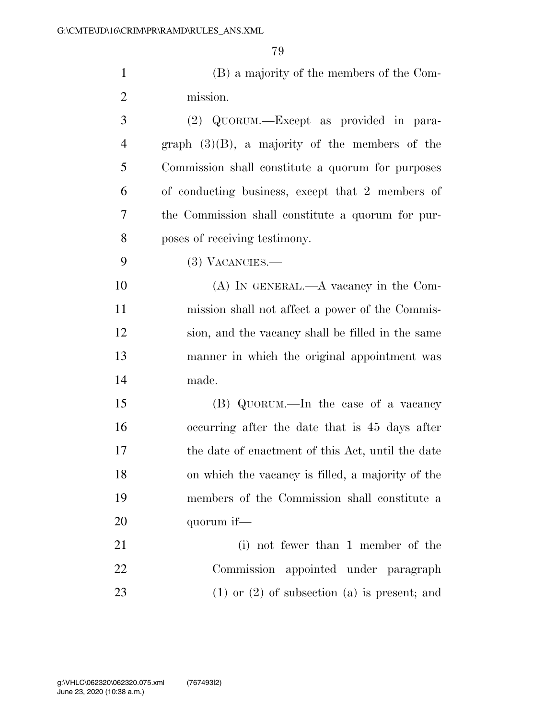(B) a majority of the members of the Com-mission.

 (2) QUORUM.—Except as provided in para- graph (3)(B), a majority of the members of the Commission shall constitute a quorum for purposes of conducting business, except that 2 members of the Commission shall constitute a quorum for pur-poses of receiving testimony.

(3) VACANCIES.—

 (A) IN GENERAL.—A vacancy in the Com- mission shall not affect a power of the Commis- sion, and the vacancy shall be filled in the same manner in which the original appointment was made.

 (B) QUORUM.—In the case of a vacancy occurring after the date that is 45 days after the date of enactment of this Act, until the date on which the vacancy is filled, a majority of the members of the Commission shall constitute a quorum if—

21 (i) not fewer than 1 member of the Commission appointed under paragraph (1) or (2) of subsection (a) is present; and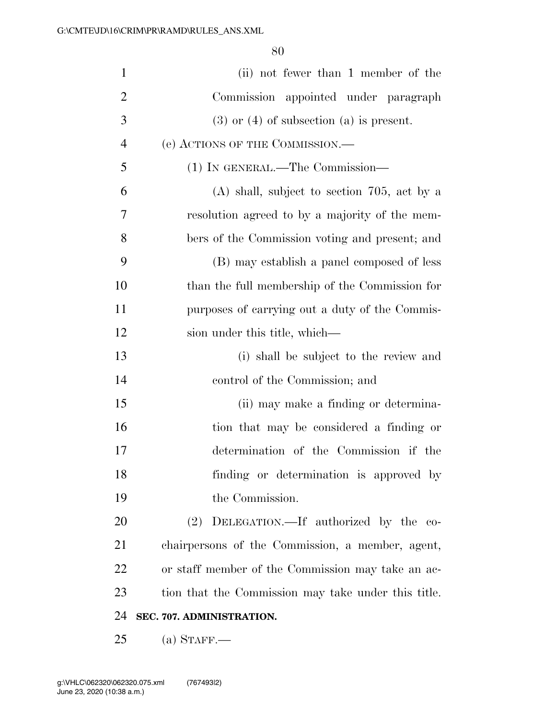| $\mathbf{1}$   | (ii) not fewer than 1 member of the                 |
|----------------|-----------------------------------------------------|
| $\overline{2}$ | Commission appointed under paragraph                |
| 3              | $(3)$ or $(4)$ of subsection $(a)$ is present.      |
| $\overline{4}$ | (e) ACTIONS OF THE COMMISSION.—                     |
| 5              | (1) IN GENERAL.—The Commission—                     |
| 6              | $(A)$ shall, subject to section 705, act by a       |
| 7              | resolution agreed to by a majority of the mem-      |
| 8              | bers of the Commission voting and present; and      |
| 9              | (B) may establish a panel composed of less          |
| 10             | than the full membership of the Commission for      |
| 11             | purposes of carrying out a duty of the Commis-      |
| 12             | sion under this title, which—                       |
| 13             | (i) shall be subject to the review and              |
| 14             | control of the Commission; and                      |
| 15             | (ii) may make a finding or determina-               |
| 16             | tion that may be considered a finding or            |
| 17             | determination of the Commission if the              |
| 18             | finding or determination is approved by             |
| 19             | the Commission.                                     |
| 20             | DELEGATION.—If authorized by the co-<br>(2)         |
| 21             | chairpersons of the Commission, a member, agent,    |
| 22             | or staff member of the Commission may take an ac-   |
| 23             | tion that the Commission may take under this title. |
| 24             | SEC. 707. ADMINISTRATION.                           |
| 25             | $(a)$ STAFF.—                                       |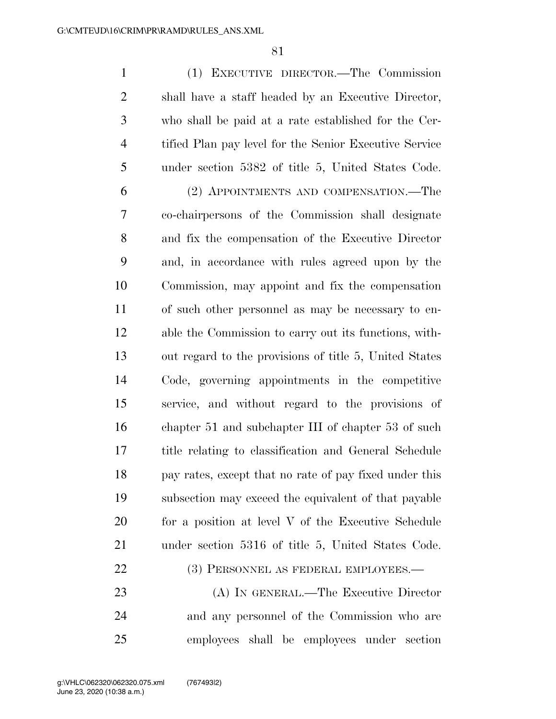(1) EXECUTIVE DIRECTOR.—The Commission shall have a staff headed by an Executive Director, who shall be paid at a rate established for the Cer- tified Plan pay level for the Senior Executive Service under section 5382 of title 5, United States Code. (2) APPOINTMENTS AND COMPENSATION.—The co-chairpersons of the Commission shall designate

 and fix the compensation of the Executive Director and, in accordance with rules agreed upon by the Commission, may appoint and fix the compensation of such other personnel as may be necessary to en- able the Commission to carry out its functions, with- out regard to the provisions of title 5, United States Code, governing appointments in the competitive service, and without regard to the provisions of chapter 51 and subchapter III of chapter 53 of such title relating to classification and General Schedule pay rates, except that no rate of pay fixed under this subsection may exceed the equivalent of that payable for a position at level V of the Executive Schedule under section 5316 of title 5, United States Code. 22 (3) PERSONNEL AS FEDERAL EMPLOYEES.—

 (A) IN GENERAL.—The Executive Director and any personnel of the Commission who are employees shall be employees under section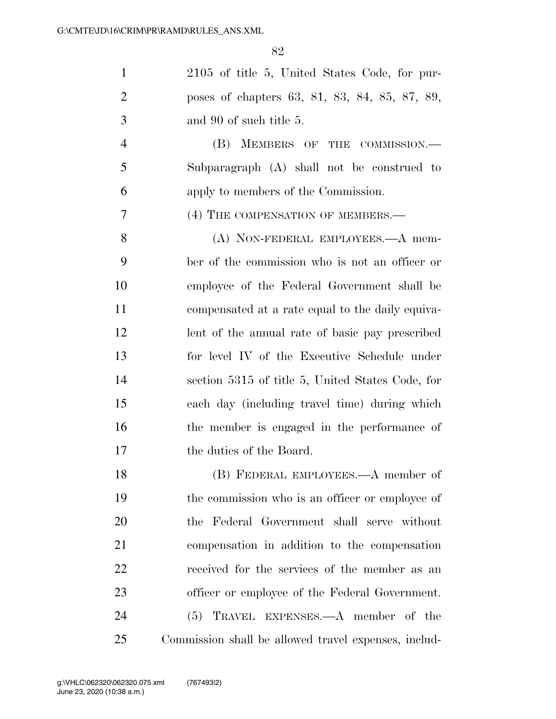| $\mathbf{1}$   | 2105 of title 5, United States Code, for pur-        |
|----------------|------------------------------------------------------|
| $\overline{2}$ | poses of chapters 63, 81, 83, 84, 85, 87, 89,        |
| 3              | and 90 of such title 5.                              |
| $\overline{4}$ | MEMBERS OF THE COMMISSION.-<br>(B)                   |
| 5              | Subparagraph (A) shall not be construed to           |
| 6              | apply to members of the Commission.                  |
| 7              | (4) THE COMPENSATION OF MEMBERS.—                    |
| 8              | (A) NON-FEDERAL EMPLOYEES.- A mem-                   |
| 9              | ber of the commission who is not an officer or       |
| 10             | employee of the Federal Government shall be          |
| 11             | compensated at a rate equal to the daily equiva-     |
| 12             | lent of the annual rate of basic pay prescribed      |
| 13             | for level IV of the Executive Schedule under         |
| 14             | section 5315 of title 5, United States Code, for     |
| 15             | each day (including travel time) during which        |
| 16             | the member is engaged in the performance of          |
| 17             | the duties of the Board.                             |
| 18             | (B) FEDERAL EMPLOYEES.—A member of                   |
| 19             | the commission who is an officer or employee of      |
| 20             | the Federal Government shall serve without           |
| 21             | compensation in addition to the compensation         |
| 22             | received for the services of the member as an        |
| 23             | officer or employee of the Federal Government.       |
| 24             | $(5)$ TRAVEL EXPENSES.—A member of the               |
| 25             | Commission shall be allowed travel expenses, includ- |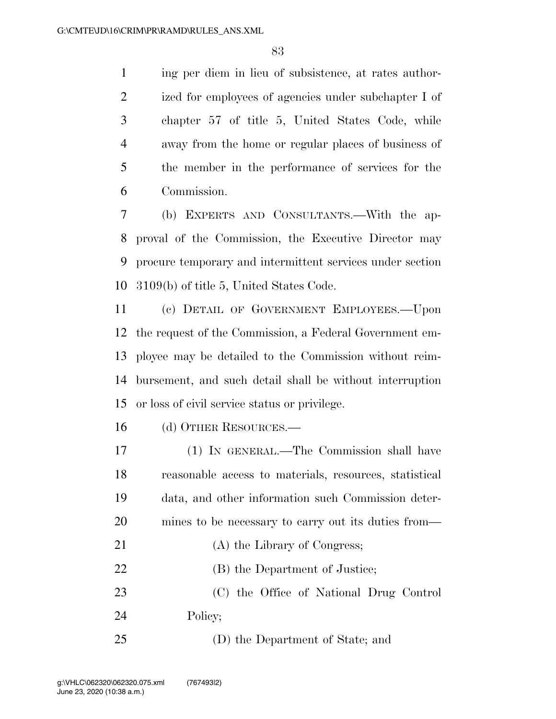ing per diem in lieu of subsistence, at rates author-2 ized for employees of agencies under subchapter I of chapter 57 of title 5, United States Code, while away from the home or regular places of business of the member in the performance of services for the Commission.

 (b) EXPERTS AND CONSULTANTS.—With the ap- proval of the Commission, the Executive Director may procure temporary and intermittent services under section 3109(b) of title 5, United States Code.

 (c) DETAIL OF GOVERNMENT EMPLOYEES.—Upon the request of the Commission, a Federal Government em- ployee may be detailed to the Commission without reim- bursement, and such detail shall be without interruption or loss of civil service status or privilege.

(d) OTHER RESOURCES.—

 (1) IN GENERAL.—The Commission shall have reasonable access to materials, resources, statistical data, and other information such Commission deter- mines to be necessary to carry out its duties from— 21 (A) the Library of Congress; 22 (B) the Department of Justice; (C) the Office of National Drug Control Policy; (D) the Department of State; and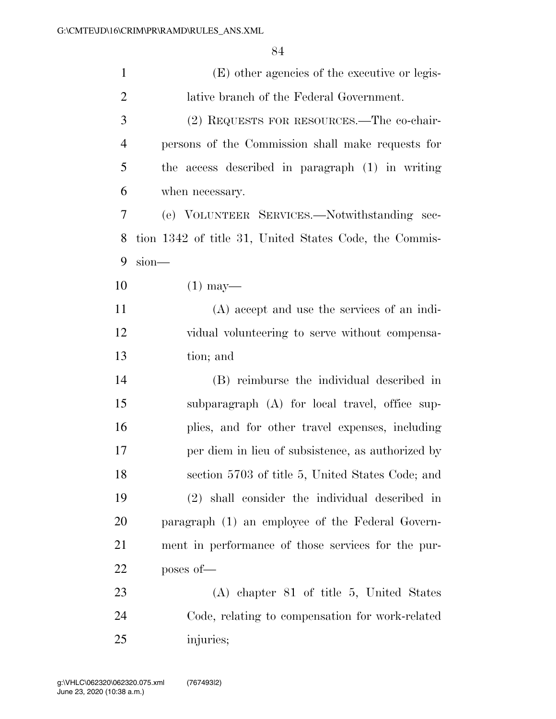| $\mathbf{1}$   | (E) other agencies of the executive or legis-          |
|----------------|--------------------------------------------------------|
| $\overline{2}$ | lative branch of the Federal Government.               |
| 3              | (2) REQUESTS FOR RESOURCES.—The co-chair-              |
| $\overline{4}$ | persons of the Commission shall make requests for      |
| 5              | the access described in paragraph (1) in writing       |
| 6              | when necessary.                                        |
| 7              | (e) VOLUNTEER SERVICES.—Notwithstanding sec-           |
| 8              | tion 1342 of title 31, United States Code, the Commis- |
| 9              | $sion$ —                                               |
| 10             | $(1)$ may—                                             |
| 11             | $(A)$ accept and use the services of an indi-          |
| 12             | vidual volunteering to serve without compensa-         |
| 13             | tion; and                                              |
| 14             | (B) reimburse the individual described in              |
| 15             | subparagraph (A) for local travel, office sup-         |
| 16             | plies, and for other travel expenses, including        |
| 17             | per diem in lieu of subsistence, as authorized by      |
| 18             | section 5703 of title 5, United States Code; and       |
| 19             | (2) shall consider the individual described in         |
| 20             | paragraph (1) an employee of the Federal Govern-       |
| 21             | ment in performance of those services for the pur-     |
| 22             | poses of-                                              |
| 23             | $(A)$ chapter 81 of title 5, United States             |
| 24             | Code, relating to compensation for work-related        |
| 25             | injuries;                                              |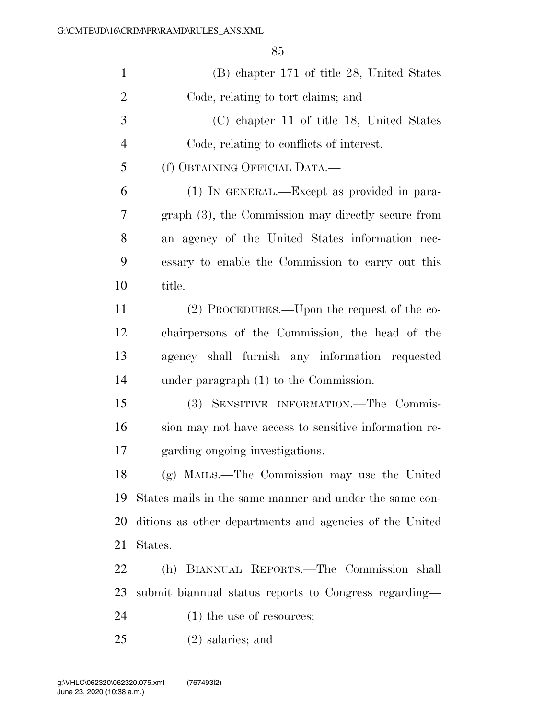| $\mathbf{1}$   | (B) chapter 171 of title 28, United States              |
|----------------|---------------------------------------------------------|
| $\overline{2}$ | Code, relating to tort claims; and                      |
| 3              | (C) chapter 11 of title 18, United States               |
| $\overline{4}$ | Code, relating to conflicts of interest.                |
| 5              | (f) OBTAINING OFFICIAL DATA.—                           |
| 6              | $(1)$ IN GENERAL.—Except as provided in para-           |
| $\overline{7}$ | graph (3), the Commission may directly secure from      |
| 8              | an agency of the United States information nec-         |
| 9              | essary to enable the Commission to carry out this       |
| 10             | title.                                                  |
| 11             | $(2)$ PROCEDURES.—Upon the request of the co-           |
| 12             | chairpersons of the Commission, the head of the         |
| 13             | agency shall furnish any information requested          |
| 14             | under paragraph $(1)$ to the Commission.                |
| 15             | (3) SENSITIVE INFORMATION.—The Commis-                  |
| 16             | sion may not have access to sensitive information re-   |
| 17             | garding ongoing investigations.                         |
| 18             | (g) MAILS.—The Commission may use the United            |
| 19             | States mails in the same manner and under the same con- |
| 20             | ditions as other departments and agencies of the United |
| 21             | States.                                                 |
| 22             | (h) BIANNUAL REPORTS.—The Commission shall              |
| 23             | submit biannual status reports to Congress regarding—   |
| 24             | $(1)$ the use of resources;                             |
| 25             | $(2)$ salaries; and                                     |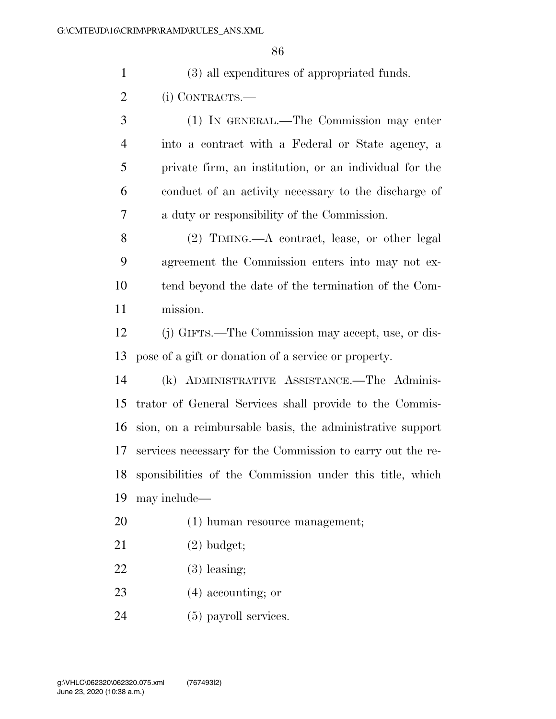(3) all expenditures of appropriated funds.

(i) CONTRACTS.—

 (1) IN GENERAL.—The Commission may enter into a contract with a Federal or State agency, a private firm, an institution, or an individual for the conduct of an activity necessary to the discharge of a duty or responsibility of the Commission.

 (2) TIMING.—A contract, lease, or other legal agreement the Commission enters into may not ex- tend beyond the date of the termination of the Com-mission.

 (j) GIFTS.—The Commission may accept, use, or dis-pose of a gift or donation of a service or property.

 (k) ADMINISTRATIVE ASSISTANCE.—The Adminis- trator of General Services shall provide to the Commis- sion, on a reimbursable basis, the administrative support services necessary for the Commission to carry out the re- sponsibilities of the Commission under this title, which may include—

- 20 (1) human resource management;
- (2) budget;
- (3) leasing;
- (4) accounting; or
- (5) payroll services.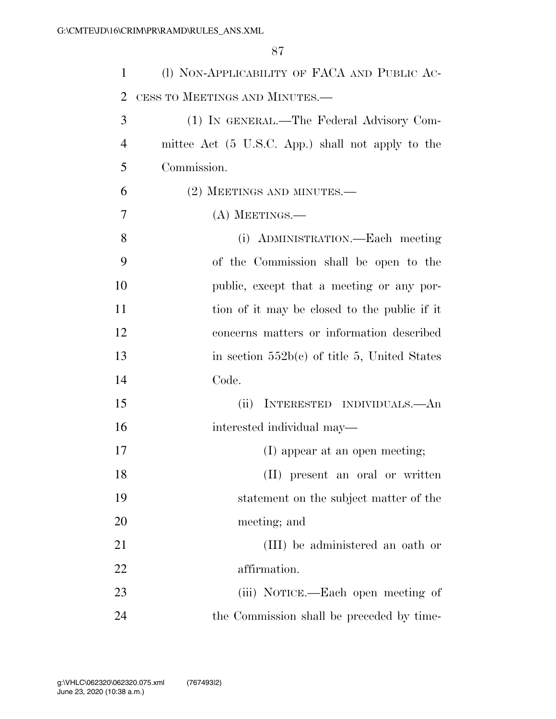| $\mathbf{1}$   | (I) NON-APPLICABILITY OF FACA AND PUBLIC AC-      |
|----------------|---------------------------------------------------|
| $\overline{2}$ | CESS TO MEETINGS AND MINUTES.—                    |
| 3              | (1) IN GENERAL.—The Federal Advisory Com-         |
| $\overline{4}$ | mittee Act (5 U.S.C. App.) shall not apply to the |
| 5              | Commission.                                       |
| 6              | (2) MEETINGS AND MINUTES.-                        |
| 7              | $(A)$ MEETINGS.—                                  |
| 8              | (i) ADMINISTRATION.—Each meeting                  |
| 9              | of the Commission shall be open to the            |
| 10             | public, except that a meeting or any por-         |
| 11             | tion of it may be closed to the public if it      |
| 12             | concerns matters or information described         |
| 13             | in section $552b(c)$ of title 5, United States    |
| 14             | Code.                                             |
| 15             | (ii)<br>INTERESTED INDIVIDUALS.—An                |
| 16             | interested individual may—                        |
| 17             | (I) appear at an open meeting;                    |
| 18             | (II) present an oral or written                   |
| 19             | statement on the subject matter of the            |
| 20             | meeting; and                                      |
| 21             | (III) be administered an oath or                  |
| 22             | affirmation.                                      |
| 23             | (iii) NOTICE.—Each open meeting of                |
| 24             | the Commission shall be preceded by time-         |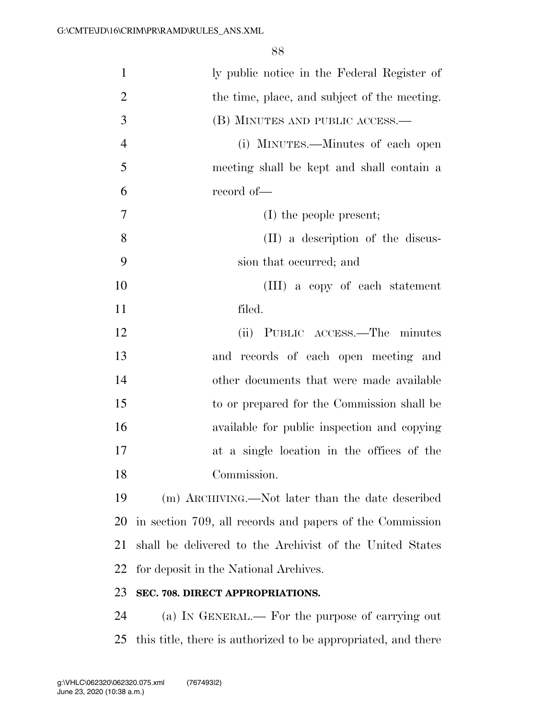| $\mathbf{1}$   | ly public notice in the Federal Register of              |
|----------------|----------------------------------------------------------|
| $\overline{2}$ | the time, place, and subject of the meeting.             |
| 3              | (B) MINUTES AND PUBLIC ACCESS.—                          |
| $\overline{4}$ | (i) MINUTES.—Minutes of each open                        |
| 5              | meeting shall be kept and shall contain a                |
| 6              | record of-                                               |
| 7              | $(I)$ the people present;                                |
| 8              | (II) a description of the discus-                        |
| 9              | sion that occurred; and                                  |
| 10             | (III) a copy of each statement                           |
| 11             | filed.                                                   |
| 12             | (ii) PUBLIC ACCESS.—The minutes                          |
| 13             | and records of each open meeting and                     |
| 14             | other documents that were made available                 |
| 15             | to or prepared for the Commission shall be               |
| 16             | available for public inspection and copying              |
| 17             | at a single location in the offices of the               |
| 18             | Commission.                                              |
| 19             | (m) ARCHIVING.—Not later than the date described         |
| 20             | in section 709, all records and papers of the Commission |
| 21             | shall be delivered to the Archivist of the United States |
| 22             | for deposit in the National Archives.                    |
| 23             | SEC. 708. DIRECT APPROPRIATIONS.                         |
| 24             | (a) IN GENERAL.— For the purpose of carrying out         |

this title, there is authorized to be appropriated, and there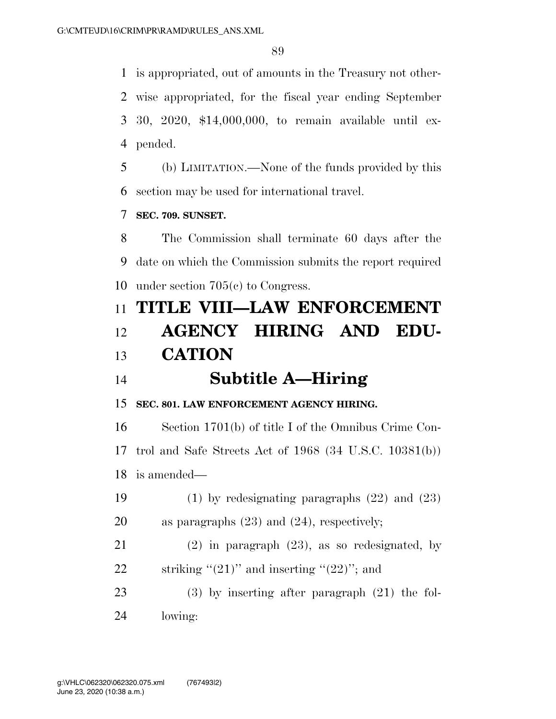is appropriated, out of amounts in the Treasury not other- wise appropriated, for the fiscal year ending September 30, 2020, \$14,000,000, to remain available until ex-pended.

 (b) LIMITATION.—None of the funds provided by this section may be used for international travel.

**SEC. 709. SUNSET.** 

 The Commission shall terminate 60 days after the date on which the Commission submits the report required under section 705(c) to Congress.

### **TITLE VIII—LAW ENFORCEMENT**

## **AGENCY HIRING AND EDU-CATION**

### **Subtitle A—Hiring**

**SEC. 801. LAW ENFORCEMENT AGENCY HIRING.** 

 Section 1701(b) of title I of the Omnibus Crime Con- trol and Safe Streets Act of 1968 (34 U.S.C. 10381(b)) is amended—

 (1) by redesignating paragraphs (22) and (23) as paragraphs (23) and (24), respectively;

 (2) in paragraph (23), as so redesignated, by 22 striking  $(21)$ " and inserting  $(22)$ "; and

 (3) by inserting after paragraph (21) the fol-lowing: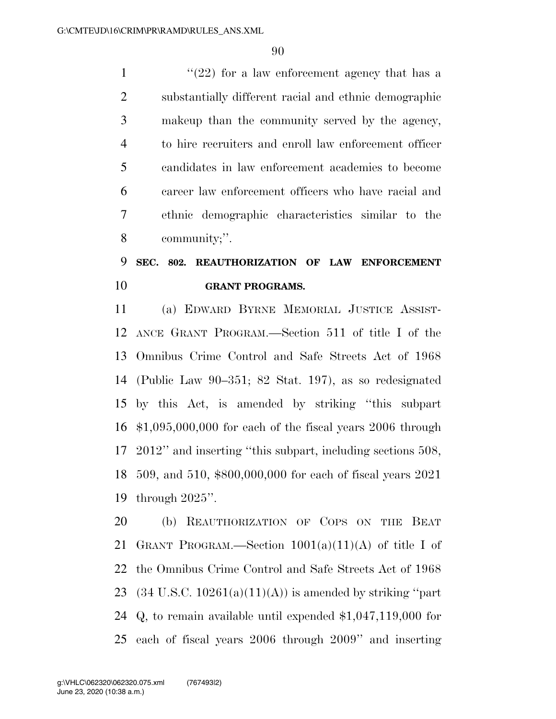$\frac{1}{22}$  for a law enforcement agency that has a substantially different racial and ethnic demographic makeup than the community served by the agency, to hire recruiters and enroll law enforcement officer candidates in law enforcement academies to become career law enforcement officers who have racial and ethnic demographic characteristics similar to the community;''.

### **SEC. 802. REAUTHORIZATION OF LAW ENFORCEMENT GRANT PROGRAMS.**

 (a) EDWARD BYRNE MEMORIAL JUSTICE ASSIST- ANCE GRANT PROGRAM.—Section 511 of title I of the Omnibus Crime Control and Safe Streets Act of 1968 (Public Law 90–351; 82 Stat. 197), as so redesignated by this Act, is amended by striking ''this subpart \$1,095,000,000 for each of the fiscal years 2006 through 2012'' and inserting ''this subpart, including sections 508, 509, and 510, \$800,000,000 for each of fiscal years 2021 through 2025''.

 (b) REAUTHORIZATION OF COPS ON THE BEAT 21 GRANT PROGRAM.—Section  $1001(a)(11)(A)$  of title I of the Omnibus Crime Control and Safe Streets Act of 1968 23 (34 U.S.C.  $10261(a)(11)(A)$ ) is amended by striking "part Q, to remain available until expended \$1,047,119,000 for each of fiscal years 2006 through 2009'' and inserting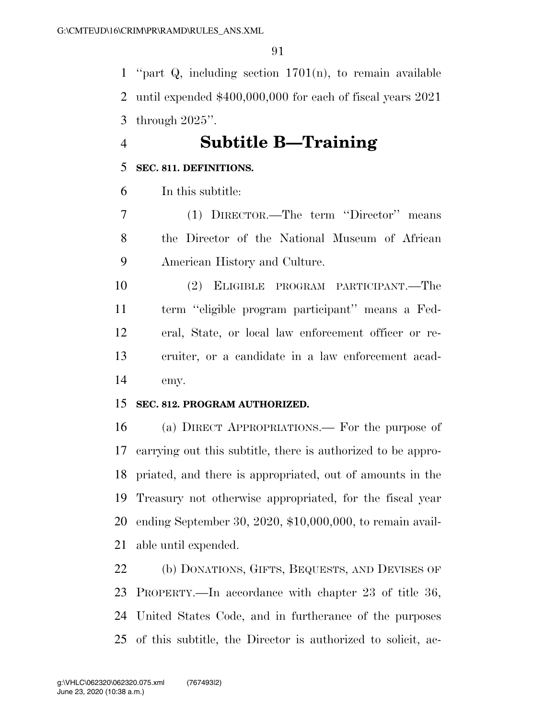''part Q, including section 1701(n), to remain available until expended \$400,000,000 for each of fiscal years 2021 through 2025''.

## **Subtitle B—Training**

### **SEC. 811. DEFINITIONS.**

In this subtitle:

 (1) DIRECTOR.—The term ''Director'' means the Director of the National Museum of African American History and Culture.

 (2) ELIGIBLE PROGRAM PARTICIPANT.—The term ''eligible program participant'' means a Fed- eral, State, or local law enforcement officer or re- cruiter, or a candidate in a law enforcement acad-emy.

### **SEC. 812. PROGRAM AUTHORIZED.**

 (a) DIRECT APPROPRIATIONS.— For the purpose of carrying out this subtitle, there is authorized to be appro- priated, and there is appropriated, out of amounts in the Treasury not otherwise appropriated, for the fiscal year ending September 30, 2020, \$10,000,000, to remain avail-able until expended.

 (b) DONATIONS, GIFTS, BEQUESTS, AND DEVISES OF PROPERTY.—In accordance with chapter 23 of title 36, United States Code, and in furtherance of the purposes of this subtitle, the Director is authorized to solicit, ac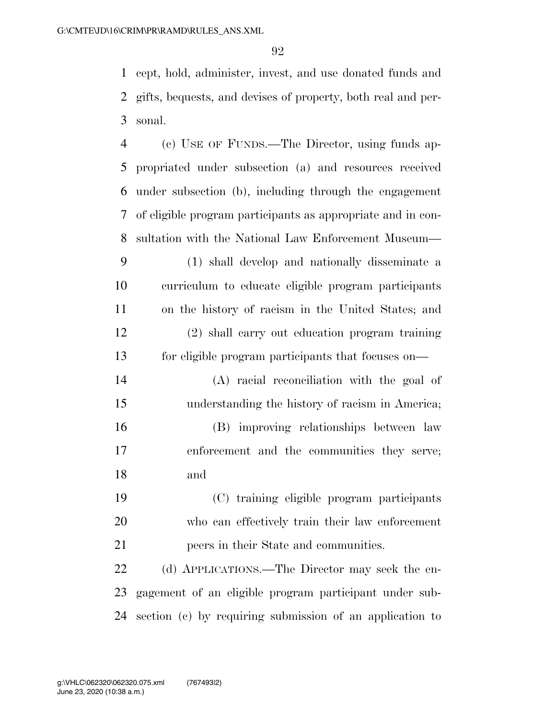cept, hold, administer, invest, and use donated funds and gifts, bequests, and devises of property, both real and per-sonal.

| 4  | (c) USE OF FUNDS.—The Director, using funds ap-             |
|----|-------------------------------------------------------------|
| 5  | propriated under subsection (a) and resources received      |
| 6  | under subsection (b), including through the engagement      |
| 7  | of eligible program participants as appropriate and in con- |
| 8  | sultation with the National Law Enforcement Museum—         |
| 9  | (1) shall develop and nationally disseminate a              |
| 10 | curriculum to educate eligible program participants         |
| 11 | on the history of racism in the United States; and          |
| 12 | (2) shall carry out education program training              |
| 13 | for eligible program participants that focuses on—          |
| 14 | (A) racial reconciliation with the goal of                  |
| 15 | understanding the history of racism in America;             |
| 16 | (B) improving relationships between law                     |
| 17 | enforcement and the communities they serve;                 |
| 18 | and                                                         |
| 19 | (C) training eligible program participants                  |
| 20 | who can effectively train their law enforcement             |
| 21 | peers in their State and communities.                       |
| 22 | (d) APPLICATIONS.—The Director may seek the en-             |
| 23 | gagement of an eligible program participant under sub-      |
| 24 | section (c) by requiring submission of an application to    |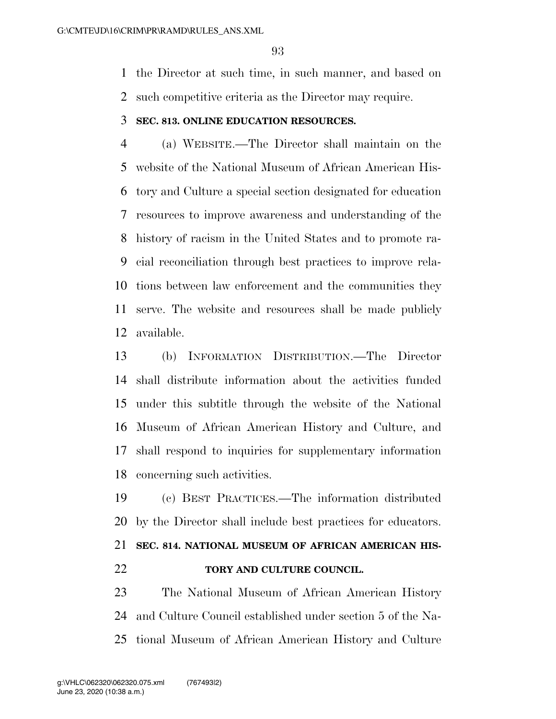the Director at such time, in such manner, and based on such competitive criteria as the Director may require.

#### **SEC. 813. ONLINE EDUCATION RESOURCES.**

 (a) WEBSITE.—The Director shall maintain on the website of the National Museum of African American His- tory and Culture a special section designated for education resources to improve awareness and understanding of the history of racism in the United States and to promote ra- cial reconciliation through best practices to improve rela- tions between law enforcement and the communities they serve. The website and resources shall be made publicly available.

 (b) INFORMATION DISTRIBUTION.—The Director shall distribute information about the activities funded under this subtitle through the website of the National Museum of African American History and Culture, and shall respond to inquiries for supplementary information concerning such activities.

 (c) BEST PRACTICES.—The information distributed by the Director shall include best practices for educators. **SEC. 814. NATIONAL MUSEUM OF AFRICAN AMERICAN HIS-**

**TORY AND CULTURE COUNCIL.** 

 The National Museum of African American History and Culture Council established under section 5 of the Na-tional Museum of African American History and Culture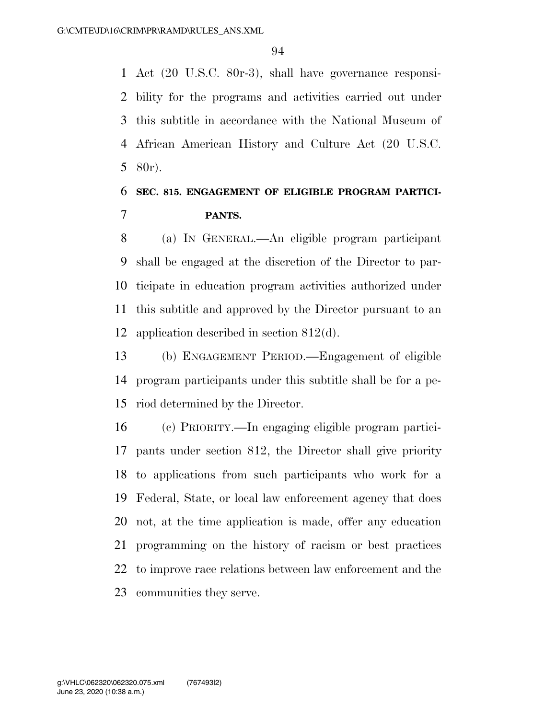Act (20 U.S.C. 80r-3), shall have governance responsi- bility for the programs and activities carried out under this subtitle in accordance with the National Museum of African American History and Culture Act (20 U.S.C. 80r).

### **SEC. 815. ENGAGEMENT OF ELIGIBLE PROGRAM PARTICI-PANTS.**

 (a) IN GENERAL.—An eligible program participant shall be engaged at the discretion of the Director to par- ticipate in education program activities authorized under this subtitle and approved by the Director pursuant to an application described in section 812(d).

 (b) ENGAGEMENT PERIOD.—Engagement of eligible program participants under this subtitle shall be for a pe-riod determined by the Director.

 (c) PRIORITY.—In engaging eligible program partici- pants under section 812, the Director shall give priority to applications from such participants who work for a Federal, State, or local law enforcement agency that does not, at the time application is made, offer any education programming on the history of racism or best practices to improve race relations between law enforcement and the communities they serve.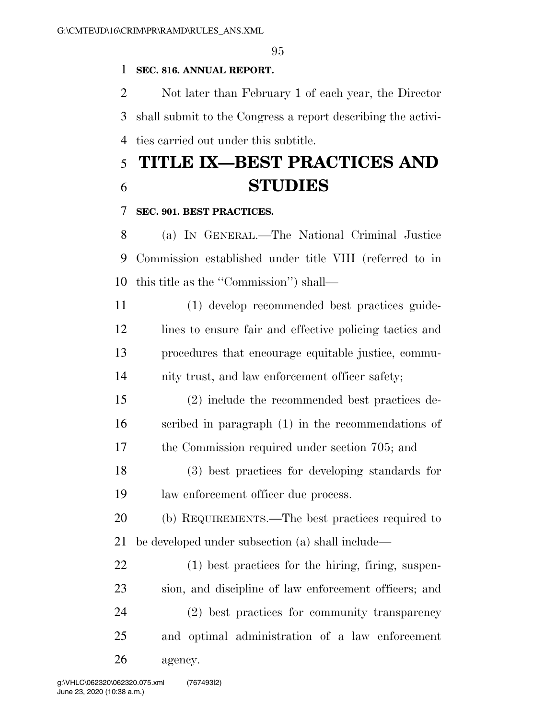### **SEC. 816. ANNUAL REPORT.**

 Not later than February 1 of each year, the Director shall submit to the Congress a report describing the activi-ties carried out under this subtitle.

## **TITLE IX—BEST PRACTICES AND STUDIES**

### **SEC. 901. BEST PRACTICES.**

 (a) IN GENERAL.—The National Criminal Justice Commission established under title VIII (referred to in this title as the ''Commission'') shall—

 (1) develop recommended best practices guide- lines to ensure fair and effective policing tactics and procedures that encourage equitable justice, commu-14 nity trust, and law enforcement officer safety;

 (2) include the recommended best practices de- scribed in paragraph (1) in the recommendations of the Commission required under section 705; and

 (3) best practices for developing standards for law enforcement officer due process.

 (b) REQUIREMENTS.—The best practices required to be developed under subsection (a) shall include—

 (1) best practices for the hiring, firing, suspen- sion, and discipline of law enforcement officers; and (2) best practices for community transparency and optimal administration of a law enforcement agency.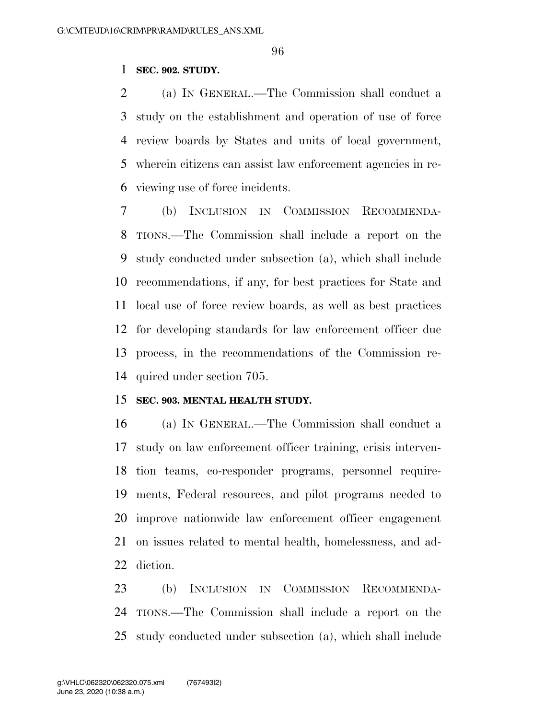#### **SEC. 902. STUDY.**

 (a) IN GENERAL.—The Commission shall conduct a study on the establishment and operation of use of force review boards by States and units of local government, wherein citizens can assist law enforcement agencies in re-viewing use of force incidents.

 (b) INCLUSION IN COMMISSION RECOMMENDA- TIONS.—The Commission shall include a report on the study conducted under subsection (a), which shall include recommendations, if any, for best practices for State and local use of force review boards, as well as best practices for developing standards for law enforcement officer due process, in the recommendations of the Commission re-quired under section 705.

#### **SEC. 903. MENTAL HEALTH STUDY.**

 (a) IN GENERAL.—The Commission shall conduct a study on law enforcement officer training, crisis interven- tion teams, co-responder programs, personnel require- ments, Federal resources, and pilot programs needed to improve nationwide law enforcement officer engagement on issues related to mental health, homelessness, and ad-diction.

 (b) INCLUSION IN COMMISSION RECOMMENDA- TIONS.—The Commission shall include a report on the study conducted under subsection (a), which shall include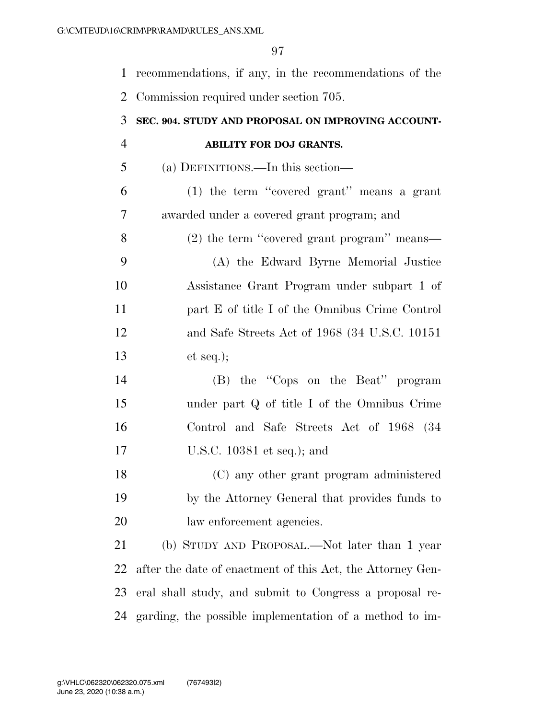recommendations, if any, in the recommendations of the Commission required under section 705. **SEC. 904. STUDY AND PROPOSAL ON IMPROVING ACCOUNT- ABILITY FOR DOJ GRANTS.**  (a) DEFINITIONS.—In this section— (1) the term ''covered grant'' means a grant awarded under a covered grant program; and (2) the term ''covered grant program'' means— (A) the Edward Byrne Memorial Justice Assistance Grant Program under subpart 1 of part E of title I of the Omnibus Crime Control and Safe Streets Act of 1968 (34 U.S.C. 10151 et seq.); (B) the ''Cops on the Beat'' program under part Q of title I of the Omnibus Crime Control and Safe Streets Act of 1968 (34 U.S.C. 10381 et seq.); and (C) any other grant program administered by the Attorney General that provides funds to 20 law enforcement agencies. (b) STUDY AND PROPOSAL.—Not later than 1 year after the date of enactment of this Act, the Attorney Gen- eral shall study, and submit to Congress a proposal re-garding, the possible implementation of a method to im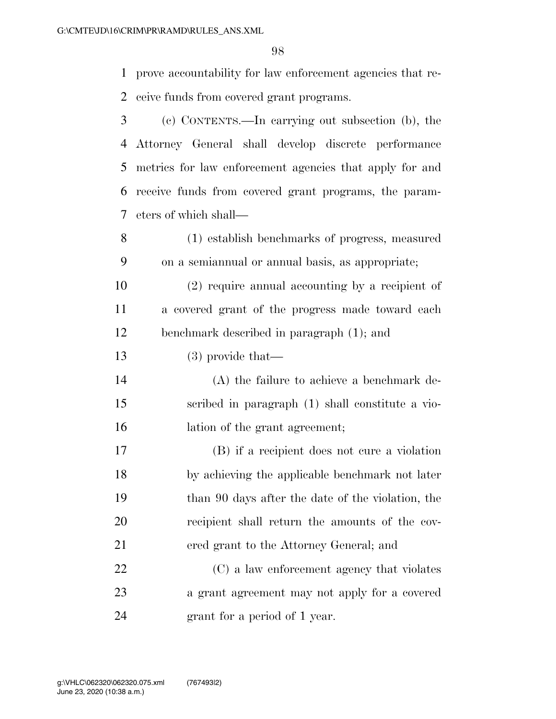prove accountability for law enforcement agencies that re-ceive funds from covered grant programs.

 (c) CONTENTS.—In carrying out subsection (b), the Attorney General shall develop discrete performance metrics for law enforcement agencies that apply for and receive funds from covered grant programs, the param-eters of which shall—

 (1) establish benchmarks of progress, measured on a semiannual or annual basis, as appropriate;

 (2) require annual accounting by a recipient of a covered grant of the progress made toward each benchmark described in paragraph (1); and

(3) provide that—

 (A) the failure to achieve a benchmark de- scribed in paragraph (1) shall constitute a vio-16 lation of the grant agreement;

 (B) if a recipient does not cure a violation by achieving the applicable benchmark not later than 90 days after the date of the violation, the recipient shall return the amounts of the cov-ered grant to the Attorney General; and

 (C) a law enforcement agency that violates a grant agreement may not apply for a covered grant for a period of 1 year.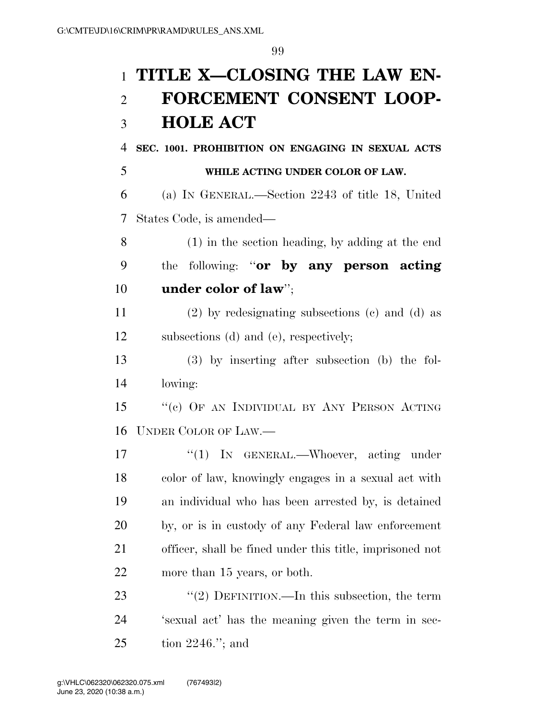# **TITLE X—CLOSING THE LAW EN- FORCEMENT CONSENT LOOP-HOLE ACT**

 **SEC. 1001. PROHIBITION ON ENGAGING IN SEXUAL ACTS WHILE ACTING UNDER COLOR OF LAW.** 

 (a) IN GENERAL.—Section 2243 of title 18, United States Code, is amended—

 (1) in the section heading, by adding at the end the following: ''**or by any person acting under color of law**'';

 (2) by redesignating subsections (c) and (d) as subsections (d) and (e), respectively;

 (3) by inserting after subsection (b) the fol-lowing:

 ''(c) OF AN INDIVIDUAL BY ANY PERSON ACTING UNDER COLOR OF LAW.—

17 <sup>''</sup>(1) In GENERAL.—Whoever, acting under color of law, knowingly engages in a sexual act with an individual who has been arrested by, is detained by, or is in custody of any Federal law enforcement officer, shall be fined under this title, imprisoned not more than 15 years, or both.

23 "(2) DEFINITION.—In this subsection, the term 'sexual act' has the meaning given the term in sec-tion 2246.''; and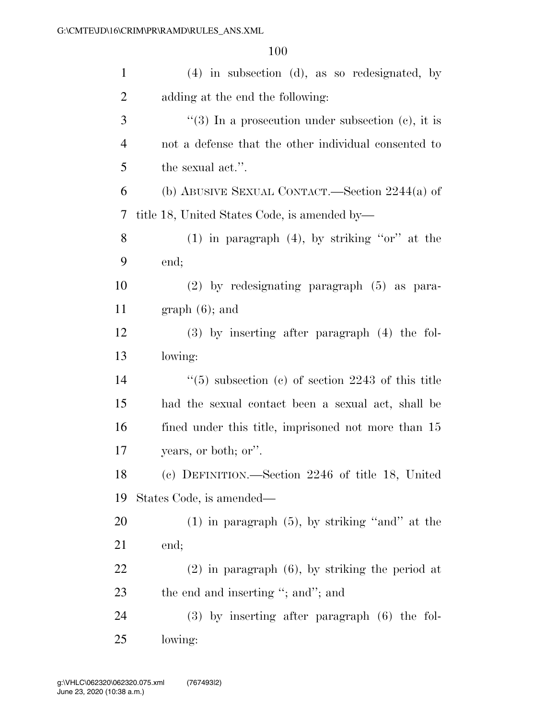| $\mathbf{1}$   | $(4)$ in subsection $(d)$ , as so redesignated, by         |
|----------------|------------------------------------------------------------|
| $\overline{2}$ | adding at the end the following:                           |
| 3              | "(3) In a prosecution under subsection $(c)$ , it is       |
| $\overline{4}$ | not a defense that the other individual consented to       |
| 5              | the sexual act.".                                          |
| 6              | (b) ABUSIVE SEXUAL CONTACT.—Section $2244(a)$ of           |
| 7              | title 18, United States Code, is amended by—               |
| 8              | $(1)$ in paragraph $(4)$ , by striking "or" at the         |
| 9              | end;                                                       |
| 10             | $(2)$ by redesignating paragraph $(5)$ as para-            |
| 11             | $graph(6)$ ; and                                           |
| 12             | $(3)$ by inserting after paragraph $(4)$ the fol-          |
| 13             | lowing:                                                    |
| 14             | $\degree$ (5) subsection (c) of section 2243 of this title |
| 15             | had the sexual contact been a sexual act, shall be         |
| 16             | fined under this title, imprisoned not more than 15        |
| 17             | years, or both; or".                                       |
| 18             | (c) DEFINITION.—Section 2246 of title 18, United           |
| 19             | States Code, is amended—                                   |
| 20             | $(1)$ in paragraph $(5)$ , by striking "and" at the        |
| 21             | end;                                                       |
| 22             | $(2)$ in paragraph $(6)$ , by striking the period at       |
| 23             | the end and inserting "; and"; and                         |
| 24             | $(3)$ by inserting after paragraph $(6)$ the fol-          |
| 25             | lowing:                                                    |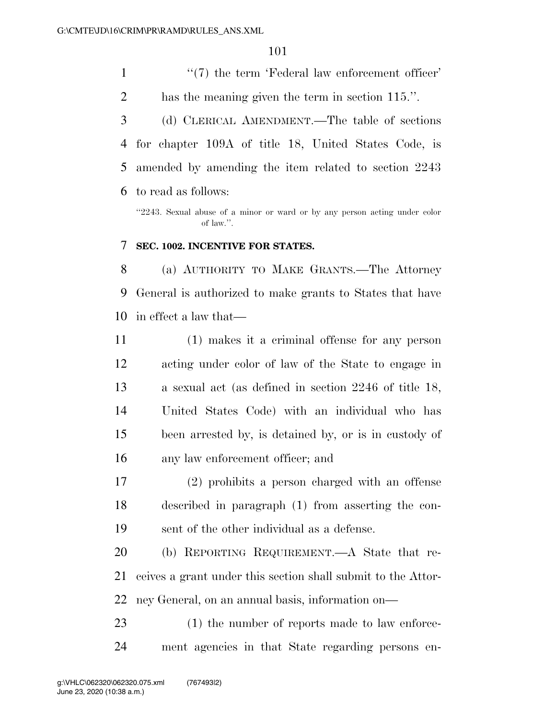$\frac{1}{2}$  (7) the term 'Federal law enforcement officer' has the meaning given the term in section 115.''. (d) CLERICAL AMENDMENT.—The table of sections for chapter 109A of title 18, United States Code, is amended by amending the item related to section 2243 to read as follows:

''2243. Sexual abuse of a minor or ward or by any person acting under color of law.''.

### **SEC. 1002. INCENTIVE FOR STATES.**

 (a) AUTHORITY TO MAKE GRANTS.—The Attorney General is authorized to make grants to States that have in effect a law that—

 (1) makes it a criminal offense for any person acting under color of law of the State to engage in a sexual act (as defined in section 2246 of title 18, United States Code) with an individual who has been arrested by, is detained by, or is in custody of any law enforcement officer; and

 (2) prohibits a person charged with an offense described in paragraph (1) from asserting the con-sent of the other individual as a defense.

 (b) REPORTING REQUIREMENT.—A State that re- ceives a grant under this section shall submit to the Attor-ney General, on an annual basis, information on—

23 (1) the number of reports made to law enforce-ment agencies in that State regarding persons en-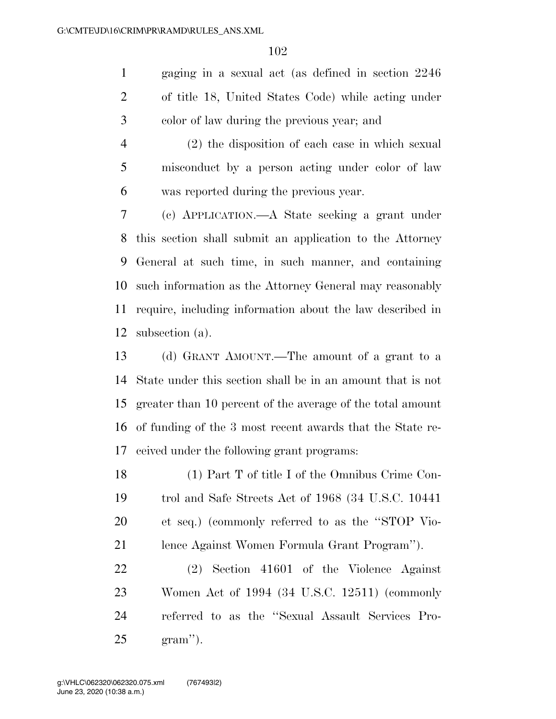gaging in a sexual act (as defined in section 2246 of title 18, United States Code) while acting under color of law during the previous year; and

 (2) the disposition of each case in which sexual misconduct by a person acting under color of law was reported during the previous year.

 (c) APPLICATION.—A State seeking a grant under this section shall submit an application to the Attorney General at such time, in such manner, and containing such information as the Attorney General may reasonably require, including information about the law described in subsection (a).

 (d) GRANT AMOUNT.—The amount of a grant to a State under this section shall be in an amount that is not greater than 10 percent of the average of the total amount of funding of the 3 most recent awards that the State re-ceived under the following grant programs:

 (1) Part T of title I of the Omnibus Crime Con- trol and Safe Streets Act of 1968 (34 U.S.C. 10441 et seq.) (commonly referred to as the ''STOP Vio-lence Against Women Formula Grant Program'').

 (2) Section 41601 of the Violence Against Women Act of 1994 (34 U.S.C. 12511) (commonly referred to as the ''Sexual Assault Services Pro-gram'').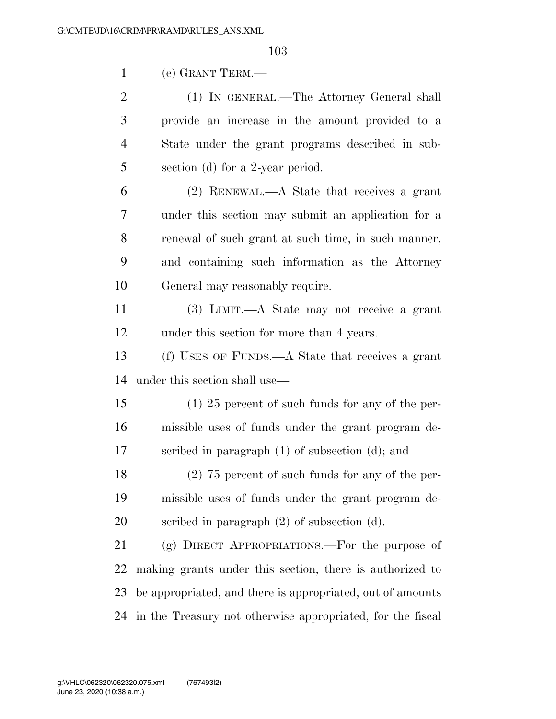(e) GRANT TERM.—

| 2              | (1) IN GENERAL.—The Attorney General shall       |
|----------------|--------------------------------------------------|
| 3 <sup>7</sup> | provide an increase in the amount provided to a  |
| $\overline{4}$ | State under the grant programs described in sub- |
| 5 <sup>5</sup> | section (d) for a 2-year period.                 |

 (2) RENEWAL.—A State that receives a grant under this section may submit an application for a renewal of such grant at such time, in such manner, and containing such information as the Attorney General may reasonably require.

 (3) LIMIT.—A State may not receive a grant under this section for more than 4 years.

 (f) USES OF FUNDS.—A State that receives a grant under this section shall use—

 (1) 25 percent of such funds for any of the per- missible uses of funds under the grant program de-scribed in paragraph (1) of subsection (d); and

 (2) 75 percent of such funds for any of the per- missible uses of funds under the grant program de-scribed in paragraph (2) of subsection (d).

 (g) DIRECT APPROPRIATIONS.—For the purpose of making grants under this section, there is authorized to be appropriated, and there is appropriated, out of amounts in the Treasury not otherwise appropriated, for the fiscal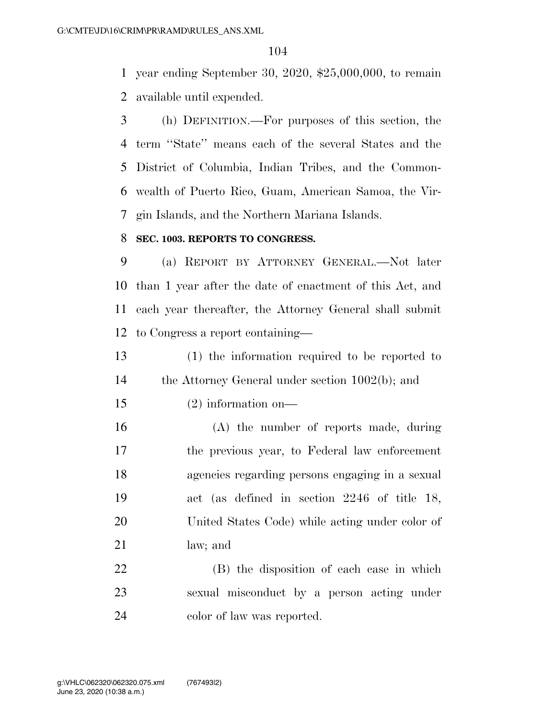year ending September 30, 2020, \$25,000,000, to remain available until expended.

 (h) DEFINITION.—For purposes of this section, the term ''State'' means each of the several States and the District of Columbia, Indian Tribes, and the Common- wealth of Puerto Rico, Guam, American Samoa, the Vir-gin Islands, and the Northern Mariana Islands.

### **SEC. 1003. REPORTS TO CONGRESS.**

 (a) REPORT BY ATTORNEY GENERAL.—Not later than 1 year after the date of enactment of this Act, and each year thereafter, the Attorney General shall submit to Congress a report containing—

 (1) the information required to be reported to the Attorney General under section 1002(b); and

(2) information on—

 (A) the number of reports made, during the previous year, to Federal law enforcement agencies regarding persons engaging in a sexual act (as defined in section 2246 of title 18, United States Code) while acting under color of law; and

 (B) the disposition of each case in which sexual misconduct by a person acting under color of law was reported.